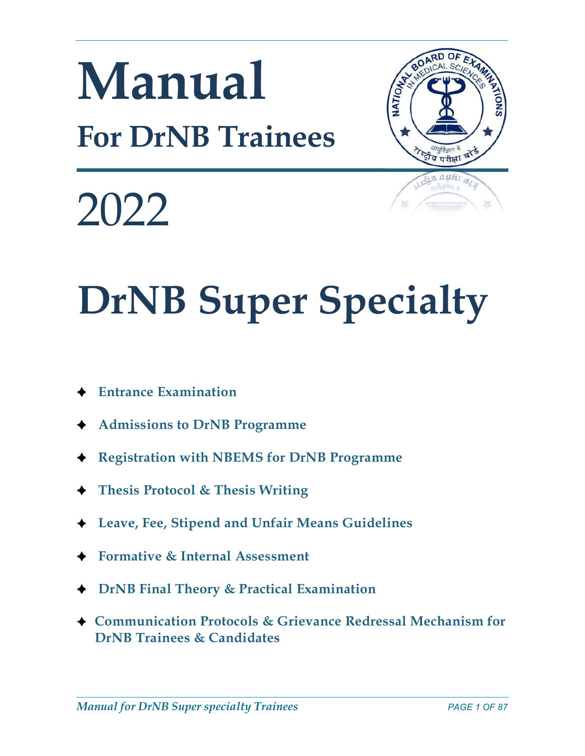# Manual For DrNB Trainees



2022

# DrNB Super Specialty

- Entrance Examination
- Admissions to DrNB Programme
- ◆ Registration with NBEMS for DrNB Programme
- ◆ Thesis Protocol & Thesis Writing
- Leave, Fee, Stipend and Unfair Means Guidelines
- Formative & Internal Assessment
- ◆ DrNB Final Theory & Practical Examination
- ◆ Communication Protocols & Grievance Redressal Mechanism for DrNB Trainees & Candidates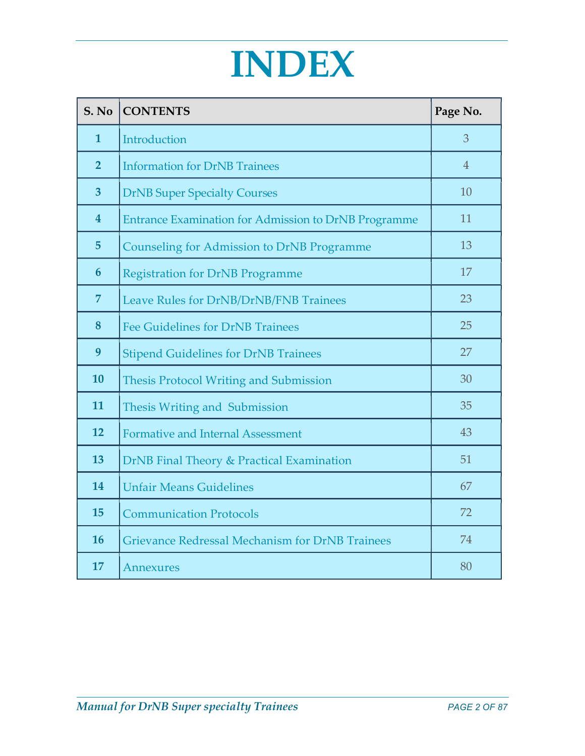# INDEX

| S. No                   | <b>CONTENTS</b>                                        | Page No.       |
|-------------------------|--------------------------------------------------------|----------------|
| $\mathbf{1}$            | Introduction                                           | 3              |
| $\overline{2}$          | <b>Information for DrNB Trainees</b>                   | $\overline{4}$ |
| $\overline{\mathbf{3}}$ | <b>DrNB Super Specialty Courses</b>                    | 10             |
| $\overline{\mathbf{4}}$ | Entrance Examination for Admission to DrNB Programme   | 11             |
| $5\phantom{.}$          | <b>Counseling for Admission to DrNB Programme</b>      | 13             |
| $6\phantom{1}6$         | <b>Registration for DrNB Programme</b>                 | 17             |
| $\overline{7}$          | Leave Rules for DrNB/DrNB/FNB Trainees                 | 23             |
| 8                       | <b>Fee Guidelines for DrNB Trainees</b>                | 25             |
| 9                       | <b>Stipend Guidelines for DrNB Trainees</b>            | 27             |
| 10                      | <b>Thesis Protocol Writing and Submission</b>          | 30             |
| 11                      | Thesis Writing and Submission                          | 35             |
| 12                      | <b>Formative and Internal Assessment</b>               | 43             |
| 13                      | DrNB Final Theory & Practical Examination              | 51             |
| 14                      | <b>Unfair Means Guidelines</b>                         | 67             |
| 15                      | <b>Communication Protocols</b>                         | 72             |
| <b>16</b>               | <b>Grievance Redressal Mechanism for DrNB Trainees</b> | 74             |
| 17                      | Annexures                                              | 80             |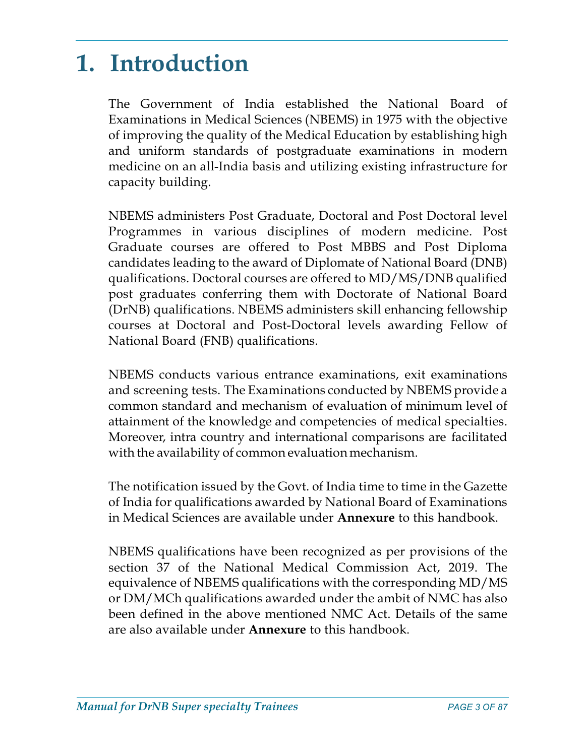# 1. Introduction

The Government of India established the National Board of Examinations in Medical Sciences (NBEMS) in 1975 with the objective of improving the quality of the Medical Education by establishing high and uniform standards of postgraduate examinations in modern medicine on an all-India basis and utilizing existing infrastructure for capacity building.

NBEMS administers Post Graduate, Doctoral and Post Doctoral level Programmes in various disciplines of modern medicine. Post Graduate courses are offered to Post MBBS and Post Diploma candidates leading to the award of Diplomate of National Board (DNB) qualifications. Doctoral courses are offered to MD/MS/DNB qualified post graduates conferring them with Doctorate of National Board (DrNB) qualifications. NBEMS administers skill enhancing fellowship courses at Doctoral and Post-Doctoral levels awarding Fellow of National Board (FNB) qualifications.

NBEMS conducts various entrance examinations, exit examinations and screening tests. The Examinations conducted by NBEMS provide a common standard and mechanism of evaluation of minimum level of attainment of the knowledge and competencies of medical specialties. Moreover, intra country and international comparisons are facilitated with the availability of common evaluation mechanism.

The notification issued by the Govt. of India time to time in the Gazette of India for qualifications awarded by National Board of Examinations in Medical Sciences are available under Annexure to this handbook.

NBEMS qualifications have been recognized as per provisions of the section 37 of the National Medical Commission Act, 2019. The equivalence of NBEMS qualifications with the corresponding MD/MS or DM/MCh qualifications awarded under the ambit of NMC has also been defined in the above mentioned NMC Act. Details of the same are also available under **Annexure** to this handbook.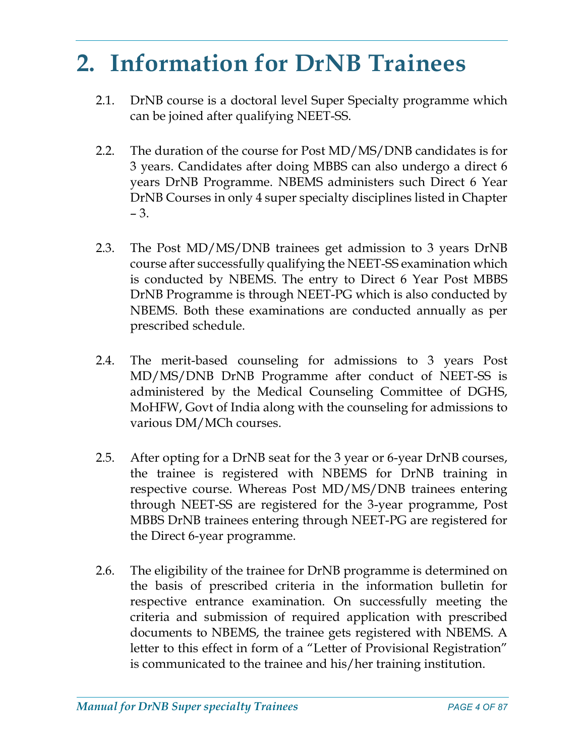# 2. Information for DrNB Trainees

- 2.1. DrNB course is a doctoral level Super Specialty programme which can be joined after qualifying NEET-SS.
- 2.2. The duration of the course for Post MD/MS/DNB candidates is for 3 years. Candidates after doing MBBS can also undergo a direct 6 years DrNB Programme. NBEMS administers such Direct 6 Year DrNB Courses in only 4 super specialty disciplines listed in Chapter – 3.
- 2.3. The Post MD/MS/DNB trainees get admission to 3 years DrNB course after successfully qualifying the NEET-SS examination which is conducted by NBEMS. The entry to Direct 6 Year Post MBBS DrNB Programme is through NEET-PG which is also conducted by NBEMS. Both these examinations are conducted annually as per prescribed schedule.
- 2.4. The merit-based counseling for admissions to 3 years Post MD/MS/DNB DrNB Programme after conduct of NEET-SS is administered by the Medical Counseling Committee of DGHS, MoHFW, Govt of India along with the counseling for admissions to various DM/MCh courses.
- 2.5. After opting for a DrNB seat for the 3 year or 6-year DrNB courses, the trainee is registered with NBEMS for DrNB training in respective course. Whereas Post MD/MS/DNB trainees entering through NEET-SS are registered for the 3-year programme, Post MBBS DrNB trainees entering through NEET-PG are registered for the Direct 6-year programme.
- 2.6. The eligibility of the trainee for DrNB programme is determined on the basis of prescribed criteria in the information bulletin for respective entrance examination. On successfully meeting the criteria and submission of required application with prescribed documents to NBEMS, the trainee gets registered with NBEMS. A letter to this effect in form of a "Letter of Provisional Registration" is communicated to the trainee and his/her training institution.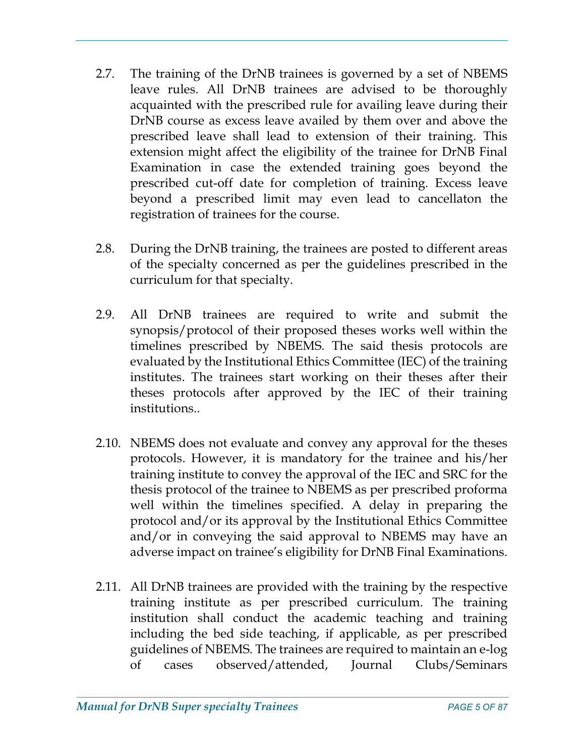- 2.7. The training of the DrNB trainees is governed by a set of NBEMS leave rules. All DrNB trainees are advised to be thoroughly acquainted with the prescribed rule for availing leave during their DrNB course as excess leave availed by them over and above the prescribed leave shall lead to extension of their training. This extension might affect the eligibility of the trainee for DrNB Final Examination in case the extended training goes beyond the prescribed cut-off date for completion of training. Excess leave beyond a prescribed limit may even lead to cancellaton the registration of trainees for the course.
- 2.8. During the DrNB training, the trainees are posted to different areas of the specialty concerned as per the guidelines prescribed in the curriculum for that specialty.
- 2.9. All DrNB trainees are required to write and submit the synopsis/protocol of their proposed theses works well within the timelines prescribed by NBEMS. The said thesis protocols are evaluated by the Institutional Ethics Committee (IEC) of the training institutes. The trainees start working on their theses after their theses protocols after approved by the IEC of their training institutions..
- 2.10. NBEMS does not evaluate and convey any approval for the theses protocols. However, it is mandatory for the trainee and his/her training institute to convey the approval of the IEC and SRC for the thesis protocol of the trainee to NBEMS as per prescribed proforma well within the timelines specified. A delay in preparing the protocol and/or its approval by the Institutional Ethics Committee and/or in conveying the said approval to NBEMS may have an adverse impact on trainee's eligibility for DrNB Final Examinations.
- 2.11. All DrNB trainees are provided with the training by the respective training institute as per prescribed curriculum. The training institution shall conduct the academic teaching and training including the bed side teaching, if applicable, as per prescribed guidelines of NBEMS. The trainees are required to maintain an e-log of cases observed/attended, Journal Clubs/Seminars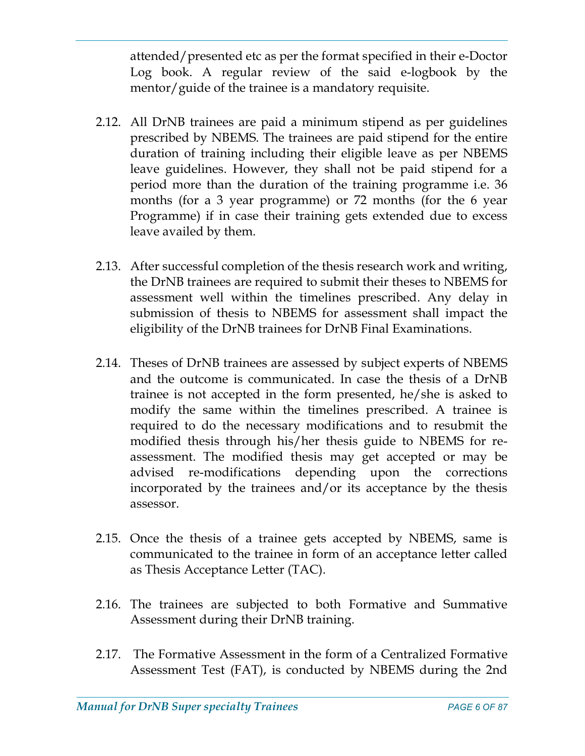attended/presented etc as per the format specified in their e-Doctor Log book. A regular review of the said e-logbook by the mentor/guide of the trainee is a mandatory requisite.

- 2.12. All DrNB trainees are paid a minimum stipend as per guidelines prescribed by NBEMS. The trainees are paid stipend for the entire duration of training including their eligible leave as per NBEMS leave guidelines. However, they shall not be paid stipend for a period more than the duration of the training programme i.e. 36 months (for a 3 year programme) or 72 months (for the 6 year Programme) if in case their training gets extended due to excess leave availed by them.
- 2.13. After successful completion of the thesis research work and writing, the DrNB trainees are required to submit their theses to NBEMS for assessment well within the timelines prescribed. Any delay in submission of thesis to NBEMS for assessment shall impact the eligibility of the DrNB trainees for DrNB Final Examinations.
- 2.14. Theses of DrNB trainees are assessed by subject experts of NBEMS and the outcome is communicated. In case the thesis of a DrNB trainee is not accepted in the form presented, he/she is asked to modify the same within the timelines prescribed. A trainee is required to do the necessary modifications and to resubmit the modified thesis through his/her thesis guide to NBEMS for reassessment. The modified thesis may get accepted or may be advised re-modifications depending upon the corrections incorporated by the trainees and/or its acceptance by the thesis assessor.
- 2.15. Once the thesis of a trainee gets accepted by NBEMS, same is communicated to the trainee in form of an acceptance letter called as Thesis Acceptance Letter (TAC).
- 2.16. The trainees are subjected to both Formative and Summative Assessment during their DrNB training.
- 2.17. The Formative Assessment in the form of a Centralized Formative Assessment Test (FAT), is conducted by NBEMS during the 2nd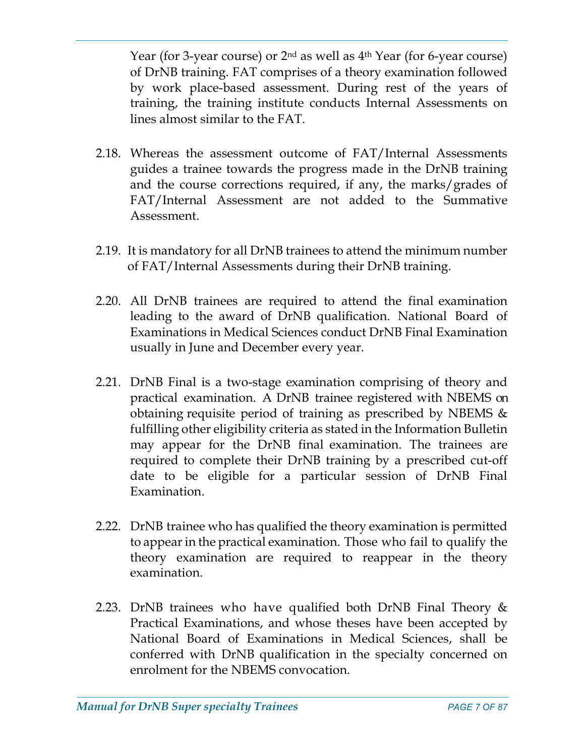Year (for 3-year course) or  $2<sup>nd</sup>$  as well as  $4<sup>th</sup>$  Year (for 6-year course) of DrNB training. FAT comprises of a theory examination followed by work place-based assessment. During rest of the years of training, the training institute conducts Internal Assessments on lines almost similar to the FAT.

- 2.18. Whereas the assessment outcome of FAT/Internal Assessments guides a trainee towards the progress made in the DrNB training and the course corrections required, if any, the marks/grades of FAT/Internal Assessment are not added to the Summative Assessment.
- 2.19. It is mandatory for all DrNB trainees to attend the minimum number of FAT/Internal Assessments during their DrNB training.
- 2.20. All DrNB trainees are required to attend the final examination leading to the award of DrNB qualification. National Board of Examinations in Medical Sciences conduct DrNB Final Examination usually in June and December every year.
- 2.21. DrNB Final is a two-stage examination comprising of theory and practical examination. A DrNB trainee registered with NBEMS on obtaining requisite period of training as prescribed by NBEMS & fulfilling other eligibility criteria as stated in the Information Bulletin may appear for the DrNB final examination. The trainees are required to complete their DrNB training by a prescribed cut-off date to be eligible for a particular session of DrNB Final Examination.
- 2.22. DrNB trainee who has qualified the theory examination is permitted to appear in the practical examination. Those who fail to qualify the theory examination are required to reappear in the theory examination.
- 2.23. DrNB trainees who have qualified both DrNB Final Theory & Practical Examinations, and whose theses have been accepted by National Board of Examinations in Medical Sciences, shall be conferred with DrNB qualification in the specialty concerned on enrolment for the NBEMS convocation.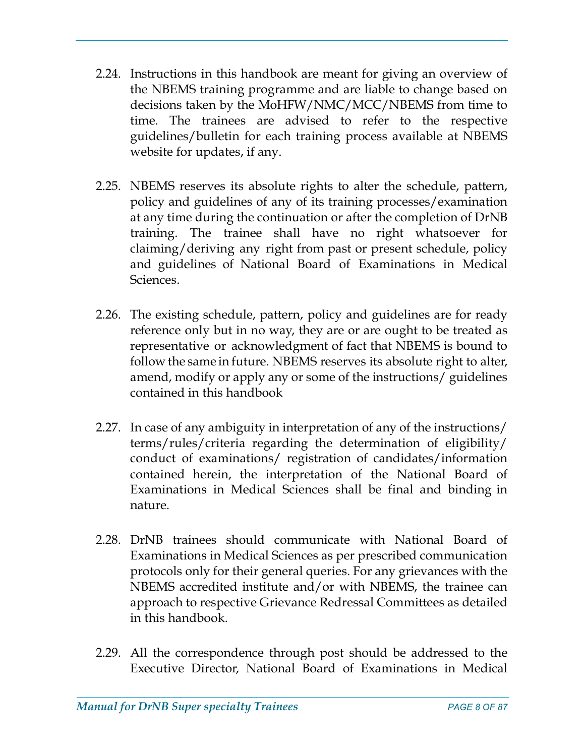- 2.24. Instructions in this handbook are meant for giving an overview of the NBEMS training programme and are liable to change based on decisions taken by the MoHFW/NMC/MCC/NBEMS from time to time. The trainees are advised to refer to the respective guidelines/bulletin for each training process available at NBEMS website for updates, if any.
- 2.25. NBEMS reserves its absolute rights to alter the schedule, pattern, policy and guidelines of any of its training processes/examination at any time during the continuation or after the completion of DrNB training. The trainee shall have no right whatsoever for claiming/deriving any right from past or present schedule, policy and guidelines of National Board of Examinations in Medical Sciences.
- 2.26. The existing schedule, pattern, policy and guidelines are for ready reference only but in no way, they are or are ought to be treated as representative or acknowledgment of fact that NBEMS is bound to follow the same in future. NBEMS reserves its absolute right to alter, amend, modify or apply any or some of the instructions/ guidelines contained in this handbook
- 2.27. In case of any ambiguity in interpretation of any of the instructions/ terms/rules/criteria regarding the determination of eligibility/ conduct of examinations/ registration of candidates/information contained herein, the interpretation of the National Board of Examinations in Medical Sciences shall be final and binding in nature.
- 2.28. DrNB trainees should communicate with National Board of Examinations in Medical Sciences as per prescribed communication protocols only for their general queries. For any grievances with the NBEMS accredited institute and/or with NBEMS, the trainee can approach to respective Grievance Redressal Committees as detailed in this handbook.
- 2.29. All the correspondence through post should be addressed to the Executive Director, National Board of Examinations in Medical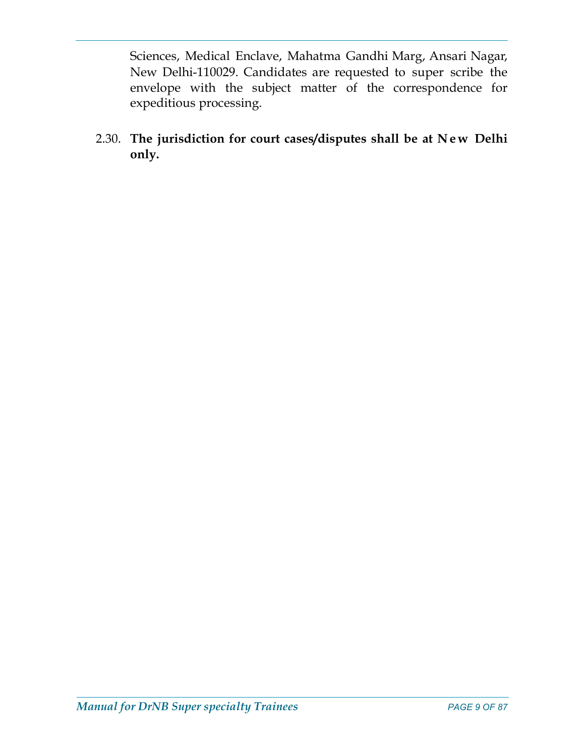Sciences, Medical Enclave, Mahatma Gandhi Marg, Ansari Nagar, New Delhi-110029. Candidates are requested to super scribe the envelope with the subject matter of the correspondence for expeditious processing. Sciences, Medical Enclave, Mahatma Gandhi Marg, Ansari Nagar,<br>New Delhi-110029. Candidates are requested to super scribe the<br>envelope with the subject matter of the correspondence for<br>expeditious processing.<br>2.30. The juri

only.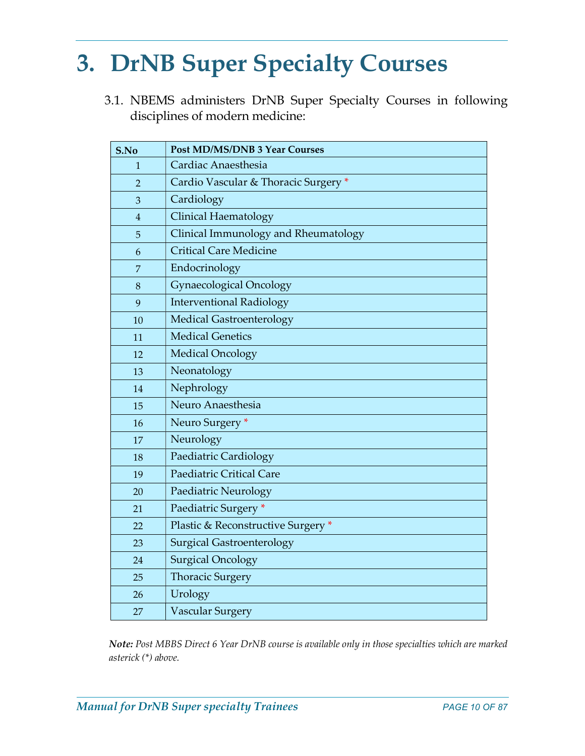# 3. DrNB Super Specialty Courses

3.1. NBEMS administers DrNB Super Specialty Courses in following disciplines of modern medicine:

| S.No           | <b>Post MD/MS/DNB 3 Year Courses</b> |
|----------------|--------------------------------------|
| 1              | Cardiac Anaesthesia                  |
| $\overline{2}$ | Cardio Vascular & Thoracic Surgery * |
| 3              | Cardiology                           |
| $\overline{4}$ | <b>Clinical Haematology</b>          |
| 5              | Clinical Immunology and Rheumatology |
| 6              | <b>Critical Care Medicine</b>        |
| $\overline{7}$ | Endocrinology                        |
| 8              | <b>Gynaecological Oncology</b>       |
| 9              | <b>Interventional Radiology</b>      |
| 10             | <b>Medical Gastroenterology</b>      |
| 11             | <b>Medical Genetics</b>              |
| 12             | <b>Medical Oncology</b>              |
| 13             | Neonatology                          |
| 14             | Nephrology                           |
| 15             | Neuro Anaesthesia                    |
| 16             | Neuro Surgery *                      |
| 17             | Neurology                            |
| 18             | Paediatric Cardiology                |
| 19             | Paediatric Critical Care             |
| 20             | Paediatric Neurology                 |
| 21             | Paediatric Surgery *                 |
| 22             | Plastic & Reconstructive Surgery *   |
| 23             | <b>Surgical Gastroenterology</b>     |
| 24             | <b>Surgical Oncology</b>             |
| 25             | <b>Thoracic Surgery</b>              |
| 26             | Urology                              |
| 27             | <b>Vascular Surgery</b>              |

Note: Post MBBS Direct 6 Year DrNB course is available only in those specialties which are marked asterick (\*) above.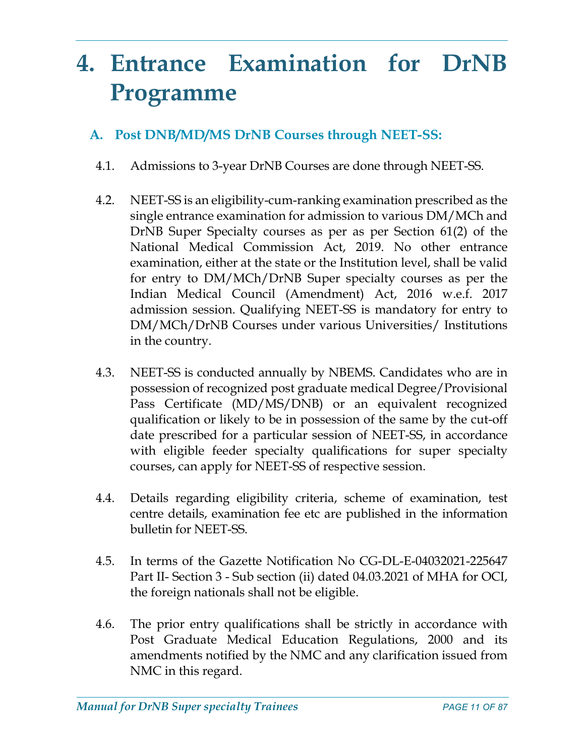# 4. Entrance Examination for DrNB Programme

# A. Post DNB/MD/MS DrNB Courses through NEET-SS:

- 4.1. Admissions to 3-year DrNB Courses are done through NEET-SS.
- 4.2. NEET-SS is an eligibility-cum-ranking examination prescribed as the single entrance examination for admission to various DM/MCh and DrNB Super Specialty courses as per as per Section 61(2) of the National Medical Commission Act, 2019. No other entrance examination, either at the state or the Institution level, shall be valid for entry to DM/MCh/DrNB Super specialty courses as per the Indian Medical Council (Amendment) Act, 2016 w.e.f. 2017 admission session. Qualifying NEET-SS is mandatory for entry to DM/MCh/DrNB Courses under various Universities/ Institutions in the country.
- 4.3. NEET-SS is conducted annually by NBEMS. Candidates who are in possession of recognized post graduate medical Degree/Provisional Pass Certificate (MD/MS/DNB) or an equivalent recognized qualification or likely to be in possession of the same by the cut-off date prescribed for a particular session of NEET-SS, in accordance with eligible feeder specialty qualifications for super specialty courses, can apply for NEET-SS of respective session.
- 4.4. Details regarding eligibility criteria, scheme of examination, test centre details, examination fee etc are published in the information bulletin for NEET-SS.
- 4.5. In terms of the Gazette Notification No CG-DL-E-04032021-225647 Part II- Section 3 - Sub section (ii) dated 04.03.2021 of MHA for OCI, the foreign nationals shall not be eligible.
- 4.6. The prior entry qualifications shall be strictly in accordance with Post Graduate Medical Education Regulations, 2000 and its amendments notified by the NMC and any clarification issued from NMC in this regard.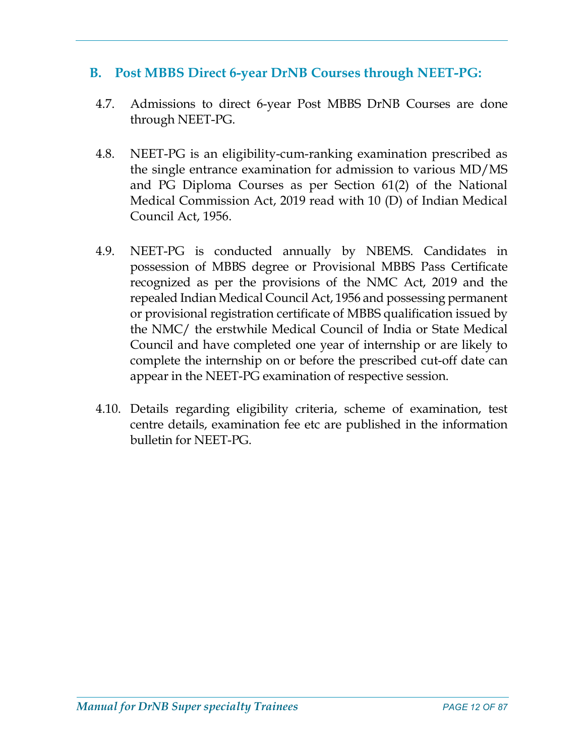# B. Post MBBS Direct 6-year DrNB Courses through NEET-PG:

- 4.7. Admissions to direct 6-year Post MBBS DrNB Courses are done through NEET-PG.
- 4.8. NEET-PG is an eligibility-cum-ranking examination prescribed as the single entrance examination for admission to various MD/MS and PG Diploma Courses as per Section 61(2) of the National Medical Commission Act, 2019 read with 10 (D) of Indian Medical Council Act, 1956.
- 4.9. NEET-PG is conducted annually by NBEMS. Candidates in possession of MBBS degree or Provisional MBBS Pass Certificate recognized as per the provisions of the NMC Act, 2019 and the repealed Indian Medical Council Act, 1956 and possessing permanent or provisional registration certificate of MBBS qualification issued by the NMC/ the erstwhile Medical Council of India or State Medical Council and have completed one year of internship or are likely to complete the internship on or before the prescribed cut-off date can appear in the NEET-PG examination of respective session.
- 4.10. Details regarding eligibility criteria, scheme of examination, test centre details, examination fee etc are published in the information bulletin for NEET-PG.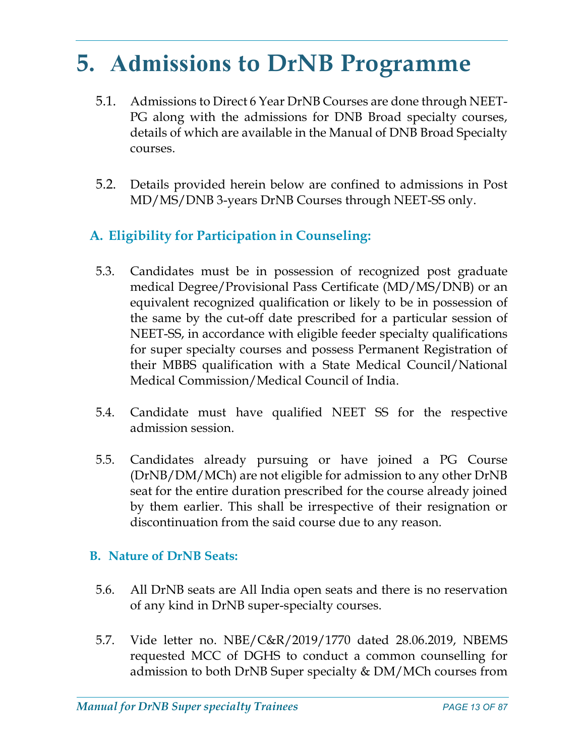# 5. Admissions to DrNB Programme

- 5.1. Admissions to Direct 6 Year DrNB Courses are done through NEET-PG along with the admissions for DNB Broad specialty courses, details of which are available in the Manual of DNB Broad Specialty courses.
- 5.2. Details provided herein below are confined to admissions in Post MD/MS/DNB 3-years DrNB Courses through NEET-SS only.

# A. Eligibility for Participation in Counseling:

- 5.3. Candidates must be in possession of recognized post graduate medical Degree/Provisional Pass Certificate (MD/MS/DNB) or an equivalent recognized qualification or likely to be in possession of the same by the cut-off date prescribed for a particular session of NEET-SS, in accordance with eligible feeder specialty qualifications for super specialty courses and possess Permanent Registration of their MBBS qualification with a State Medical Council/National Medical Commission/Medical Council of India.
- 5.4. Candidate must have qualified NEET SS for the respective admission session.
- 5.5. Candidates already pursuing or have joined a PG Course (DrNB/DM/MCh) are not eligible for admission to any other DrNB seat for the entire duration prescribed for the course already joined by them earlier. This shall be irrespective of their resignation or discontinuation from the said course due to any reason.

### B. Nature of DrNB Seats:

- 5.6. All DrNB seats are All India open seats and there is no reservation of any kind in DrNB super-specialty courses.
- 5.7. Vide letter no. NBE/C&R/2019/1770 dated 28.06.2019, NBEMS requested MCC of DGHS to conduct a common counselling for admission to both DrNB Super specialty & DM/MCh courses from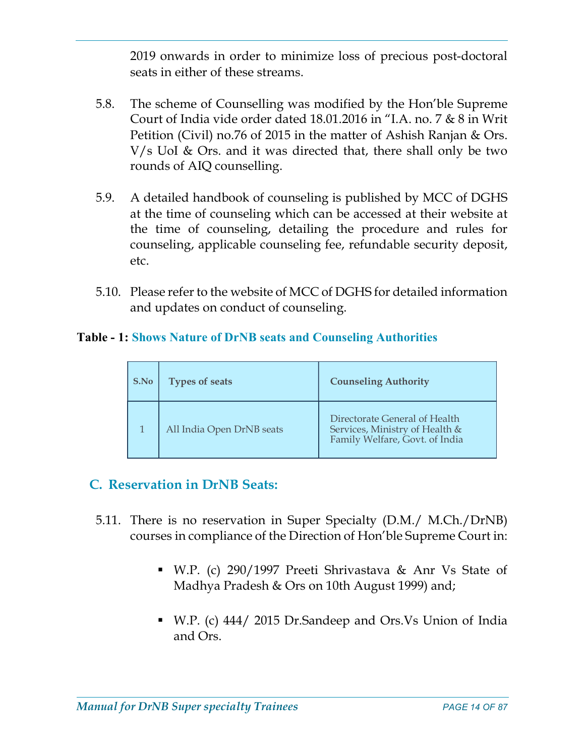2019 onwards in order to minimize loss of precious post-doctoral seats in either of these streams.

- 5.8. The scheme of Counselling was modified by the Hon'ble Supreme Court of India vide order dated 18.01.2016 in "I.A. no. 7 & 8 in Writ Petition (Civil) no.76 of 2015 in the matter of Ashish Ranjan & Ors. V/s UoI & Ors. and it was directed that, there shall only be two rounds of AIQ counselling.
- 5.9. A detailed handbook of counseling is published by MCC of DGHS at the time of counseling which can be accessed at their website at the time of counseling, detailing the procedure and rules for counseling, applicable counseling fee, refundable security deposit, etc.
- 5.10. Please refer to the website of MCC of DGHS for detailed information and updates on conduct of counseling.

### Table - 1: Shows Nature of DrNB seats and Counseling Authorities

| S.No | <b>Types of seats</b>     | <b>Counseling Authority</b>                                                                       |  |
|------|---------------------------|---------------------------------------------------------------------------------------------------|--|
|      | All India Open DrNB seats | Directorate General of Health<br>Services, Ministry of Health &<br>Family Welfare, Govt. of India |  |

# C. Reservation in DrNB Seats:

- 5.11. There is no reservation in Super Specialty (D.M./ M.Ch./DrNB) courses in compliance of the Direction of Hon'ble Supreme Court in:
	- W.P. (c) 290/1997 Preeti Shrivastava & Anr Vs State of Madhya Pradesh & Ors on 10th August 1999) and;
	- W.P. (c) 444/ 2015 Dr.Sandeep and Ors.Vs Union of India and Ors.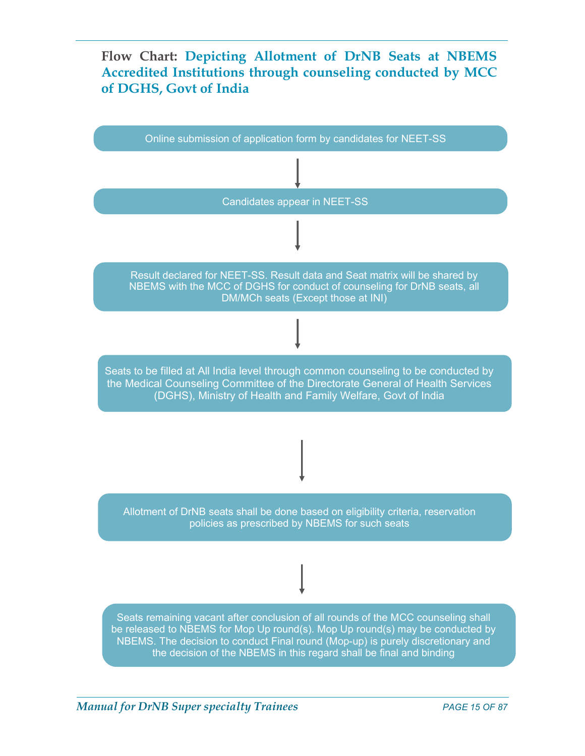## Flow Chart: Depicting Allotment of DrNB Seats at NBEMS Accredited Institutions through counseling conducted by MCC of DGHS, Govt of India

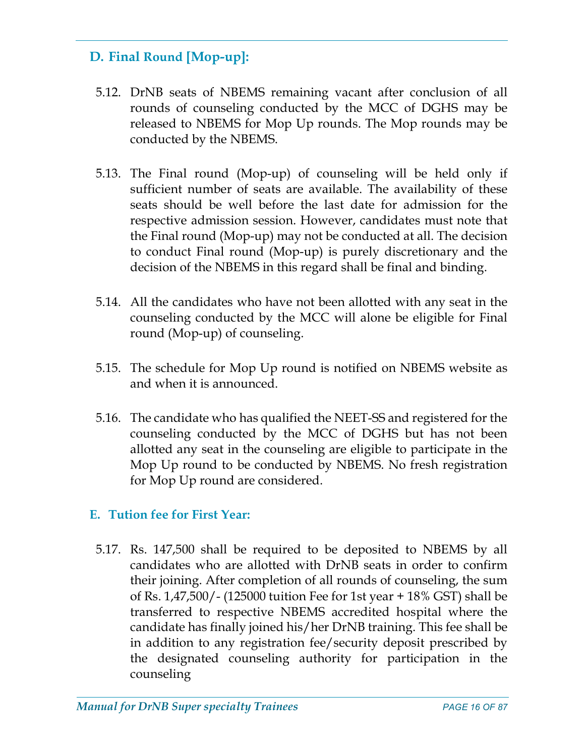# D. Final Round [Mop-up]:

- 5.12. DrNB seats of NBEMS remaining vacant after conclusion of all rounds of counseling conducted by the MCC of DGHS may be released to NBEMS for Mop Up rounds. The Mop rounds may be conducted by the NBEMS.
- 5.13. The Final round (Mop-up) of counseling will be held only if sufficient number of seats are available. The availability of these seats should be well before the last date for admission for the respective admission session. However, candidates must note that the Final round (Mop-up) may not be conducted at all. The decision to conduct Final round (Mop-up) is purely discretionary and the decision of the NBEMS in this regard shall be final and binding.
- 5.14. All the candidates who have not been allotted with any seat in the counseling conducted by the MCC will alone be eligible for Final round (Mop-up) of counseling.
- 5.15. The schedule for Mop Up round is notified on NBEMS website as and when it is announced.
- 5.16. The candidate who has qualified the NEET-SS and registered for the counseling conducted by the MCC of DGHS but has not been allotted any seat in the counseling are eligible to participate in the Mop Up round to be conducted by NBEMS. No fresh registration for Mop Up round are considered.

### E. Tution fee for First Year:

5.17. Rs. 147,500 shall be required to be deposited to NBEMS by all candidates who are allotted with DrNB seats in order to confirm their joining. After completion of all rounds of counseling, the sum of Rs. 1,47,500/- (125000 tuition Fee for 1st year + 18% GST) shall be transferred to respective NBEMS accredited hospital where the candidate has finally joined his/her DrNB training. This fee shall be in addition to any registration fee/security deposit prescribed by the designated counseling authority for participation in the counseling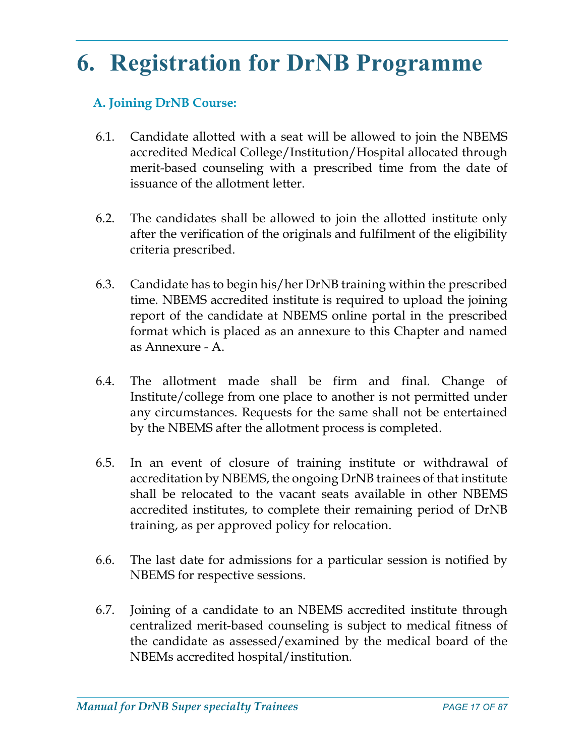# 6. Registration for DrNB Programme

# A. Joining DrNB Course:

- 6.1. Candidate allotted with a seat will be allowed to join the NBEMS accredited Medical College/Institution/Hospital allocated through merit-based counseling with a prescribed time from the date of issuance of the allotment letter.
- 6.2. The candidates shall be allowed to join the allotted institute only after the verification of the originals and fulfilment of the eligibility criteria prescribed.
- 6.3. Candidate has to begin his/her DrNB training within the prescribed time. NBEMS accredited institute is required to upload the joining report of the candidate at NBEMS online portal in the prescribed format which is placed as an annexure to this Chapter and named as Annexure - A.
- 6.4. The allotment made shall be firm and final. Change of Institute/college from one place to another is not permitted under any circumstances. Requests for the same shall not be entertained by the NBEMS after the allotment process is completed.
- 6.5. In an event of closure of training institute or withdrawal of accreditation by NBEMS, the ongoing DrNB trainees of that institute shall be relocated to the vacant seats available in other NBEMS accredited institutes, to complete their remaining period of DrNB training, as per approved policy for relocation.
- 6.6. The last date for admissions for a particular session is notified by NBEMS for respective sessions.
- 6.7. Joining of a candidate to an NBEMS accredited institute through centralized merit-based counseling is subject to medical fitness of the candidate as assessed/examined by the medical board of the NBEMs accredited hospital/institution.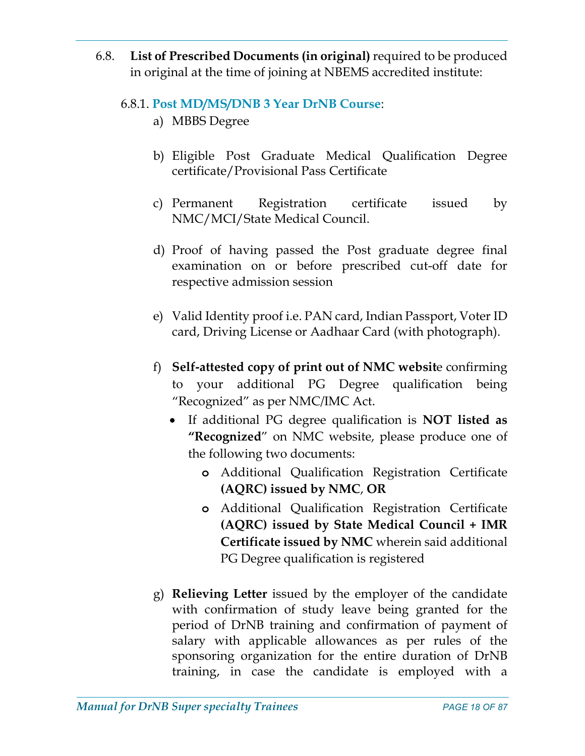6.8. List of Prescribed Documents (in original) required to be produced in original at the time of joining at NBEMS accredited institute:

### 6.8.1. Post MD/MS/DNB 3 Year DrNB Course:

- a) MBBS Degree
- b) Eligible Post Graduate Medical Qualification Degree certificate/Provisional Pass Certificate
- c) Permanent Registration certificate issued by NMC/MCI/State Medical Council.
- d) Proof of having passed the Post graduate degree final examination on or before prescribed cut-off date for respective admission session
- e) Valid Identity proof i.e. PAN card, Indian Passport, Voter ID card, Driving License or Aadhaar Card (with photograph).
- f) Self-attested copy of print out of NMC website confirming to your additional PG Degree qualification being "Recognized" as per NMC/IMC Act.
	- If additional PG degree qualification is **NOT listed as** "Recognized" on NMC website, please produce one of the following two documents:
		- o Additional Qualification Registration Certificate (AQRC) issued by NMC, OR
		- o Additional Qualification Registration Certificate (AQRC) issued by State Medical Council + IMR Certificate issued by NMC wherein said additional PG Degree qualification is registered
- g) Relieving Letter issued by the employer of the candidate with confirmation of study leave being granted for the period of DrNB training and confirmation of payment of salary with applicable allowances as per rules of the sponsoring organization for the entire duration of DrNB training, in case the candidate is employed with a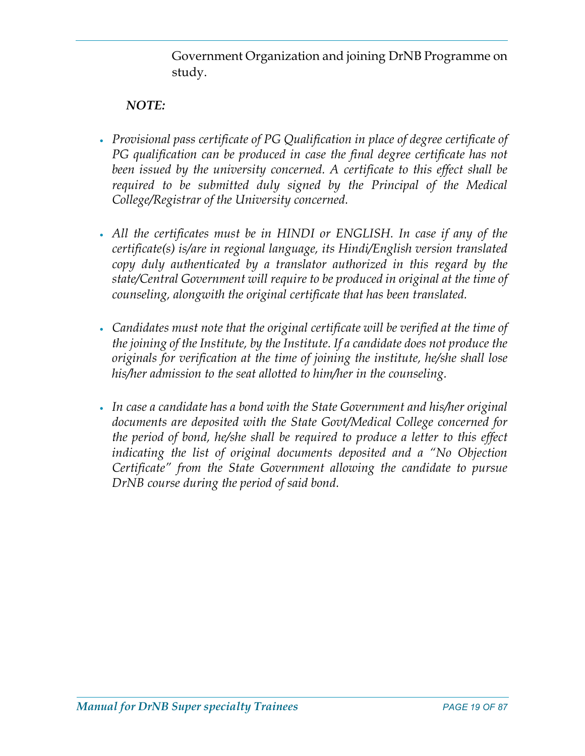Government Organization and joining DrNB Programme on study.

### NOTE:

- Provisional pass certificate of PG Qualification in place of degree certificate of PG qualification can be produced in case the final degree certificate has not been issued by the university concerned. A certificate to this effect shall be required to be submitted duly signed by the Principal of the Medical College/Registrar of the University concerned.
- All the certificates must be in HINDI or ENGLISH. In case if any of the certificate(s) is/are in regional language, its Hindi/English version translated copy duly authenticated by a translator authorized in this regard by the state/Central Government will require to be produced in original at the time of counseling, alongwith the original certificate that has been translated.
- Candidates must note that the original certificate will be verified at the time of the joining of the Institute, by the Institute. If a candidate does not produce the originals for verification at the time of joining the institute, he/she shall lose his/her admission to the seat allotted to him/her in the counseling.
- In case a candidate has a bond with the State Government and his/her original documents are deposited with the State Govt/Medical College concerned for the period of bond, he/she shall be required to produce a letter to this effect indicating the list of original documents deposited and a "No Objection Certificate" from the State Government allowing the candidate to pursue DrNB course during the period of said bond.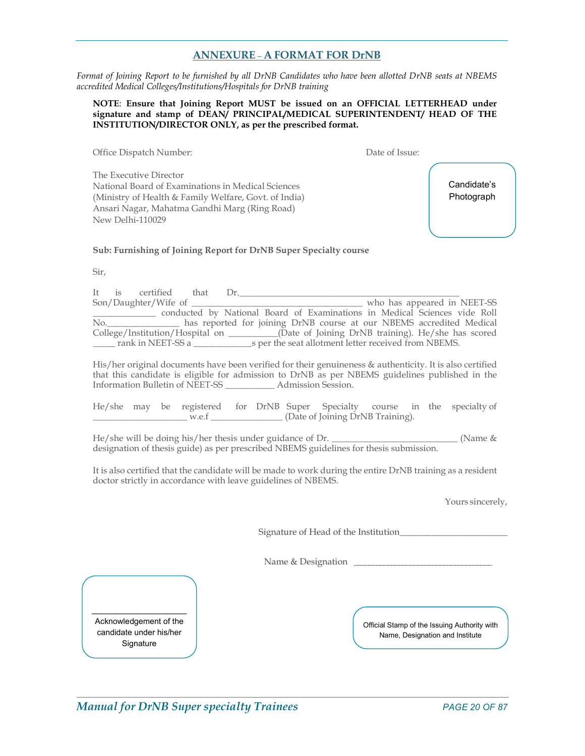#### ANNEXURE – A FORMAT FOR DrNB

Format of Joining Report to be furnished by all DrNB Candidates who have been allotted DrNB seats at NBEMS accredited Medical Colleges/Institutions/Hospitals for DrNB training

#### NOTE: Ensure that Joining Report MUST be issued on an OFFICIAL LETTERHEAD under signature and stamp of DEAN/ PRINCIPAL/MEDICAL SUPERINTENDENT/ HEAD OF THE INSTITUTION/DIRECTOR ONLY, as per the prescribed format.

Office Dispatch Number: Date of Issue:

The Executive Director National Board of Examinations in Medical Sciences (Ministry of Health & Family Welfare, Govt. of India) Ansari Nagar, Mahatma Gandhi Marg (Ring Road) New Delhi-110029

Candidate's **Photograph** 

#### Sub: Furnishing of Joining Report for DrNB Super Specialty course

Sir,

| It is | certified                   | that | $1$ r. |                                                                                               |
|-------|-----------------------------|------|--------|-----------------------------------------------------------------------------------------------|
|       |                             |      |        | who has appeared in NEET-SS                                                                   |
|       |                             |      |        | conducted by National Board of Examinations in Medical Sciences vide Roll                     |
|       | $\mathbb{N}^{\mathbb{O}}$ . |      |        | has reported for joining DrNB course at our NBEMS accredited Medical                          |
|       |                             |      |        | College/Institution/Hospital on ___________(Date of Joining DrNB training). He/she has scored |
|       | rank in NEET-SS a           |      |        | s per the seat allotment letter received from NBEMS.                                          |

His/her original documents have been verified for their genuineness & authenticity. It is also certified that this candidate is eligible for admission to DrNB as per NBEMS guidelines published in the Information Bulletin of NEET-SS \_\_\_\_\_\_\_\_\_\_\_ Admission Session.

He/she may be registered for DrNB Super Specialty course in the specialty of w.e.f (Date of Joining DrNB Training).

He/she will be doing his/her thesis under guidance of Dr. \_\_\_\_\_\_\_\_\_\_\_\_\_\_\_\_\_\_\_\_\_\_\_\_\_\_\_\_ (Name & designation of thesis guide) as per prescribed NBEMS guidelines for thesis submission.

It is also certified that the candidate will be made to work during the entire DrNB training as a resident doctor strictly in accordance with leave guidelines of NBEMS.

Yours sincerely,

Signature of Head of the Institution\_\_\_\_\_\_\_\_\_\_\_\_\_\_\_\_\_\_\_\_\_\_\_\_

Name & Designation \_

Acknowledgement of the candidate under his/her **Signature** 

Official Stamp of the Issuing Authority with Name, Designation and Institute

Manual for DrNB Super specialty Trainees example 20 OF 87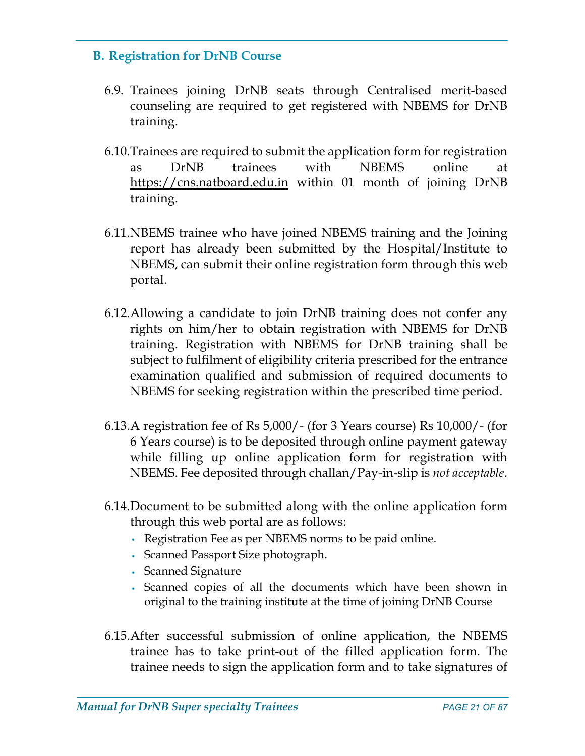### B. Registration for DrNB Course

- 6.9. Trainees joining DrNB seats through Centralised merit-based counseling are required to get registered with NBEMS for DrNB training.
- 6.10.Trainees are required to submit the application form for registration as DrNB trainees with NBEMS online at https://cns.natboard.edu.in within 01 month of joining DrNB training.
- 6.11.NBEMS trainee who have joined NBEMS training and the Joining report has already been submitted by the Hospital/Institute to NBEMS, can submit their online registration form through this web portal.
- 6.12.Allowing a candidate to join DrNB training does not confer any rights on him/her to obtain registration with NBEMS for DrNB training. Registration with NBEMS for DrNB training shall be subject to fulfilment of eligibility criteria prescribed for the entrance examination qualified and submission of required documents to NBEMS for seeking registration within the prescribed time period.
- 6.13.A registration fee of Rs 5,000/- (for 3 Years course) Rs 10,000/- (for 6 Years course) is to be deposited through online payment gateway while filling up online application form for registration with NBEMS. Fee deposited through challan/Pay-in-slip is not acceptable.
- 6.14.Document to be submitted along with the online application form through this web portal are as follows:
	- Registration Fee as per NBEMS norms to be paid online.
	- Scanned Passport Size photograph.
	- Scanned Signature
	- Scanned copies of all the documents which have been shown in original to the training institute at the time of joining DrNB Course
- 6.15.After successful submission of online application, the NBEMS trainee has to take print-out of the filled application form. The trainee needs to sign the application form and to take signatures of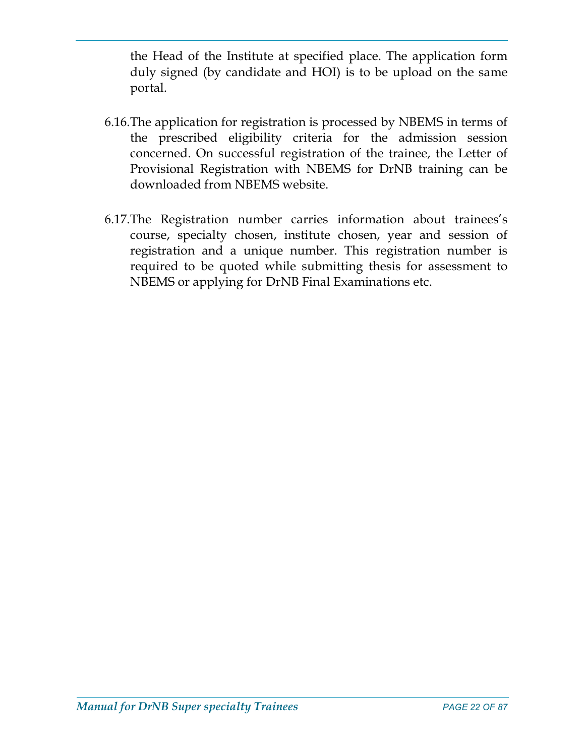the Head of the Institute at specified place. The application form duly signed (by candidate and HOI) is to be upload on the same portal.

- 6.16.The application for registration is processed by NBEMS in terms of the prescribed eligibility criteria for the admission session concerned. On successful registration of the trainee, the Letter of Provisional Registration with NBEMS for DrNB training can be downloaded from NBEMS website.
- 6.17.The Registration number carries information about trainees's course, specialty chosen, institute chosen, year and session of registration and a unique number. This registration number is required to be quoted while submitting thesis for assessment to NBEMS or applying for DrNB Final Examinations etc.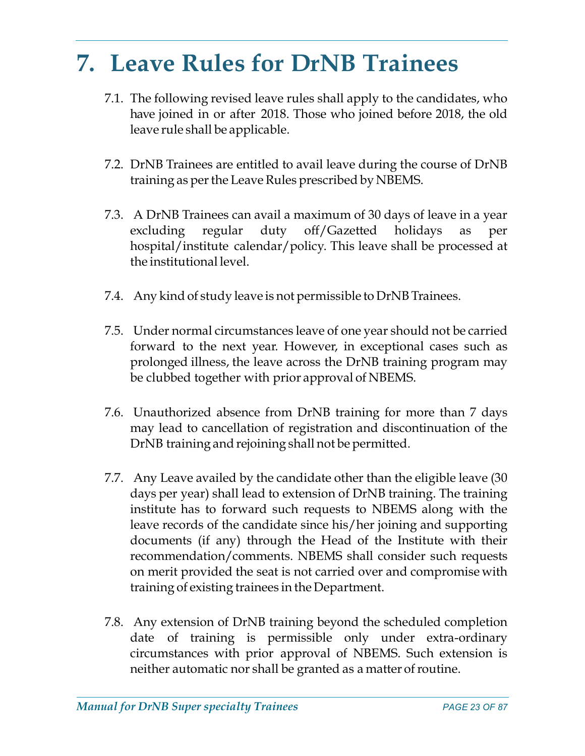# 7. Leave Rules for DrNB Trainees

- 7.1. The following revised leave rules shall apply to the candidates, who have joined in or after 2018. Those who joined before 2018, the old leave rule shall be applicable.
- 7.2. DrNB Trainees are entitled to avail leave during the course of DrNB training as per the Leave Rules prescribed by NBEMS.
- 7.3. A DrNB Trainees can avail a maximum of 30 days of leave in a year excluding regular duty off/Gazetted holidays as per hospital/institute calendar/policy. This leave shall be processed at the institutional level.
- 7.4. Any kind of study leave is not permissible to DrNB Trainees.
- 7.5. Under normal circumstances leave of one year should not be carried forward to the next year. However, in exceptional cases such as prolonged illness, the leave across the DrNB training program may be clubbed together with prior approval of NBEMS.
- 7.6. Unauthorized absence from DrNB training for more than 7 days may lead to cancellation of registration and discontinuation of the DrNB training and rejoining shall not be permitted.
- 7.7. Any Leave availed by the candidate other than the eligible leave (30 days per year) shall lead to extension of DrNB training. The training institute has to forward such requests to NBEMS along with the leave records of the candidate since his/her joining and supporting documents (if any) through the Head of the Institute with their recommendation/comments. NBEMS shall consider such requests on merit provided the seat is not carried over and compromise with training of existing trainees in the Department.
- 7.8. Any extension of DrNB training beyond the scheduled completion date of training is permissible only under extra-ordinary circumstances with prior approval of NBEMS. Such extension is neither automatic nor shall be granted as a matter of routine.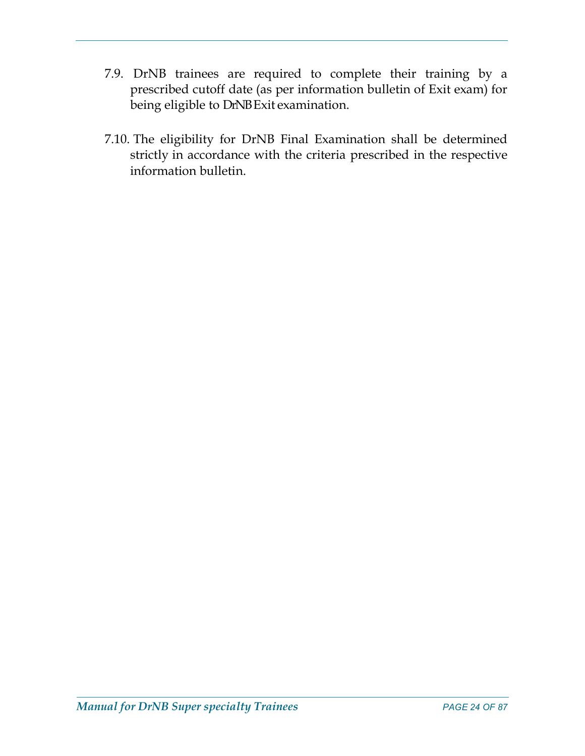- 7.9. DrNB trainees are required to complete their training by a prescribed cutoff date (as per information bulletin of Exit exam) for being eligible to DrNB Exit examination.
- 7.10. The eligibility for DrNB Final Examination shall be determined strictly in accordance with the criteria prescribed in the respective information bulletin.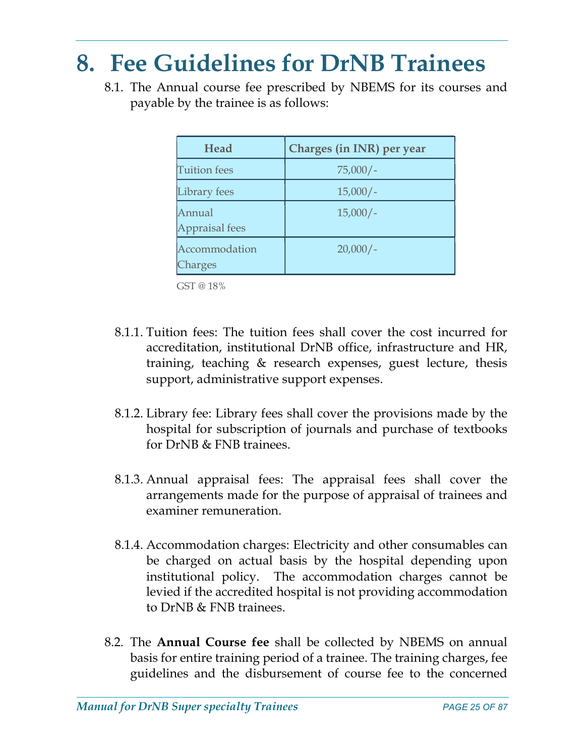# 8. Fee Guidelines for DrNB Trainees

8.1. The Annual course fee prescribed by NBEMS for its courses and payable by the trainee is as follows:

| Head                     | Charges (in INR) per year |
|--------------------------|---------------------------|
| <b>Tuition</b> fees      | $75,000/-$                |
| Library fees             | $15,000/-$                |
| Annual<br>Appraisal fees | $15,000/-$                |
| Accommodation<br>Charges | $20,000/-$                |

GST @ 18%

- 8.1.1. Tuition fees: The tuition fees shall cover the cost incurred for accreditation, institutional DrNB office, infrastructure and HR, training, teaching & research expenses, guest lecture, thesis support, administrative support expenses.
- 8.1.2. Library fee: Library fees shall cover the provisions made by the hospital for subscription of journals and purchase of textbooks for DrNB & FNB trainees.
- 8.1.3. Annual appraisal fees: The appraisal fees shall cover the arrangements made for the purpose of appraisal of trainees and examiner remuneration.
- 8.1.4. Accommodation charges: Electricity and other consumables can be charged on actual basis by the hospital depending upon institutional policy. The accommodation charges cannot be levied if the accredited hospital is not providing accommodation to DrNB & FNB trainees.
- 8.2. The Annual Course fee shall be collected by NBEMS on annual basis for entire training period of a trainee. The training charges, fee guidelines and the disbursement of course fee to the concerned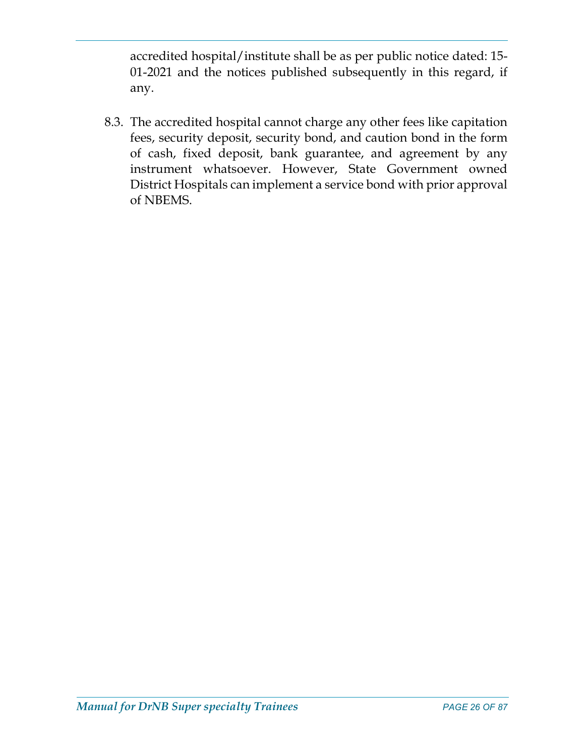accredited hospital/institute shall be as per public notice dated: 15- 01-2021 and the notices published subsequently in this regard, if any.

8.3. The accredited hospital cannot charge any other fees like capitation fees, security deposit, security bond, and caution bond in the form of cash, fixed deposit, bank guarantee, and agreement by any instrument whatsoever. However, State Government owned District Hospitals can implement a service bond with prior approval of NBEMS.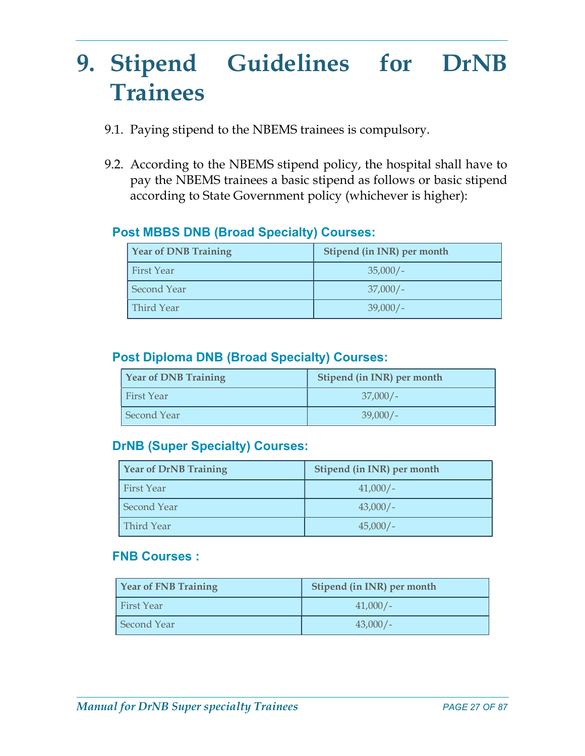# 9. Stipend Guidelines for DrNB Trainees

- 9.1. Paying stipend to the NBEMS trainees is compulsory.
- 9.2. According to the NBEMS stipend policy, the hospital shall have to pay the NBEMS trainees a basic stipend as follows or basic stipend according to State Government policy (whichever is higher):

### Post MBBS DNB (Broad Specialty) Courses:

| <b>Year of DNB Training</b> | Stipend (in INR) per month |
|-----------------------------|----------------------------|
| <b>First Year</b>           | $35,000/-$                 |
| <b>Second Year</b>          | $37,000/-$                 |
| Third Year                  | $39,000/-$                 |

### Post Diploma DNB (Broad Specialty) Courses:

| <b>Year of DNB Training</b> | Stipend (in INR) per month |
|-----------------------------|----------------------------|
| l First Year                | $37,000/-$                 |
| <b>Second Year</b>          | $39,000/-$                 |

### DrNB (Super Specialty) Courses:

| Year of DrNB Training | Stipend (in INR) per month |
|-----------------------|----------------------------|
| First Year            | $41,000/-$                 |
| <b>Second Year</b>    | $43,000/-$                 |
| Third Year            | $45,000/-$                 |

### FNB Courses :

| Year of FNB Training | Stipend (in INR) per month |
|----------------------|----------------------------|
| <b>First Year</b>    | $41,000/-$                 |
| Second Year          | $43,000/-$                 |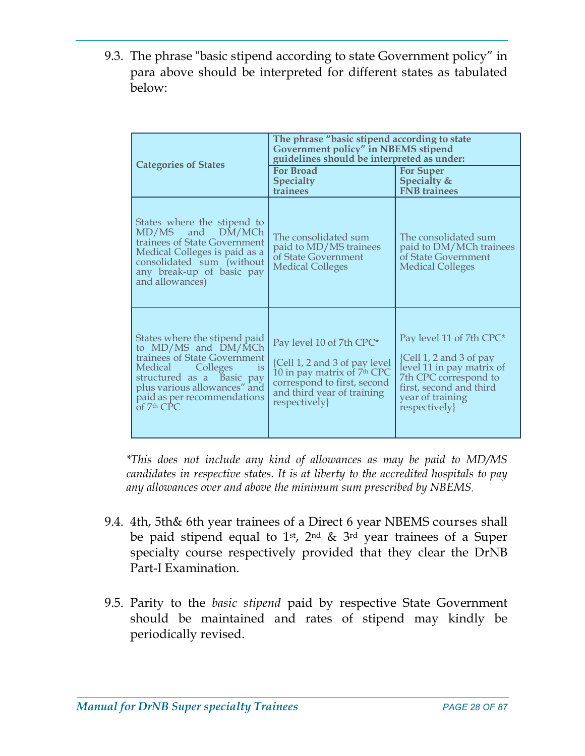9.3. The phrase "basic stipend according to state Government policy" in para above should be interpreted for different states as tabulated below:

| <b>Categories of States</b>                                                                                                                                                                                                               | The phrase "basic stipend according to state<br>Government policy" in NBEMS stipend<br>guidelines should be interpreted as under:                                                 |                                                                                                                                                                                                 |  |
|-------------------------------------------------------------------------------------------------------------------------------------------------------------------------------------------------------------------------------------------|-----------------------------------------------------------------------------------------------------------------------------------------------------------------------------------|-------------------------------------------------------------------------------------------------------------------------------------------------------------------------------------------------|--|
|                                                                                                                                                                                                                                           | <b>For Broad</b><br><b>Specialty</b><br>trainees                                                                                                                                  | <b>For Super</b><br>Specialty &<br><b>FNB</b> trainees                                                                                                                                          |  |
| States where the stipend to<br>DM/MCh<br>MD/MS and<br>trainees of State Government<br>Medical Colleges is paid as a<br>consolidated sum (without<br>any break-up of basic pay<br>and allowances)                                          | The consolidated sum<br>paid to MD/MS trainees<br>of State Government<br><b>Medical Colleges</b>                                                                                  | The consolidated sum<br>paid to DM/MCh trainees<br>of State Government<br><b>Medical Colleges</b>                                                                                               |  |
| States where the stipend paid<br>to MD/MS and DM/MCh<br>trainees of State Government<br>$\frac{1}{15}$<br>Medical<br>Colleges<br>structured as a Basic pay<br>plus various allowances" and<br>paid as per recommendations<br>of $7th$ CPC | Pay level 10 of 7th CPC*<br>{Cell 1, 2 and 3 of pay level<br>10 in pay matrix of 7 <sup>th</sup> CPC<br>correspond to first, second<br>and third year of training<br>respectively | Pay level 11 of 7th CPC*<br>$\{Cell\ 1, 2 \text{ and } 3 \text{ of pay}\$<br>level 11 in pay matrix of<br>7th CPC correspond to<br>first, second and third<br>year of training<br>respectively} |  |

\*This does not include any kind of allowances as may be paid to MD/MS candidates in respective states. It is at liberty to the accredited hospitals to pay any allowances over and above the minimum sum prescribed by NBEMS.

- 9.4. 4th, 5th& 6th year trainees of a Direct 6 year NBEMS courses shall be paid stipend equal to 1<sup>st</sup>, 2<sup>nd</sup> & 3<sup>rd</sup> year trainees of a Super specialty course respectively provided that they clear the DrNB Part-I Examination.
- 9.5. Parity to the *basic stipend* paid by respective State Government should be maintained and rates of stipend may kindly be periodically revised.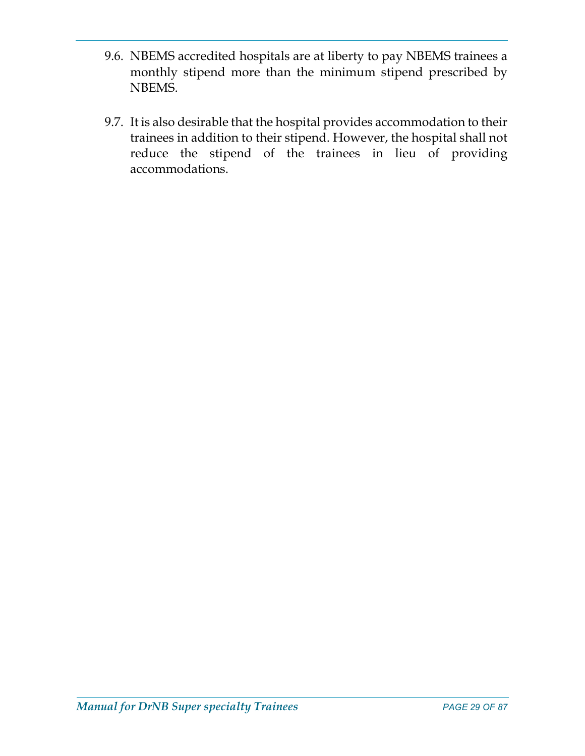- 9.6. NBEMS accredited hospitals are at liberty to pay NBEMS trainees a monthly stipend more than the minimum stipend prescribed by NBEMS.
- 9.7. It is also desirable that the hospital provides accommodation to their trainees in addition to their stipend. However, the hospital shall not reduce the stipend of the trainees in lieu of providing accommodations.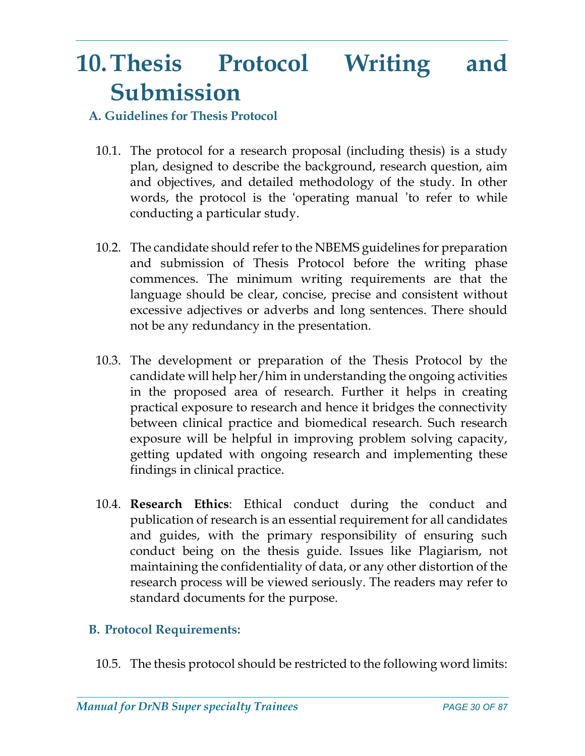# 10.Thesis Protocol Writing and Submission

## A. Guidelines for Thesis Protocol

- 10.1. The protocol for a research proposal (including thesis) is a study plan, designed to describe the background, research question, aim and objectives, and detailed methodology of the study. In other words, the protocol is the 'operating manual 'to refer to while conducting a particular study.
- 10.2. The candidate should refer to the NBEMS guidelines for preparation and submission of Thesis Protocol before the writing phase commences. The minimum writing requirements are that the language should be clear, concise, precise and consistent without excessive adjectives or adverbs and long sentences. There should not be any redundancy in the presentation.
- 10.3. The development or preparation of the Thesis Protocol by the candidate will help her/him in understanding the ongoing activities in the proposed area of research. Further it helps in creating practical exposure to research and hence it bridges the connectivity between clinical practice and biomedical research. Such research exposure will be helpful in improving problem solving capacity, getting updated with ongoing research and implementing these findings in clinical practice.
- 10.4. Research Ethics: Ethical conduct during the conduct and publication of research is an essential requirement for all candidates and guides, with the primary responsibility of ensuring such conduct being on the thesis guide. Issues like Plagiarism, not maintaining the confidentiality of data, or any other distortion of the research process will be viewed seriously. The readers may refer to standard documents for the purpose.

# B. Protocol Requirements:

10.5. The thesis protocol should be restricted to the following word limits: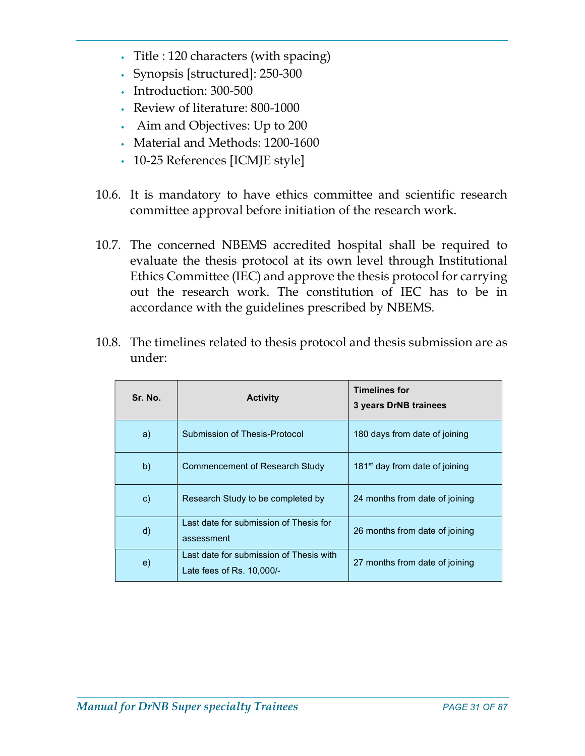- Title : 120 characters (with spacing)
- Synopsis [structured]: 250-300
- Introduction: 300-500
- Review of literature: 800-1000
- Aim and Objectives: Up to 200
- Material and Methods: 1200-1600
- 10-25 References [ICMJE style]
- 10.6. It is mandatory to have ethics committee and scientific research committee approval before initiation of the research work.
- 10.7. The concerned NBEMS accredited hospital shall be required to evaluate the thesis protocol at its own level through Institutional Ethics Committee (IEC) and approve the thesis protocol for carrying out the research work. The constitution of IEC has to be in accordance with the guidelines prescribed by NBEMS.

| 10.8. The timelines related to thesis protocol and thesis submission are as |
|-----------------------------------------------------------------------------|
| under:                                                                      |

| Sr. No.       | <b>Activity</b>                                                        | <b>Timelines for</b><br>3 years DrNB trainees |
|---------------|------------------------------------------------------------------------|-----------------------------------------------|
| a)            | Submission of Thesis-Protocol                                          | 180 days from date of joining                 |
| b)            | Commencement of Research Study                                         | 181 <sup>st</sup> day from date of joining    |
| $\mathsf{c})$ | Research Study to be completed by                                      | 24 months from date of joining                |
| $\mathsf{d}$  | Last date for submission of Thesis for<br>assessment                   | 26 months from date of joining                |
| $\epsilon$    | Last date for submission of Thesis with<br>Late fees of $Rs. 10,000/-$ | 27 months from date of joining                |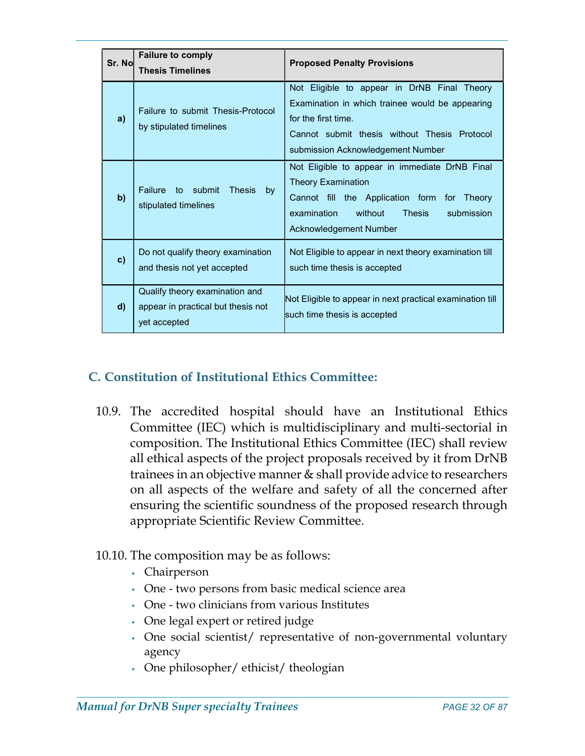| Sr. Nol      | <b>Failure to comply</b><br><b>Thesis Timelines</b>                                  | <b>Proposed Penalty Provisions</b>                                                                                                                                                                         |  |  |  |
|--------------|--------------------------------------------------------------------------------------|------------------------------------------------------------------------------------------------------------------------------------------------------------------------------------------------------------|--|--|--|
| a)           | Failure to submit Thesis-Protocol<br>by stipulated timelines                         | Not Eligible to appear in DrNB Final Theory<br>Examination in which trainee would be appearing<br>for the first time.<br>Cannot submit thesis without Thesis Protocol<br>submission Acknowledgement Number |  |  |  |
| b)           | Failure to submit Thesis<br>by<br>stipulated timelines                               | Not Eligible to appear in immediate DrNB Final<br><b>Theory Examination</b><br>Cannot fill the Application form for Theory<br>examination<br>without<br>Thesis<br>submission<br>Acknowledgement Number     |  |  |  |
| $\mathbf{c}$ | Do not qualify theory examination<br>and thesis not yet accepted                     | Not Eligible to appear in next theory examination till<br>such time thesis is accepted                                                                                                                     |  |  |  |
| $\mathsf{d}$ | Qualify theory examination and<br>appear in practical but thesis not<br>yet accepted | Not Eligible to appear in next practical examination till<br>such time thesis is accepted                                                                                                                  |  |  |  |

## C. Constitution of Institutional Ethics Committee:

10.9. The accredited hospital should have an Institutional Ethics Committee (IEC) which is multidisciplinary and multi-sectorial in composition. The Institutional Ethics Committee (IEC) shall review all ethical aspects of the project proposals received by it from DrNB trainees in an objective manner & shall provide advice to researchers on all aspects of the welfare and safety of all the concerned after ensuring the scientific soundness of the proposed research through appropriate Scientific Review Committee.

### 10.10. The composition may be as follows:

- Chairperson
- One two persons from basic medical science area
- One two clinicians from various Institutes
- One legal expert or retired judge
- One social scientist/ representative of non-governmental voluntary agency
- One philosopher/ ethicist/ theologian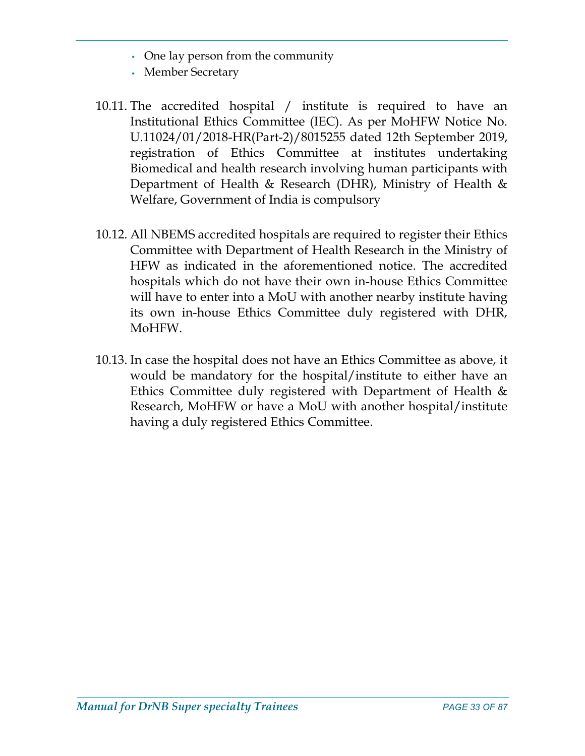- One lay person from the community
- Member Secretary
- 10.11. The accredited hospital / institute is required to have an Institutional Ethics Committee (IEC). As per MoHFW Notice No. U.11024/01/2018-HR(Part-2)/8015255 dated 12th September 2019, registration of Ethics Committee at institutes undertaking Biomedical and health research involving human participants with Department of Health & Research (DHR), Ministry of Health & Welfare, Government of India is compulsory
- 10.12. All NBEMS accredited hospitals are required to register their Ethics Committee with Department of Health Research in the Ministry of HFW as indicated in the aforementioned notice. The accredited hospitals which do not have their own in-house Ethics Committee will have to enter into a MoU with another nearby institute having its own in-house Ethics Committee duly registered with DHR, MoHFW.
- 10.13. In case the hospital does not have an Ethics Committee as above, it would be mandatory for the hospital/institute to either have an Ethics Committee duly registered with Department of Health & Research, MoHFW or have a MoU with another hospital/institute having a duly registered Ethics Committee.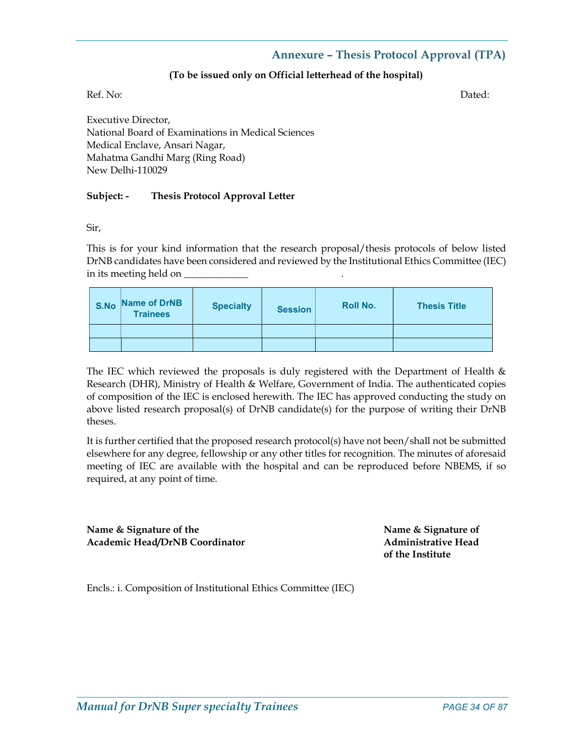#### Annexure – Thesis Protocol Approval (TPA)

#### (To be issued only on Official letterhead of the hospital)

Ref. No: Dated:

Executive Director, National Board of Examinations in Medical Sciences Medical Enclave, Ansari Nagar, Mahatma Gandhi Marg (Ring Road) New Delhi-110029

#### Subject: - Thesis Protocol Approval Letter

Sir,

This is for your kind information that the research proposal/thesis protocols of below listed DrNB candidates have been considered and reviewed by the Institutional Ethics Committee (IEC) in its meeting held on \_\_\_\_\_\_\_

| S.No | Name of DrNB<br><b>Trainees</b> | <b>Specialty</b> | <b>Session</b> | <b>Roll No.</b> | <b>Thesis Title</b> |
|------|---------------------------------|------------------|----------------|-----------------|---------------------|
|      |                                 |                  |                |                 |                     |
|      |                                 |                  |                |                 |                     |

The IEC which reviewed the proposals is duly registered with the Department of Health  $\&$ Research (DHR), Ministry of Health & Welfare, Government of India. The authenticated copies of composition of the IEC is enclosed herewith. The IEC has approved conducting the study on above listed research proposal(s) of DrNB candidate(s) for the purpose of writing their DrNB theses.

It is further certified that the proposed research protocol(s) have not been/shall not be submitted elsewhere for any degree, fellowship or any other titles for recognition. The minutes of aforesaid meeting of IEC are available with the hospital and can be reproduced before NBEMS, if so required, at any point of time.

Name & Signature of the Name & Signature of the Name & Signature of Academic Head/DrNB Coordinator **Administrative Head** 

of the Institute

Encls.: i. Composition of Institutional Ethics Committee (IEC)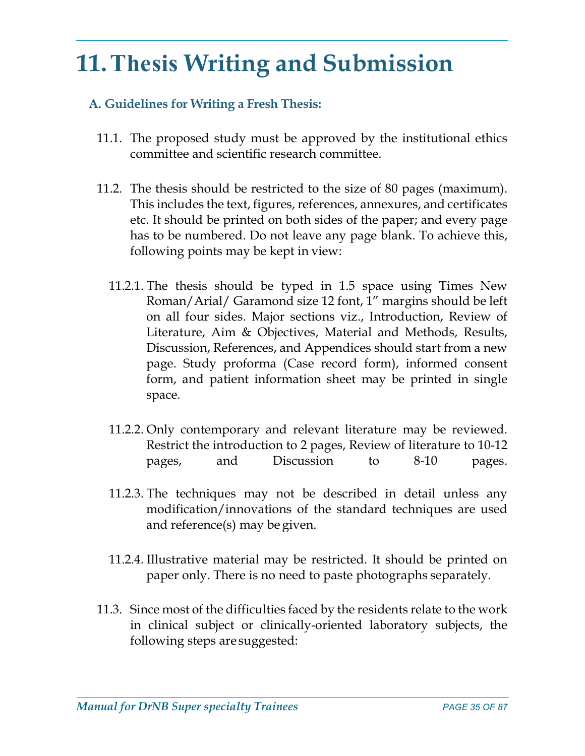# 11.Thesis Writing and Submission

# A. Guidelines for Writing a Fresh Thesis:

- 11.1. The proposed study must be approved by the institutional ethics committee and scientific research committee.
- 11.2. The thesis should be restricted to the size of 80 pages (maximum). This includes the text, figures, references, annexures, and certificates etc. It should be printed on both sides of the paper; and every page has to be numbered. Do not leave any page blank. To achieve this, following points may be kept in view:
	- 11.2.1. The thesis should be typed in 1.5 space using Times New Roman/Arial/ Garamond size 12 font, 1" margins should be left on all four sides. Major sections viz., Introduction, Review of Literature, Aim & Objectives, Material and Methods, Results, Discussion, References, and Appendices should start from a new page. Study proforma (Case record form), informed consent form, and patient information sheet may be printed in single space.
	- 11.2.2. Only contemporary and relevant literature may be reviewed. Restrict the introduction to 2 pages, Review of literature to 10-12 pages, and Discussion to 8-10 pages.
	- 11.2.3. The techniques may not be described in detail unless any modification/innovations of the standard techniques are used and reference(s) may be given.
	- 11.2.4. Illustrative material may be restricted. It should be printed on paper only. There is no need to paste photographs separately.
- 11.3. Since most of the difficulties faced by the residents relate to the work in clinical subject or clinically-oriented laboratory subjects, the following steps are suggested: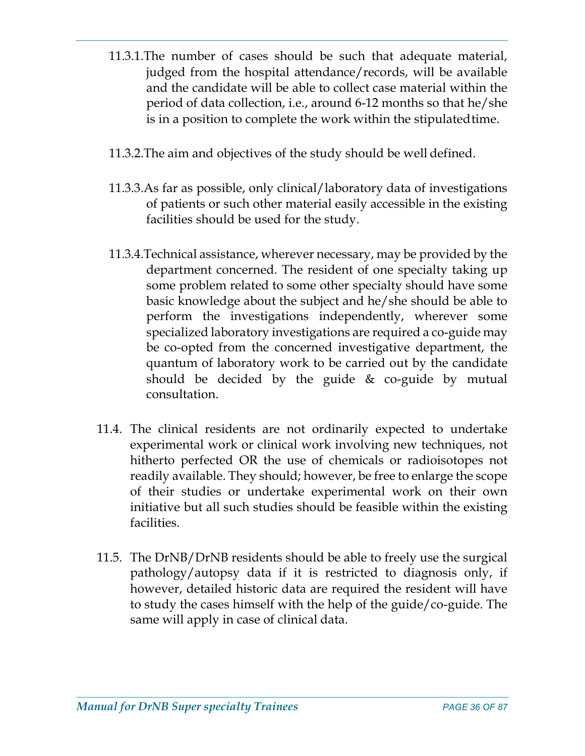- 11.3.1.The number of cases should be such that adequate material, judged from the hospital attendance/records, will be available and the candidate will be able to collect case material within the period of data collection, i.e., around 6-12 months so that he/she is in a position to complete the work within the stipulated time.
- 11.3.2.The aim and objectives of the study should be well defined.
- 11.3.3.As far as possible, only clinical/laboratory data of investigations of patients or such other material easily accessible in the existing facilities should be used for the study.
- 11.3.4.Technical assistance, wherever necessary, may be provided by the department concerned. The resident of one specialty taking up some problem related to some other specialty should have some basic knowledge about the subject and he/she should be able to perform the investigations independently, wherever some specialized laboratory investigations are required a co-guide may be co-opted from the concerned investigative department, the quantum of laboratory work to be carried out by the candidate should be decided by the guide & co-guide by mutual consultation.
- 11.4. The clinical residents are not ordinarily expected to undertake experimental work or clinical work involving new techniques, not hitherto perfected OR the use of chemicals or radioisotopes not readily available. They should; however, be free to enlarge the scope of their studies or undertake experimental work on their own initiative but all such studies should be feasible within the existing facilities.
- 11.5. The DrNB/DrNB residents should be able to freely use the surgical pathology/autopsy data if it is restricted to diagnosis only, if however, detailed historic data are required the resident will have to study the cases himself with the help of the guide/co-guide. The same will apply in case of clinical data.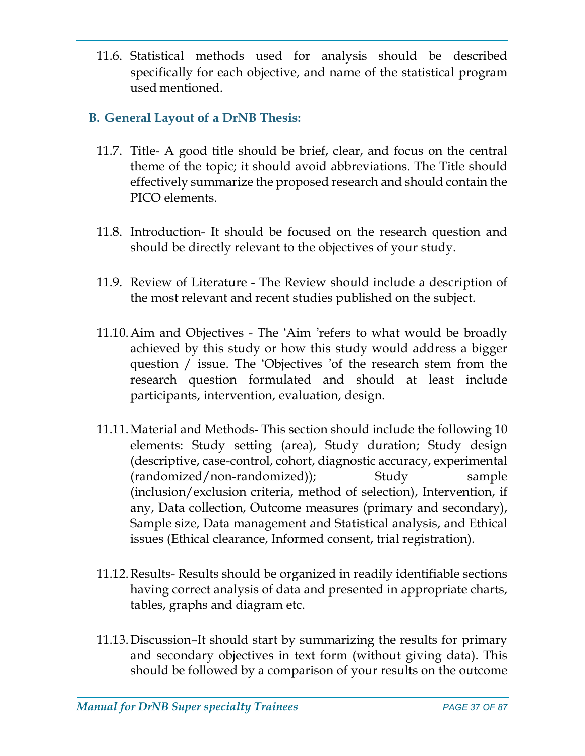11.6. Statistical methods used for analysis should be described specifically for each objective, and name of the statistical program used mentioned.

# B. General Layout of a DrNB Thesis:

- 11.7. Title- A good title should be brief, clear, and focus on the central theme of the topic; it should avoid abbreviations. The Title should effectively summarize the proposed research and should contain the PICO elements.
- 11.8. Introduction- It should be focused on the research question and should be directly relevant to the objectives of your study.
- 11.9. Review of Literature The Review should include a description of the most relevant and recent studies published on the subject.
- 11.10.Aim and Objectives The 'Aim 'refers to what would be broadly achieved by this study or how this study would address a bigger question / issue. The 'Objectives 'of the research stem from the research question formulated and should at least include participants, intervention, evaluation, design.
- 11.11.Material and Methods- This section should include the following 10 elements: Study setting (area), Study duration; Study design (descriptive, case-control, cohort, diagnostic accuracy, experimental (randomized/non-randomized)); Study sample (inclusion/exclusion criteria, method of selection), Intervention, if any, Data collection, Outcome measures (primary and secondary), Sample size, Data management and Statistical analysis, and Ethical issues (Ethical clearance, Informed consent, trial registration).
- 11.12.Results- Results should be organized in readily identifiable sections having correct analysis of data and presented in appropriate charts, tables, graphs and diagram etc.
- 11.13.Discussion–It should start by summarizing the results for primary and secondary objectives in text form (without giving data). This should be followed by a comparison of your results on the outcome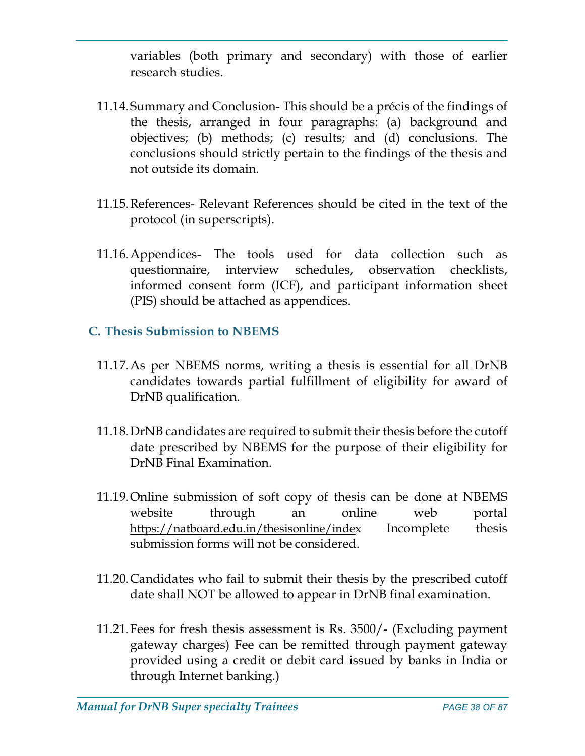variables (both primary and secondary) with those of earlier research studies.

- 11.14. Summary and Conclusion- This should be a précis of the findings of the thesis, arranged in four paragraphs: (a) background and objectives; (b) methods; (c) results; and (d) conclusions. The conclusions should strictly pertain to the findings of the thesis and not outside its domain.
- 11.15.References- Relevant References should be cited in the text of the protocol (in superscripts).
- 11.16.Appendices- The tools used for data collection such as questionnaire, interview schedules, observation checklists, informed consent form (ICF), and participant information sheet (PIS) should be attached as appendices.

## C. Thesis Submission to NBEMS

- 11.17.As per NBEMS norms, writing a thesis is essential for all DrNB candidates towards partial fulfillment of eligibility for award of DrNB qualification.
- 11.18.DrNB candidates are required to submit their thesis before the cutoff date prescribed by NBEMS for the purpose of their eligibility for DrNB Final Examination.
- 11.19.Online submission of soft copy of thesis can be done at NBEMS website through an online web portal https://natboard.edu.in/thesisonline/index Incomplete thesis submission forms will not be considered.
- 11.20.Candidates who fail to submit their thesis by the prescribed cutoff date shall NOT be allowed to appear in DrNB final examination.
- 11.21.Fees for fresh thesis assessment is Rs. 3500/- (Excluding payment gateway charges) Fee can be remitted through payment gateway provided using a credit or debit card issued by banks in India or through Internet banking.)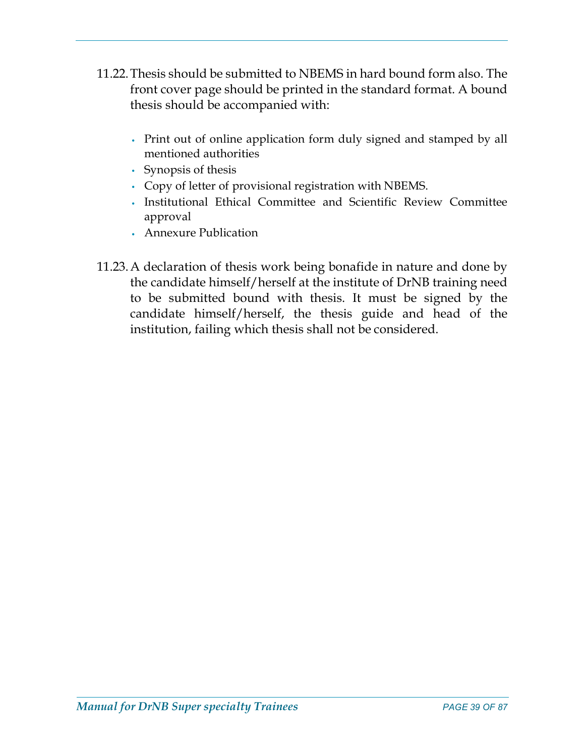- 11.22.Thesis should be submitted to NBEMS in hard bound form also. The front cover page should be printed in the standard format. A bound thesis should be accompanied with:
	- Print out of online application form duly signed and stamped by all mentioned authorities
	- Synopsis of thesis
	- Copy of letter of provisional registration with NBEMS.
	- Institutional Ethical Committee and Scientific Review Committee approval
	- Annexure Publication
- 11.23.A declaration of thesis work being bonafide in nature and done by the candidate himself/herself at the institute of DrNB training need to be submitted bound with thesis. It must be signed by the candidate himself/herself, the thesis guide and head of the institution, failing which thesis shall not be considered.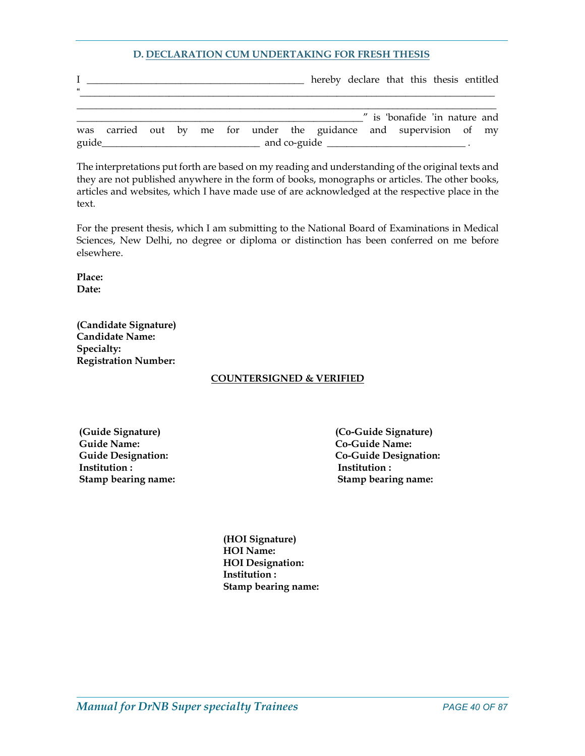#### D. DECLARATION CUM UNDERTAKING FOR FRESH THESIS

| $\epsilon$ |                                                                                                                      |  |  |  | hereby declare that this thesis entitled                           |  |
|------------|----------------------------------------------------------------------------------------------------------------------|--|--|--|--------------------------------------------------------------------|--|
|            |                                                                                                                      |  |  |  | " is 'bonafide 'in nature and                                      |  |
| guide_     | <u> 1989 - Johann John Stone, market fan de Fryske kunstner oantal fan de Fryske kunstner oantal fan de Fryske k</u> |  |  |  | was carried out by me for under the guidance and supervision of my |  |

The interpretations put forth are based on my reading and understanding of the original texts and they are not published anywhere in the form of books, monographs or articles. The other books, articles and websites, which I have made use of are acknowledged at the respective place in the text.

For the present thesis, which I am submitting to the National Board of Examinations in Medical Sciences, New Delhi, no degree or diploma or distinction has been conferred on me before elsewhere.

Place: Date:

(Candidate Signature) Candidate Name: Specialty: Registration Number:

#### COUNTERSIGNED & VERIFIED

 Guide Name: Co-Guide Name: Institution :  $\qquad \qquad$  Institution :

 (Guide Signature) (Co-Guide Signature) Guide Designation: Co-Guide Designation: Stamp bearing name: Stamp bearing name:

> (HOI Signature) HOI Name: HOI Designation: Institution : Stamp bearing name: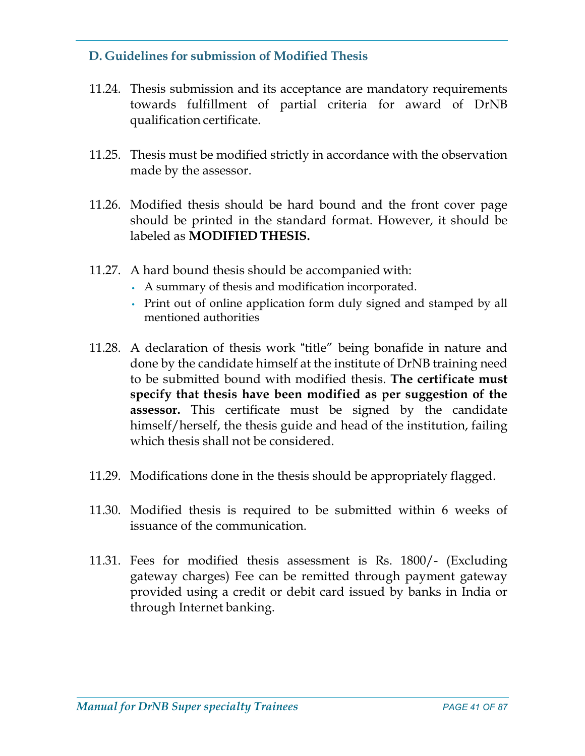# D. Guidelines for submission of Modified Thesis

- 11.24. Thesis submission and its acceptance are mandatory requirements towards fulfillment of partial criteria for award of DrNB qualification certificate.
- 11.25. Thesis must be modified strictly in accordance with the observation made by the assessor.
- 11.26. Modified thesis should be hard bound and the front cover page should be printed in the standard format. However, it should be labeled as MODIFIED THESIS.
- 11.27. A hard bound thesis should be accompanied with:
	- A summary of thesis and modification incorporated.
	- Print out of online application form duly signed and stamped by all mentioned authorities
- 11.28. A declaration of thesis work "title" being bonafide in nature and done by the candidate himself at the institute of DrNB training need to be submitted bound with modified thesis. The certificate must specify that thesis have been modified as per suggestion of the **assessor.** This certificate must be signed by the candidate himself/herself, the thesis guide and head of the institution, failing which thesis shall not be considered.
- 11.29. Modifications done in the thesis should be appropriately flagged.
- 11.30. Modified thesis is required to be submitted within 6 weeks of issuance of the communication.
- 11.31. Fees for modified thesis assessment is Rs. 1800/- (Excluding gateway charges) Fee can be remitted through payment gateway provided using a credit or debit card issued by banks in India or through Internet banking.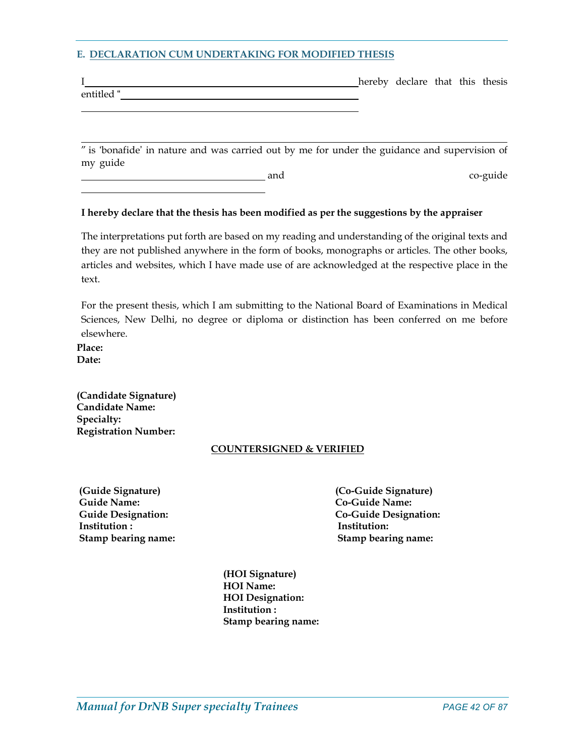#### E. DECLARATION CUM UNDERTAKING FOR MODIFIED THESIS

|            | hereby declare that this thesis |  |  |
|------------|---------------------------------|--|--|
| entitled " |                                 |  |  |

 " is 'bonafide' in nature and was carried out by me for under the guidance and supervision of my guide

| and<br>$\sim$ $\sim$ | co-guide<br>. |
|----------------------|---------------|
|                      |               |

#### I hereby declare that the thesis has been modified as per the suggestions by the appraiser

The interpretations put forth are based on my reading and understanding of the original texts and they are not published anywhere in the form of books, monographs or articles. The other books, articles and websites, which I have made use of are acknowledged at the respective place in the text.

For the present thesis, which I am submitting to the National Board of Examinations in Medical Sciences, New Delhi, no degree or diploma or distinction has been conferred on me before elsewhere.

Place: Date:

 $\overline{a}$ 

(Candidate Signature) Candidate Name: Specialty: Registration Number:

#### COUNTERSIGNED & VERIFIED

 (Guide Signature) (Co-Guide Signature) Guide Name: Co-Guide Name: Institution : The Institution in the Institution in the Institution in the Institution in the Institution: Stamp bearing name: Stamp bearing name:

Guide Designation: Co-Guide Designation:

(HOI Signature) HOI Name: HOI Designation: Institution : Stamp bearing name: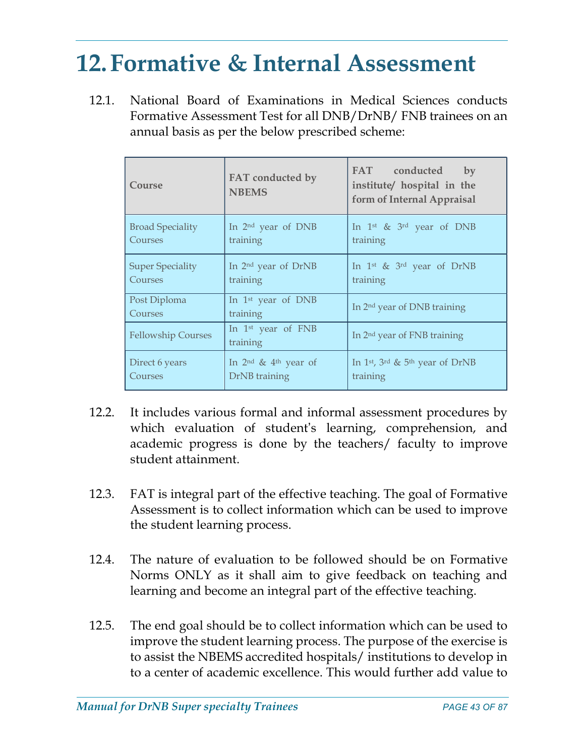# 12.Formative & Internal Assessment

12.1. National Board of Examinations in Medical Sciences conducts Formative Assessment Test for all DNB/DrNB/ FNB trainees on an annual basis as per the below prescribed scheme:

| Course                    | FAT conducted by<br><b>NBEMS</b>           | FAT conducted<br>by<br>institute/ hospital in the<br>form of Internal Appraisal |
|---------------------------|--------------------------------------------|---------------------------------------------------------------------------------|
| <b>Broad Speciality</b>   | In 2 <sup>nd</sup> year of DNB             | In 1 <sup>st</sup> & $3$ <sup>rd</sup> year of DNB                              |
| Courses                   | training                                   | training                                                                        |
| <b>Super Speciality</b>   | In 2 <sup>nd</sup> year of DrNB            | In 1 <sup>st</sup> & 3 <sup>rd</sup> year of DrNB                               |
| Courses                   | training                                   | training                                                                        |
| Post Diploma<br>Courses   | In 1 <sup>st</sup> year of DNB<br>training | In 2 <sup>nd</sup> year of DNB training                                         |
| <b>Fellowship Courses</b> | In 1 <sup>st</sup> year of FNB<br>training | In 2 <sup>nd</sup> year of FNB training                                         |
| Direct 6 years            | In $2nd$ & $4th$ year of                   | In 1 <sup>st</sup> , 3 <sup>rd</sup> & 5 <sup>th</sup> year of DrNB             |
| Courses                   | DrNB training                              | training                                                                        |

- 12.2. It includes various formal and informal assessment procedures by which evaluation of student's learning, comprehension, and academic progress is done by the teachers/ faculty to improve student attainment.
- 12.3. FAT is integral part of the effective teaching. The goal of Formative Assessment is to collect information which can be used to improve the student learning process.
- 12.4. The nature of evaluation to be followed should be on Formative Norms ONLY as it shall aim to give feedback on teaching and learning and become an integral part of the effective teaching.
- 12.5. The end goal should be to collect information which can be used to improve the student learning process. The purpose of the exercise is to assist the NBEMS accredited hospitals/ institutions to develop in to a center of academic excellence. This would further add value to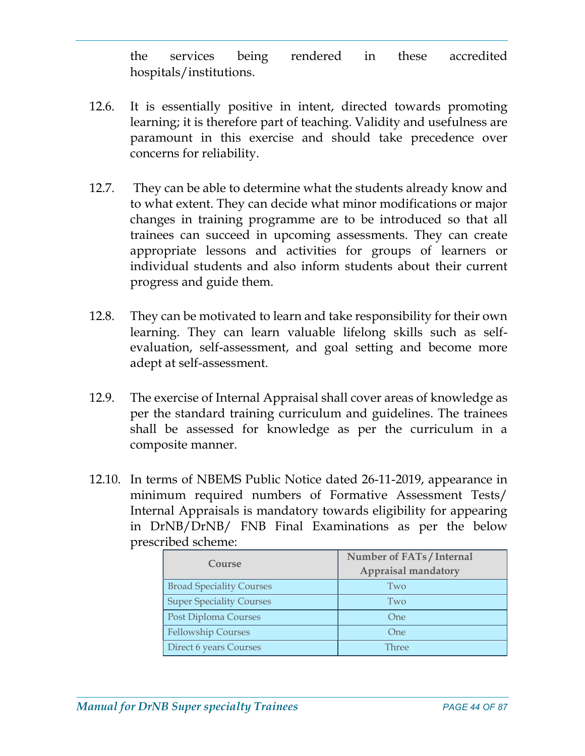the services being rendered in these accredited hospitals/institutions.

- 12.6. It is essentially positive in intent, directed towards promoting learning; it is therefore part of teaching. Validity and usefulness are paramount in this exercise and should take precedence over concerns for reliability.
- 12.7. They can be able to determine what the students already know and to what extent. They can decide what minor modifications or major changes in training programme are to be introduced so that all trainees can succeed in upcoming assessments. They can create appropriate lessons and activities for groups of learners or individual students and also inform students about their current progress and guide them.
- 12.8. They can be motivated to learn and take responsibility for their own learning. They can learn valuable lifelong skills such as selfevaluation, self-assessment, and goal setting and become more adept at self-assessment.
- 12.9. The exercise of Internal Appraisal shall cover areas of knowledge as per the standard training curriculum and guidelines. The trainees shall be assessed for knowledge as per the curriculum in a composite manner.
- 12.10. In terms of NBEMS Public Notice dated 26-11-2019, appearance in minimum required numbers of Formative Assessment Tests/ Internal Appraisals is mandatory towards eligibility for appearing in DrNB/DrNB/ FNB Final Examinations as per the below prescribed scheme:

|                                 | Number of FATs / Internal  |
|---------------------------------|----------------------------|
| Course                          | <b>Appraisal mandatory</b> |
| <b>Broad Speciality Courses</b> | Two                        |
| <b>Super Speciality Courses</b> | Two                        |
| Post Diploma Courses            | One                        |
| <b>Fellowship Courses</b>       | <b>One</b>                 |
| Direct 6 years Courses          | Three                      |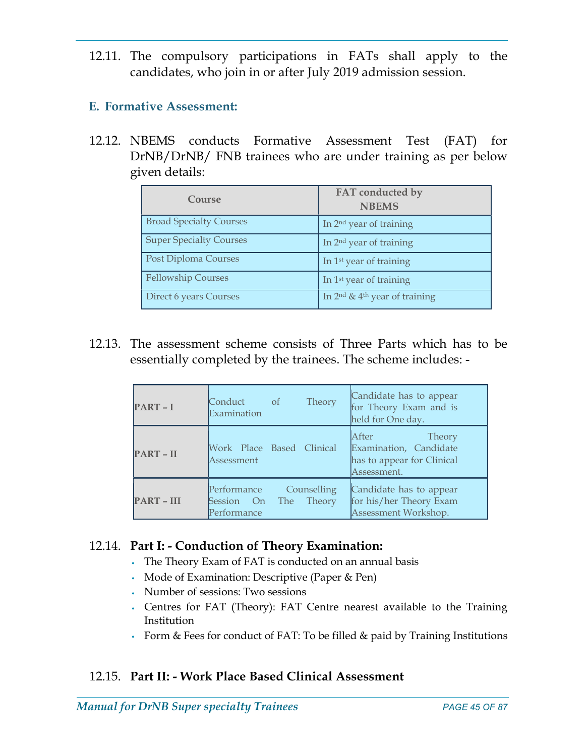12.11. The compulsory participations in FATs shall apply to the candidates, who join in or after July 2019 admission session.

## E. Formative Assessment:

12.12. NBEMS conducts Formative Assessment Test (FAT) for DrNB/DrNB/ FNB trainees who are under training as per below given details:

| Course                         | FAT conducted by<br><b>NBEMS</b>    |
|--------------------------------|-------------------------------------|
| <b>Broad Specialty Courses</b> | In $2nd$ year of training           |
| <b>Super Specialty Courses</b> | In 2 <sup>nd</sup> year of training |
| Post Diploma Courses           | In 1 <sup>st</sup> year of training |
| <b>Fellowship Courses</b>      | In 1 <sup>st</sup> year of training |
| Direct 6 years Courses         | In $2nd$ & $4th$ year of training   |

12.13. The assessment scheme consists of Three Parts which has to be essentially completed by the trainees. The scheme includes: -

| $PART - I$        | Conduct<br><sub>of</sub><br>Examination  | Theory                       | Candidate has to appear<br>for Theory Exam and is<br>held for One day.                        |
|-------------------|------------------------------------------|------------------------------|-----------------------------------------------------------------------------------------------|
| PART-II           | Work Place Based Clinical<br>Assessment  |                              | <b>After</b><br>Theory<br>Examination, Candidate<br>has to appear for Clinical<br>Assessment. |
| <b>PART - III</b> | Performance<br>Session On<br>Performance | Counselling<br>Theory<br>The | Candidate has to appear<br>for his/her Theory Exam<br>Assessment Workshop.                    |

## 12.14. Part I: - Conduction of Theory Examination:

- The Theory Exam of FAT is conducted on an annual basis
- Mode of Examination: Descriptive (Paper & Pen)
- Number of sessions: Two sessions
- Centres for FAT (Theory): FAT Centre nearest available to the Training Institution
- Form & Fees for conduct of FAT: To be filled & paid by Training Institutions

## 12.15. Part II: - Work Place Based Clinical Assessment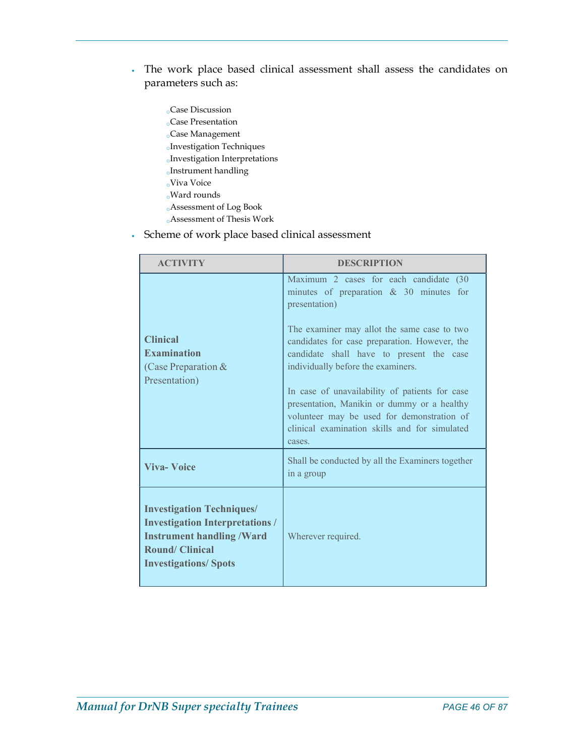- The work place based clinical assessment shall assess the candidates on parameters such as:
	- oCase Discussion oCase Presentation oCase Management oInvestigation Techniques oInvestigation Interpretations oInstrument handling  $_{\rm{o}}$ Viva Voice oWard rounds oAssessment of Log Book
	- oAssessment of Thesis Work
- Scheme of work place based clinical assessment

| <b>ACTIVITY</b>                                                                                                                                                        | <b>DESCRIPTION</b>                                                                                                                                                                                                                                                                                                                                                                                                                                                                                |  |
|------------------------------------------------------------------------------------------------------------------------------------------------------------------------|---------------------------------------------------------------------------------------------------------------------------------------------------------------------------------------------------------------------------------------------------------------------------------------------------------------------------------------------------------------------------------------------------------------------------------------------------------------------------------------------------|--|
| <b>Clinical</b><br><b>Examination</b><br>(Case Preparation $&$<br>Presentation)                                                                                        | Maximum 2 cases for each candidate (30<br>minutes of preparation $\&$ 30 minutes for<br>presentation)<br>The examiner may allot the same case to two<br>candidates for case preparation. However, the<br>candidate shall have to present the case<br>individually before the examiners.<br>In case of unavailability of patients for case<br>presentation, Manikin or dummy or a healthy<br>volunteer may be used for demonstration of<br>clinical examination skills and for simulated<br>cases. |  |
| <b>Viva-Voice</b>                                                                                                                                                      | Shall be conducted by all the Examiners together<br>in a group                                                                                                                                                                                                                                                                                                                                                                                                                                    |  |
| <b>Investigation Techniques/</b><br><b>Investigation Interpretations /</b><br><b>Instrument handling /Ward</b><br><b>Round/Clinical</b><br><b>Investigations/Spots</b> | Wherever required.                                                                                                                                                                                                                                                                                                                                                                                                                                                                                |  |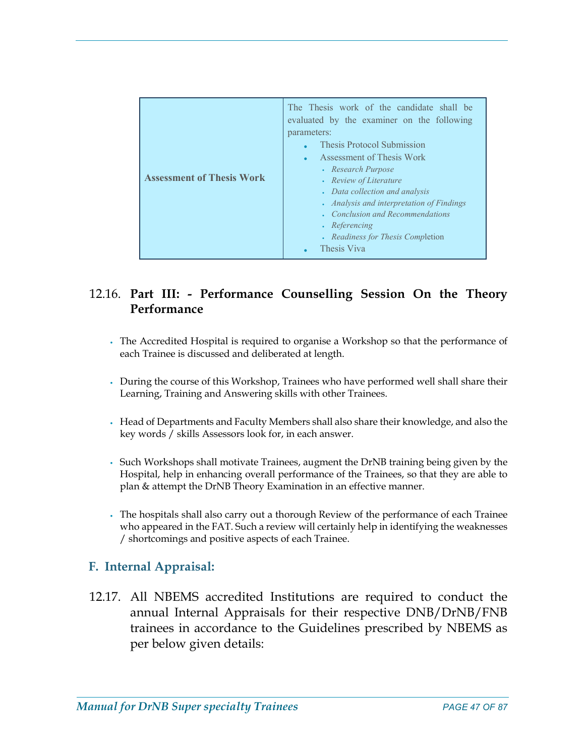|--|

# 12.16. Part III: - Performance Counselling Session On the Theory Performance

- The Accredited Hospital is required to organise a Workshop so that the performance of each Trainee is discussed and deliberated at length.
- During the course of this Workshop, Trainees who have performed well shall share their Learning, Training and Answering skills with other Trainees.
- Head of Departments and Faculty Members shall also share their knowledge, and also the key words / skills Assessors look for, in each answer.
- Such Workshops shall motivate Trainees, augment the DrNB training being given by the Hospital, help in enhancing overall performance of the Trainees, so that they are able to plan & attempt the DrNB Theory Examination in an effective manner.
- The hospitals shall also carry out a thorough Review of the performance of each Trainee who appeared in the FAT. Such a review will certainly help in identifying the weaknesses / shortcomings and positive aspects of each Trainee.

## F. Internal Appraisal:

12.17. All NBEMS accredited Institutions are required to conduct the annual Internal Appraisals for their respective DNB/DrNB/FNB trainees in accordance to the Guidelines prescribed by NBEMS as per below given details: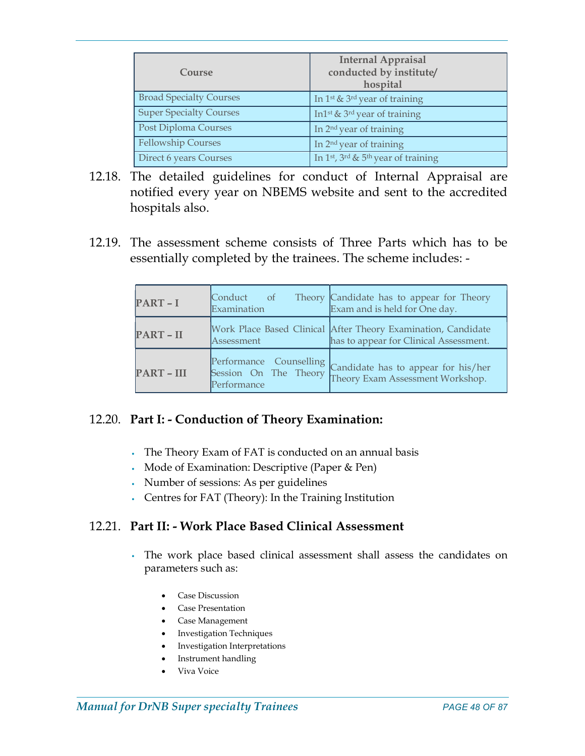| Course                         | <b>Internal Appraisal</b><br>conducted by institute/<br>hospital |
|--------------------------------|------------------------------------------------------------------|
| <b>Broad Specialty Courses</b> | In 1 <sup>st</sup> & 3 <sup>rd</sup> year of training            |
| <b>Super Specialty Courses</b> | In 1 <sup>st</sup> & 3 <sup>rd</sup> year of training            |
| Post Diploma Courses           | In 2 <sup>nd</sup> year of training                              |
| <b>Fellowship Courses</b>      | In 2 <sup>nd</sup> year of training                              |
| Direct 6 years Courses         | In 1st, 3rd & 5th year of training                               |

- 12.18. The detailed guidelines for conduct of Internal Appraisal are notified every year on NBEMS website and sent to the accredited hospitals also.
- 12.19. The assessment scheme consists of Three Parts which has to be essentially completed by the trainees. The scheme includes: -

| PART-I          | Examination                                                     | Conduct of Theory Candidate has to appear for Theory<br>Exam and is held for One day.                   |
|-----------------|-----------------------------------------------------------------|---------------------------------------------------------------------------------------------------------|
| PART-II         | Assessment                                                      | Work Place Based Clinical After Theory Examination, Candidate<br>has to appear for Clinical Assessment. |
| <b>PART-III</b> | Performance Counselling<br>Session On The Theory<br>Performance | Candidate has to appear for his/her<br>Theory Exam Assessment Workshop.                                 |

#### 12.20. Part I: - Conduction of Theory Examination:

- The Theory Exam of FAT is conducted on an annual basis
- Mode of Examination: Descriptive (Paper & Pen)
- Number of sessions: As per guidelines
- Centres for FAT (Theory): In the Training Institution

## 12.21. Part II: - Work Place Based Clinical Assessment

- The work place based clinical assessment shall assess the candidates on parameters such as:
	- Case Discussion
	- Case Presentation
	- Case Management
	- **•** Investigation Techniques
	- Investigation Interpretations
	- Instrument handling
	- Viva Voice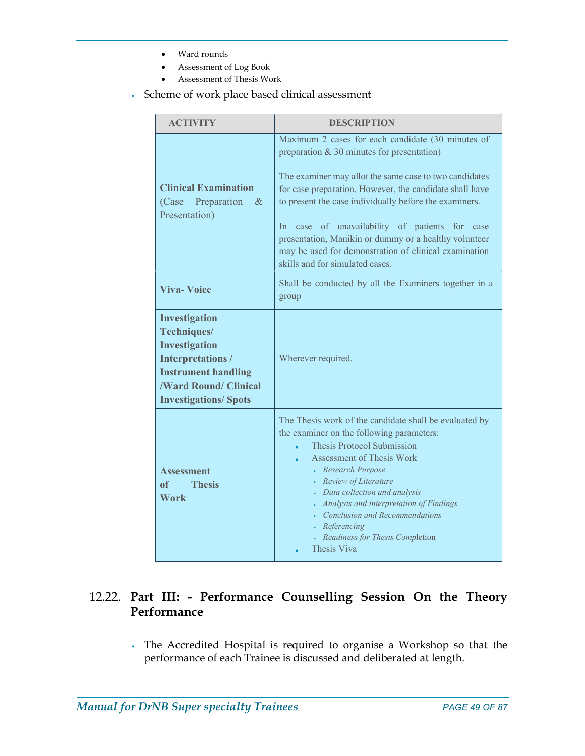- Ward rounds
- Assessment of Log Book
- Assessment of Thesis Work
- Scheme of work place based clinical assessment

| <b>ACTIVITY</b>                                                                                                                                                              | <b>DESCRIPTION</b>                                                                                                                                                                                                                                                                                                                                                                                                                                                                      |  |  |
|------------------------------------------------------------------------------------------------------------------------------------------------------------------------------|-----------------------------------------------------------------------------------------------------------------------------------------------------------------------------------------------------------------------------------------------------------------------------------------------------------------------------------------------------------------------------------------------------------------------------------------------------------------------------------------|--|--|
| <b>Clinical Examination</b><br>(Case Preparation)<br>$-\&$<br>Presentation)                                                                                                  | Maximum 2 cases for each candidate (30 minutes of<br>preparation $& 30$ minutes for presentation)<br>The examiner may allot the same case to two candidates<br>for case preparation. However, the candidate shall have<br>to present the case individually before the examiners.<br>In case of unavailability of patients for case<br>presentation, Manikin or dummy or a healthy volunteer<br>may be used for demonstration of clinical examination<br>skills and for simulated cases. |  |  |
| <b>Viva-Voice</b>                                                                                                                                                            | Shall be conducted by all the Examiners together in a<br>group                                                                                                                                                                                                                                                                                                                                                                                                                          |  |  |
| <b>Investigation</b><br>Techniques/<br>Investigation<br><b>Interpretations/</b><br><b>Instrument handling</b><br><b>/Ward Round/ Clinical</b><br><b>Investigations/Spots</b> | Wherever required.                                                                                                                                                                                                                                                                                                                                                                                                                                                                      |  |  |
| Assessment<br><b>Thesis</b><br>of<br><b>Work</b>                                                                                                                             | The Thesis work of the candidate shall be evaluated by<br>the examiner on the following parameters:<br><b>Thesis Protocol Submission</b><br><b>Assessment of Thesis Work</b><br>• Research Purpose<br>• Review of Literature<br>• Data collection and analysis<br>• Analysis and interpretation of Findings<br>Conclusion and Recommendations<br>• Referencing<br>• Readiness for Thesis Completion<br>Thesis Viva                                                                      |  |  |

# 12.22. Part III: - Performance Counselling Session On the Theory Performance

• The Accredited Hospital is required to organise a Workshop so that the performance of each Trainee is discussed and deliberated at length.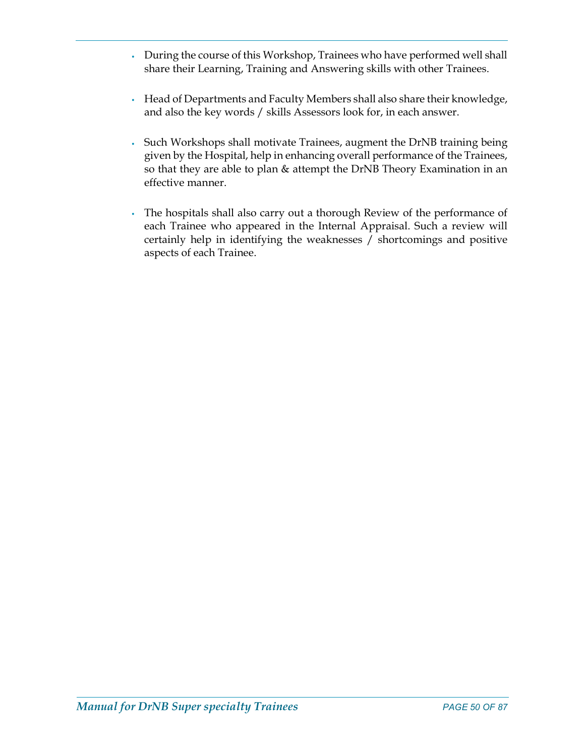- During the course of this Workshop, Trainees who have performed well shall share their Learning, Training and Answering skills with other Trainees.
- Head of Departments and Faculty Members shall also share their knowledge, and also the key words / skills Assessors look for, in each answer.
- Such Workshops shall motivate Trainees, augment the DrNB training being given by the Hospital, help in enhancing overall performance of the Trainees, so that they are able to plan & attempt the DrNB Theory Examination in an effective manner.
- The hospitals shall also carry out a thorough Review of the performance of each Trainee who appeared in the Internal Appraisal. Such a review will certainly help in identifying the weaknesses / shortcomings and positive aspects of each Trainee.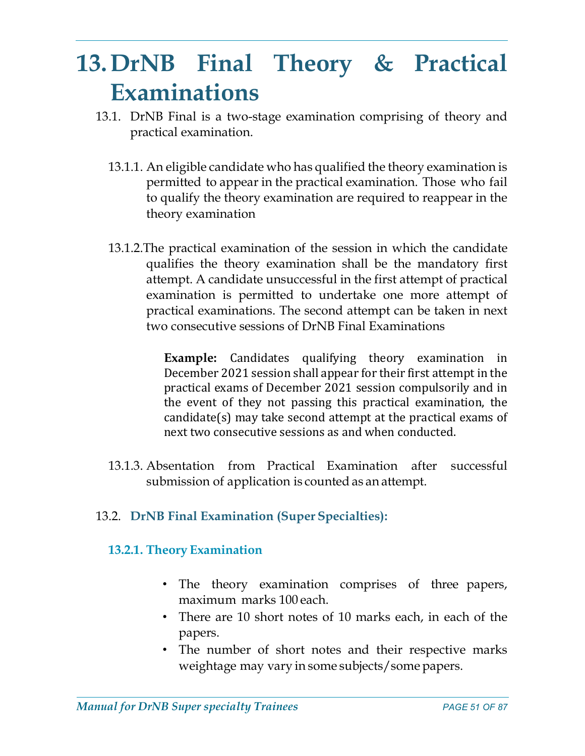# 13.DrNB Final Theory & Practical Examinations

- 13.1. DrNB Final is a two-stage examination comprising of theory and practical examination.
	- 13.1.1. An eligible candidate who has qualified the theory examination is permitted to appear in the practical examination. Those who fail to qualify the theory examination are required to reappear in the theory examination
	- 13.1.2.The practical examination of the session in which the candidate qualifies the theory examination shall be the mandatory first attempt. A candidate unsuccessful in the first attempt of practical examination is permitted to undertake one more attempt of practical examinations. The second attempt can be taken in next two consecutive sessions of DrNB Final Examinations

Example: Candidates qualifying theory examination in December 2021 session shall appear for their first attempt in the practical exams of December 2021 session compulsorily and in the event of they not passing this practical examination, the candidate(s) may take second attempt at the practical exams of next two consecutive sessions as and when conducted.

13.1.3. Absentation from Practical Examination after successful submission of application is counted as an attempt.

# 13.2. DrNB Final Examination (Super Specialties):

# 13.2.1. Theory Examination

- The theory examination comprises of three papers, maximum marks 100 each.
- There are 10 short notes of 10 marks each, in each of the papers.
- The number of short notes and their respective marks weightage may vary in some subjects/some papers.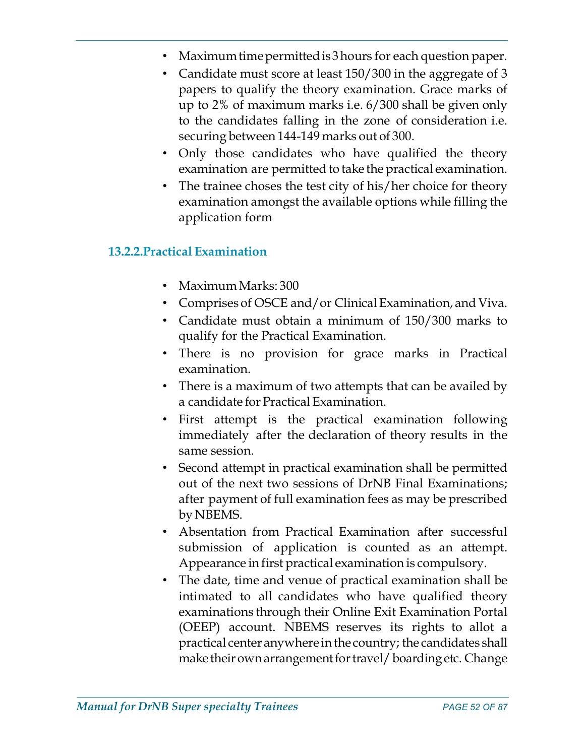- Maximum time permitted is 3 hours for each question paper.
- Candidate must score at least 150/300 in the aggregate of 3 papers to qualify the theory examination. Grace marks of up to 2% of maximum marks i.e. 6/300 shall be given only to the candidates falling in the zone of consideration i.e. securing between 144-149 marks out of 300.
- Only those candidates who have qualified the theory examination are permitted to take the practical examination.
- The trainee choses the test city of his/her choice for theory examination amongst the available options while filling the application form

## 13.2.2.Practical Examination

- Maximum Marks: 300
- Comprises of OSCE and/or Clinical Examination, and Viva.
- Candidate must obtain a minimum of 150/300 marks to qualify for the Practical Examination.
- There is no provision for grace marks in Practical examination.
- There is a maximum of two attempts that can be availed by a candidate for Practical Examination.
- First attempt is the practical examination following immediately after the declaration of theory results in the same session.
- Second attempt in practical examination shall be permitted out of the next two sessions of DrNB Final Examinations; after payment of full examination fees as may be prescribed by NBEMS.
- Absentation from Practical Examination after successful submission of application is counted as an attempt. Appearance in first practical examination is compulsory.
- The date, time and venue of practical examination shall be intimated to all candidates who have qualified theory examinations through their Online Exit Examination Portal (OEEP) account. NBEMS reserves its rights to allot a practical center anywhere in the country; the candidates shall make their own arrangement for travel/ boarding etc. Change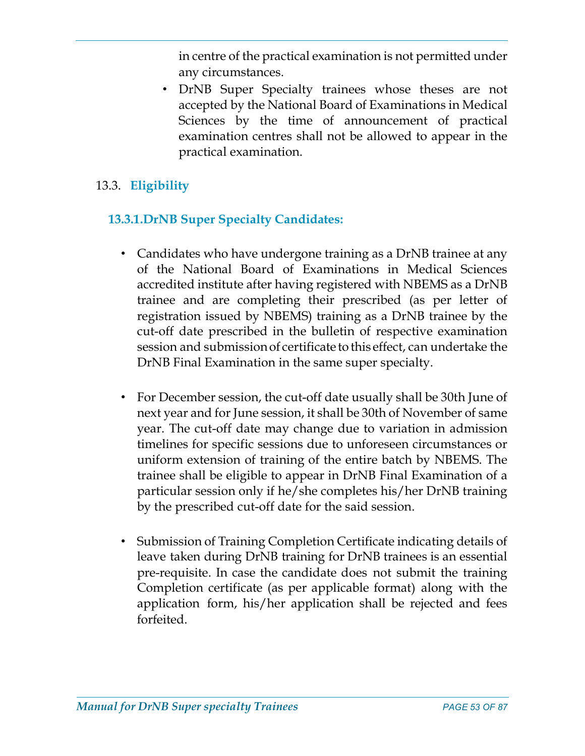in centre of the practical examination is not permitted under any circumstances.

• DrNB Super Specialty trainees whose theses are not accepted by the National Board of Examinations in Medical Sciences by the time of announcement of practical examination centres shall not be allowed to appear in the practical examination.

# 13.3. Eligibility

# 13.3.1.DrNB Super Specialty Candidates:

- Candidates who have undergone training as a DrNB trainee at any of the National Board of Examinations in Medical Sciences accredited institute after having registered with NBEMS as a DrNB trainee and are completing their prescribed (as per letter of registration issued by NBEMS) training as a DrNB trainee by the cut-off date prescribed in the bulletin of respective examination session and submission of certificate to this effect, can undertake the DrNB Final Examination in the same super specialty.
- For December session, the cut-off date usually shall be 30th June of next year and for June session, it shall be 30th of November of same year. The cut-off date may change due to variation in admission timelines for specific sessions due to unforeseen circumstances or uniform extension of training of the entire batch by NBEMS. The trainee shall be eligible to appear in DrNB Final Examination of a particular session only if he/she completes his/her DrNB training by the prescribed cut-off date for the said session.
- Submission of Training Completion Certificate indicating details of leave taken during DrNB training for DrNB trainees is an essential pre-requisite. In case the candidate does not submit the training Completion certificate (as per applicable format) along with the application form, his/her application shall be rejected and fees forfeited.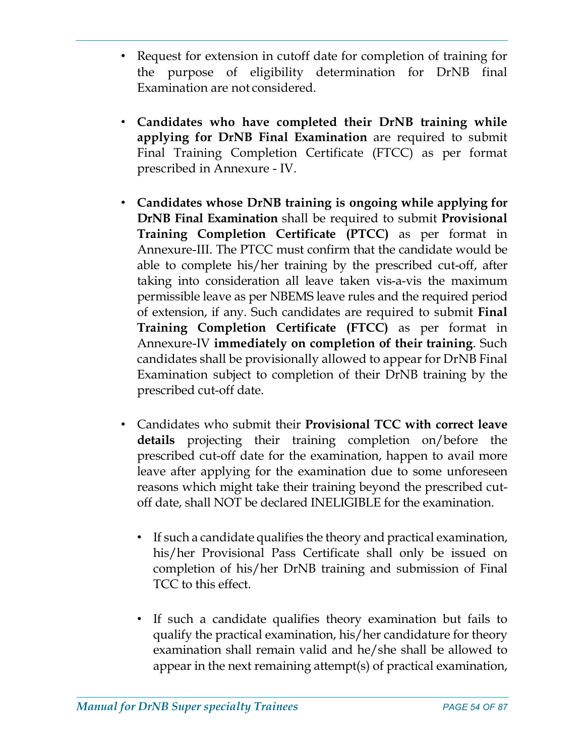- Request for extension in cutoff date for completion of training for the purpose of eligibility determination for DrNB final Examination are not considered.
- Candidates who have completed their DrNB training while applying for DrNB Final Examination are required to submit Final Training Completion Certificate (FTCC) as per format prescribed in Annexure - IV.
- Candidates whose DrNB training is ongoing while applying for DrNB Final Examination shall be required to submit Provisional Training Completion Certificate (PTCC) as per format in Annexure-III. The PTCC must confirm that the candidate would be able to complete his/her training by the prescribed cut-off, after taking into consideration all leave taken vis-a-vis the maximum permissible leave as per NBEMS leave rules and the required period of extension, if any. Such candidates are required to submit Final Training Completion Certificate (FTCC) as per format in Annexure-IV immediately on completion of their training. Such candidates shall be provisionally allowed to appear for DrNB Final Examination subject to completion of their DrNB training by the prescribed cut-off date.
- Candidates who submit their Provisional TCC with correct leave details projecting their training completion on/before the prescribed cut-off date for the examination, happen to avail more leave after applying for the examination due to some unforeseen reasons which might take their training beyond the prescribed cutoff date, shall NOT be declared INELIGIBLE for the examination.
	- If such a candidate qualifies the theory and practical examination, his/her Provisional Pass Certificate shall only be issued on completion of his/her DrNB training and submission of Final TCC to this effect.
	- If such a candidate qualifies theory examination but fails to qualify the practical examination, his/her candidature for theory examination shall remain valid and he/she shall be allowed to appear in the next remaining attempt(s) of practical examination,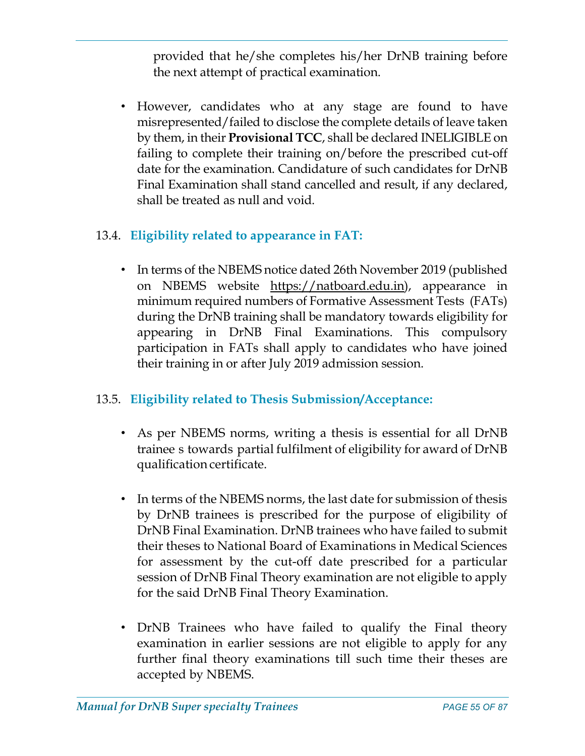provided that he/she completes his/her DrNB training before the next attempt of practical examination.

• However, candidates who at any stage are found to have misrepresented/failed to disclose the complete details of leave taken by them, in their Provisional TCC, shall be declared INELIGIBLE on failing to complete their training on/before the prescribed cut-off date for the examination. Candidature of such candidates for DrNB Final Examination shall stand cancelled and result, if any declared, shall be treated as null and void.

# 13.4. Eligibility related to appearance in FAT:

• In terms of the NBEMS notice dated 26th November 2019 (published on NBEMS website https://natboard.edu.in), appearance in minimum required numbers of Formative Assessment Tests (FATs) during the DrNB training shall be mandatory towards eligibility for appearing in DrNB Final Examinations. This compulsory participation in FATs shall apply to candidates who have joined their training in or after July 2019 admission session.

# 13.5. Eligibility related to Thesis Submission/Acceptance:

- As per NBEMS norms, writing a thesis is essential for all DrNB trainee s towards partial fulfilment of eligibility for award of DrNB qualification certificate.
- In terms of the NBEMS norms, the last date for submission of thesis by DrNB trainees is prescribed for the purpose of eligibility of DrNB Final Examination. DrNB trainees who have failed to submit their theses to National Board of Examinations in Medical Sciences for assessment by the cut-off date prescribed for a particular session of DrNB Final Theory examination are not eligible to apply for the said DrNB Final Theory Examination.
- DrNB Trainees who have failed to qualify the Final theory examination in earlier sessions are not eligible to apply for any further final theory examinations till such time their theses are accepted by NBEMS.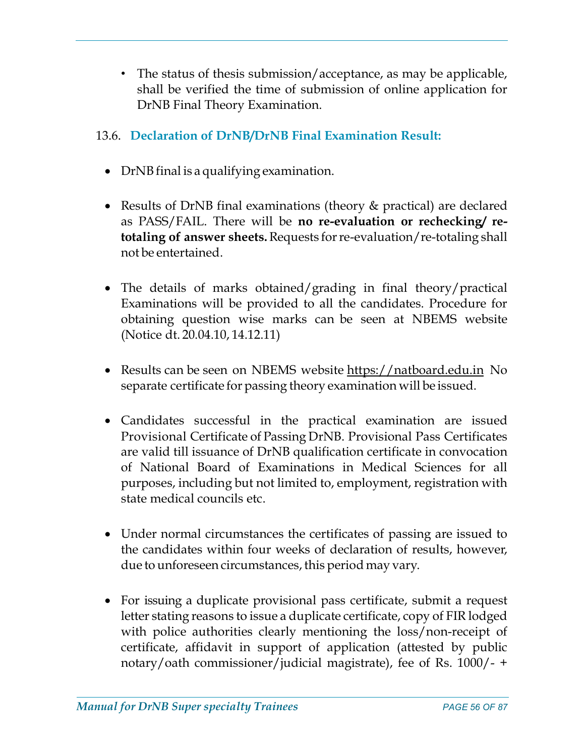• The status of thesis submission/acceptance, as may be applicable, shall be verified the time of submission of online application for DrNB Final Theory Examination.

# 13.6. Declaration of DrNB/DrNB Final Examination Result:

- DrNB final is a qualifying examination.
- Results of DrNB final examinations (theory & practical) are declared as PASS/FAIL. There will be no re-evaluation or rechecking/ retotaling of answer sheets. Requests for re-evaluation/re-totaling shall not be entertained.
- The details of marks obtained/grading in final theory/practical Examinations will be provided to all the candidates. Procedure for obtaining question wise marks can be seen at NBEMS website (Notice dt. 20.04.10, 14.12.11)
- Results can be seen on NBEMS website https://natboard.edu.in No separate certificate for passing theory examination will be issued.
- Candidates successful in the practical examination are issued Provisional Certificate of Passing DrNB. Provisional Pass Certificates are valid till issuance of DrNB qualification certificate in convocation of National Board of Examinations in Medical Sciences for all purposes, including but not limited to, employment, registration with state medical councils etc.
- Under normal circumstances the certificates of passing are issued to the candidates within four weeks of declaration of results, however, due to unforeseen circumstances, this period may vary.
- For issuing a duplicate provisional pass certificate, submit a request letter stating reasons to issue a duplicate certificate, copy of FIR lodged with police authorities clearly mentioning the loss/non-receipt of certificate, affidavit in support of application (attested by public notary/oath commissioner/judicial magistrate), fee of Rs. 1000/- +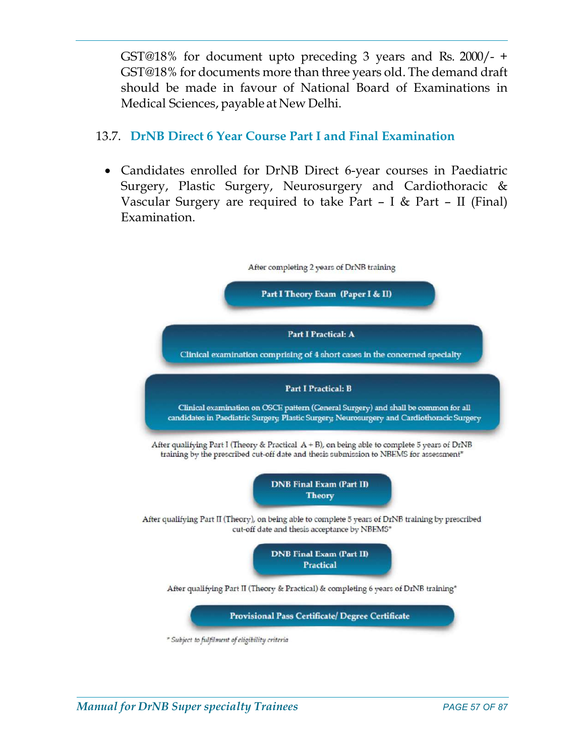GST@18% for document upto preceding 3 years and Rs. 2000/- + GST@18% for documents more than three years old. The demand draft should be made in favour of National Board of Examinations in Medical Sciences, payable at New Delhi.

# 13.7. DrNB Direct 6 Year Course Part I and Final Examination

 Candidates enrolled for DrNB Direct 6-year courses in Paediatric Surgery, Plastic Surgery, Neurosurgery and Cardiothoracic & Vascular Surgery are required to take Part – I & Part – II (Final) Examination.

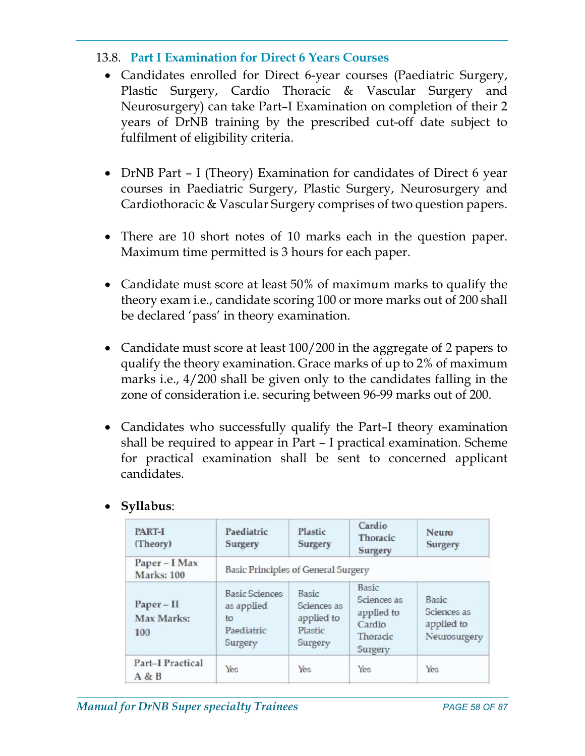## 13.8. Part I Examination for Direct 6 Years Courses

- Candidates enrolled for Direct 6-year courses (Paediatric Surgery, Plastic Surgery, Cardio Thoracic & Vascular Surgery and Neurosurgery) can take Part–I Examination on completion of their 2 years of DrNB training by the prescribed cut-off date subject to fulfilment of eligibility criteria.
- DrNB Part I (Theory) Examination for candidates of Direct 6 year courses in Paediatric Surgery, Plastic Surgery, Neurosurgery and Cardiothoracic & Vascular Surgery comprises of two question papers.
- There are 10 short notes of 10 marks each in the question paper. Maximum time permitted is 3 hours for each paper.
- Candidate must score at least 50% of maximum marks to qualify the theory exam i.e., candidate scoring 100 or more marks out of 200 shall be declared 'pass' in theory examination.
- Candidate must score at least 100/200 in the aggregate of 2 papers to qualify the theory examination. Grace marks of up to 2% of maximum marks i.e., 4/200 shall be given only to the candidates falling in the zone of consideration i.e. securing between 96-99 marks out of 200.
- Candidates who successfully qualify the Part–I theory examination shall be required to appear in Part – I practical examination. Scheme for practical examination shall be sent to concerned applicant candidates.

| <b>PART-I</b><br>(Theory)          | Paediatric<br>Surgery                                              | Plastic<br>Surgery                                       | Cardio<br>Thoracic<br>Surgery                                       | Neuro<br><b>Surgery</b>                            |
|------------------------------------|--------------------------------------------------------------------|----------------------------------------------------------|---------------------------------------------------------------------|----------------------------------------------------|
| Paper - I Max<br><b>Marks: 100</b> | <b>Basic Principles of General Surgery</b>                         |                                                          |                                                                     |                                                    |
| $Paper - II$<br>Max Marks:<br>100  | <b>Basic Sciences</b><br>as applied<br>to<br>Paediatric<br>Surgery | Basic<br>Sciences as<br>applied to<br>Plastic<br>Surgery | Basic<br>Sciences as<br>applied to<br>Cardio<br>Thoracic<br>Surgery | Basic<br>Sciences as<br>applied to<br>Neurosurgery |
| <b>Part-I Practical</b><br>A & B   | Yes                                                                | Yes                                                      | Yes                                                                 | Yes                                                |

# Syllabus: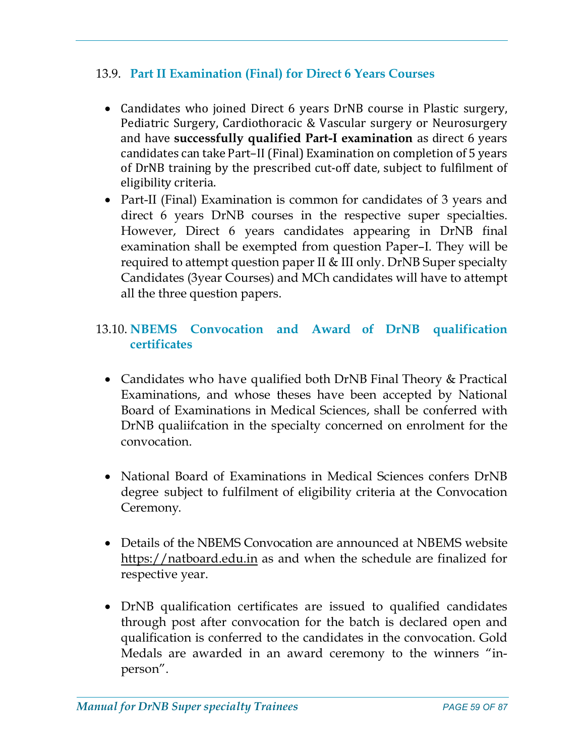# 13.9. Part II Examination (Final) for Direct 6 Years Courses

- Candidates who joined Direct 6 years DrNB course in Plastic surgery, Pediatric Surgery, Cardiothoracic & Vascular surgery or Neurosurgery and have successfully qualified Part-I examination as direct 6 years candidates can take Part–II (Final) Examination on completion of 5 years of DrNB training by the prescribed cut-off date, subject to fulfilment of eligibility criteria.
- Part-II (Final) Examination is common for candidates of 3 years and direct 6 years DrNB courses in the respective super specialties. However, Direct 6 years candidates appearing in DrNB final examination shall be exempted from question Paper–I. They will be required to attempt question paper II & III only. DrNB Super specialty Candidates (3year Courses) and MCh candidates will have to attempt all the three question papers.

# 13.10. NBEMS Convocation and Award of DrNB qualification certificates

- Candidates who have qualified both DrNB Final Theory & Practical Examinations, and whose theses have been accepted by National Board of Examinations in Medical Sciences, shall be conferred with DrNB qualiifcation in the specialty concerned on enrolment for the convocation.
- National Board of Examinations in Medical Sciences confers DrNB degree subject to fulfilment of eligibility criteria at the Convocation Ceremony.
- Details of the NBEMS Convocation are announced at NBEMS website https://natboard.edu.in as and when the schedule are finalized for respective year.
- DrNB qualification certificates are issued to qualified candidates through post after convocation for the batch is declared open and qualification is conferred to the candidates in the convocation. Gold Medals are awarded in an award ceremony to the winners "inperson".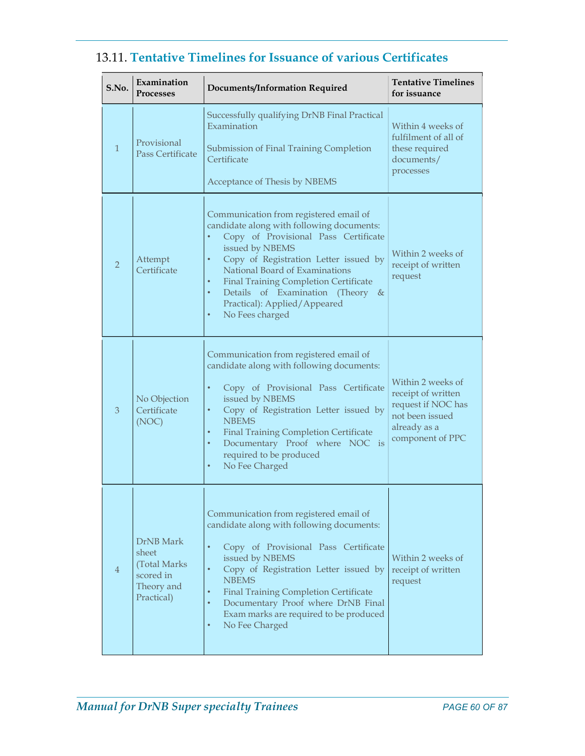| S.No.          | Examination<br><b>Processes</b>                                              | <b>Documents/Information Required</b>                                                                                                                                                                                                                                                                                                                                                                                      | <b>Tentative Timelines</b><br>for issuance                                                                           |
|----------------|------------------------------------------------------------------------------|----------------------------------------------------------------------------------------------------------------------------------------------------------------------------------------------------------------------------------------------------------------------------------------------------------------------------------------------------------------------------------------------------------------------------|----------------------------------------------------------------------------------------------------------------------|
| $\mathbf{1}$   | Provisional<br><b>Pass Certificate</b>                                       | Successfully qualifying DrNB Final Practical<br>Examination<br>Submission of Final Training Completion<br>Certificate<br>Acceptance of Thesis by NBEMS                                                                                                                                                                                                                                                                     | Within 4 weeks of<br>fulfilment of all of<br>these required<br>documents/<br>processes                               |
| $\overline{2}$ | Attempt<br>Certificate                                                       | Communication from registered email of<br>candidate along with following documents:<br>Copy of Provisional Pass Certificate<br>٠<br>issued by NBEMS<br>Copy of Registration Letter issued by<br>$\bullet$<br>National Board of Examinations<br>$\bullet$<br><b>Final Training Completion Certificate</b><br>Details of Examination (Theory &<br>$\bullet$<br>Practical): Applied/Appeared<br>No Fees charged<br>$\bullet$  | Within 2 weeks of<br>receipt of written<br>request                                                                   |
| 3              | No Objection<br>Certificate<br>(NOC)                                         | Communication from registered email of<br>candidate along with following documents:<br>Copy of Provisional Pass Certificate<br>$\bullet$<br>issued by NBEMS<br>Copy of Registration Letter issued by<br>$\bullet$<br><b>NBEMS</b><br><b>Final Training Completion Certificate</b><br>$\bullet$<br>Documentary Proof where NOC is<br>$\bullet$<br>required to be produced<br>No Fee Charged<br>$\bullet$                    | Within 2 weeks of<br>receipt of written<br>request if NOC has<br>not been issued<br>already as a<br>component of PPC |
| 4              | DrNB Mark<br>sheet<br>(Total Marks)<br>scored in<br>Theory and<br>Practical) | Communication from registered email of<br>candidate along with following documents:<br>Copy of Provisional Pass Certificate<br>$\bullet$<br>issued by NBEMS<br>Copy of Registration Letter issued by<br>$\bullet$<br><b>NBEMS</b><br><b>Final Training Completion Certificate</b><br>$\bullet$<br>$\bullet$<br>Documentary Proof where DrNB Final<br>Exam marks are required to be produced<br>No Fee Charged<br>$\bullet$ | Within 2 weeks of<br>receipt of written<br>request                                                                   |

# 13.11. Tentative Timelines for Issuance of various Certificates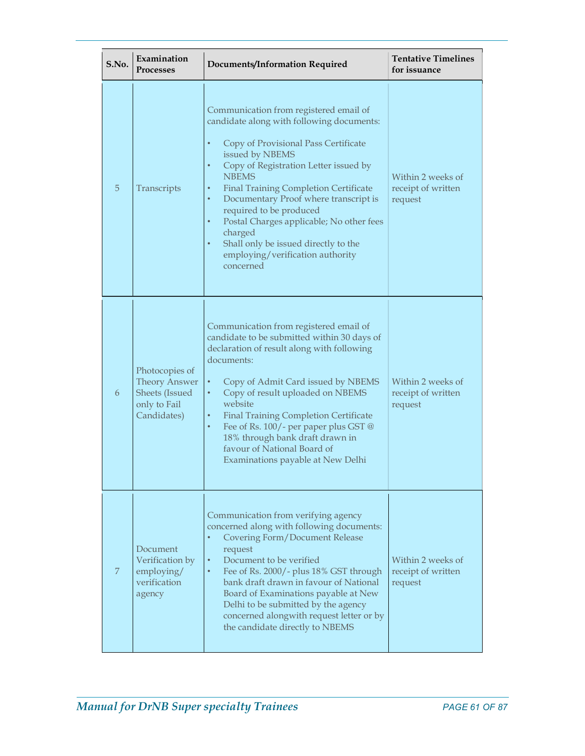| S.No. | Examination<br><b>Processes</b>                                                         | <b>Documents/Information Required</b>                                                                                                                                                                                                                                                                                                                                                                                                                                                                                                                     | <b>Tentative Timelines</b><br>for issuance         |
|-------|-----------------------------------------------------------------------------------------|-----------------------------------------------------------------------------------------------------------------------------------------------------------------------------------------------------------------------------------------------------------------------------------------------------------------------------------------------------------------------------------------------------------------------------------------------------------------------------------------------------------------------------------------------------------|----------------------------------------------------|
| 5     | Transcripts                                                                             | Communication from registered email of<br>candidate along with following documents:<br>Copy of Provisional Pass Certificate<br>$\bullet$<br>issued by NBEMS<br>Copy of Registration Letter issued by<br>$\bullet$<br><b>NBEMS</b><br><b>Final Training Completion Certificate</b><br>$\bullet$<br>Documentary Proof where transcript is<br>$\bullet$<br>required to be produced<br>Postal Charges applicable; No other fees<br>$\bullet$<br>charged<br>Shall only be issued directly to the<br>$\bullet$<br>employing/verification authority<br>concerned | Within 2 weeks of<br>receipt of written<br>request |
| 6     | Photocopies of<br><b>Theory Answer</b><br>Sheets (Issued<br>only to Fail<br>Candidates) | Communication from registered email of<br>candidate to be submitted within 30 days of<br>declaration of result along with following<br>documents:<br>$\bullet$<br>Copy of Admit Card issued by NBEMS<br>Copy of result uploaded on NBEMS<br>$\bullet$<br>website<br><b>Final Training Completion Certificate</b><br>$\bullet$<br>Fee of Rs. 100/- per paper plus GST @<br>$\bullet$<br>18% through bank draft drawn in<br>favour of National Board of<br>Examinations payable at New Delhi                                                                | Within 2 weeks of<br>receipt of written<br>request |
| 7     | Document<br>Verification by<br>employing/<br>verification<br>agency                     | Communication from verifying agency<br>concerned along with following documents:<br><b>Covering Form/Document Release</b><br>$\bullet$<br>request<br>Document to be verified<br>$\bullet$<br>Fee of Rs. 2000/- plus 18% GST through<br>$\bullet$<br>bank draft drawn in favour of National<br>Board of Examinations payable at New<br>Delhi to be submitted by the agency<br>concerned alongwith request letter or by<br>the candidate directly to NBEMS                                                                                                  | Within 2 weeks of<br>receipt of written<br>request |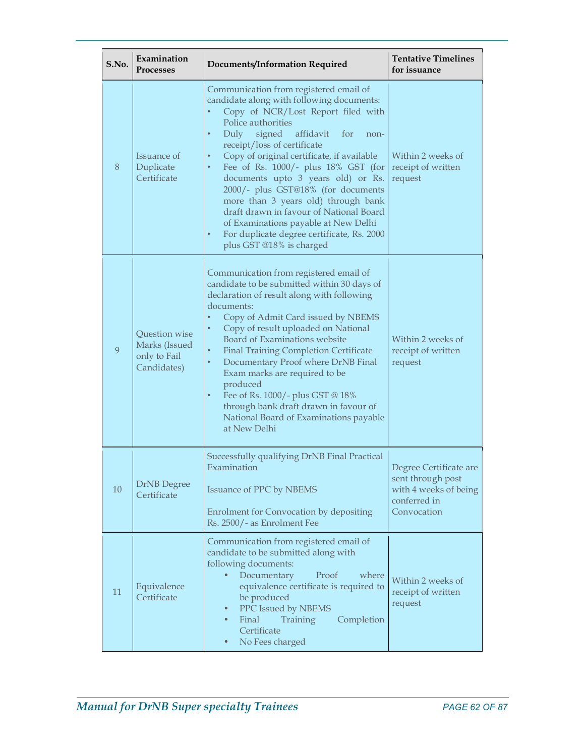| S.No. | Examination<br><b>Processes</b>                               | <b>Documents/Information Required</b>                                                                                                                                                                                                                                                                                                                                                                                                                                                                                                                                                                                                                           | <b>Tentative Timelines</b><br>for issuance                                                          |
|-------|---------------------------------------------------------------|-----------------------------------------------------------------------------------------------------------------------------------------------------------------------------------------------------------------------------------------------------------------------------------------------------------------------------------------------------------------------------------------------------------------------------------------------------------------------------------------------------------------------------------------------------------------------------------------------------------------------------------------------------------------|-----------------------------------------------------------------------------------------------------|
| 8     | Issuance of<br>Duplicate<br>Certificate                       | Communication from registered email of<br>candidate along with following documents:<br>Copy of NCR/Lost Report filed with<br>$\bullet$<br>Police authorities<br>Duly<br>signed<br>affidavit<br>$\bullet$<br>for<br>non-<br>receipt/loss of certificate<br>Copy of original certificate, if available<br>$\bullet$<br>Fee of Rs. $1000/-$ plus $18\%$ GST (for<br>$\bullet$<br>documents upto 3 years old) or Rs.<br>2000/- plus GST@18% (for documents<br>more than 3 years old) through bank<br>draft drawn in favour of National Board<br>of Examinations payable at New Delhi<br>For duplicate degree certificate, Rs. 2000<br>٠<br>plus GST @18% is charged | Within 2 weeks of<br>receipt of written<br>request                                                  |
| 9     | Question wise<br>Marks (Issued<br>only to Fail<br>Candidates) | Communication from registered email of<br>candidate to be submitted within 30 days of<br>declaration of result along with following<br>documents:<br>Copy of Admit Card issued by NBEMS<br>$\bullet$<br>Copy of result uploaded on National<br>$\bullet$<br>Board of Examinations website<br><b>Final Training Completion Certificate</b><br>$\bullet$<br>Documentary Proof where DrNB Final<br>$\bullet$<br>Exam marks are required to be<br>produced<br>Fee of Rs. 1000/- plus GST @ 18%<br>٠<br>through bank draft drawn in favour of<br>National Board of Examinations payable<br>at New Delhi                                                              | Within 2 weeks of<br>receipt of written<br>request                                                  |
| 10    | <b>DrNB</b> Degree<br>Certificate                             | Successfully qualifying DrNB Final Practical<br>Examination<br><b>Issuance of PPC by NBEMS</b><br>Enrolment for Convocation by depositing<br>Rs. 2500/- as Enrolment Fee                                                                                                                                                                                                                                                                                                                                                                                                                                                                                        | Degree Certificate are<br>sent through post<br>with 4 weeks of being<br>conferred in<br>Convocation |
| 11    | Equivalence<br>Certificate                                    | Communication from registered email of<br>candidate to be submitted along with<br>following documents:<br>Documentary<br>where<br>Proof<br>$\bullet$<br>equivalence certificate is required to<br>be produced<br>PPC Issued by NBEMS<br>$\bullet$<br>Final<br>Completion<br>Training<br>$\bullet$<br>Certificate<br>No Fees charged<br>$\bullet$                                                                                                                                                                                                                                                                                                                | Within 2 weeks of<br>receipt of written<br>request                                                  |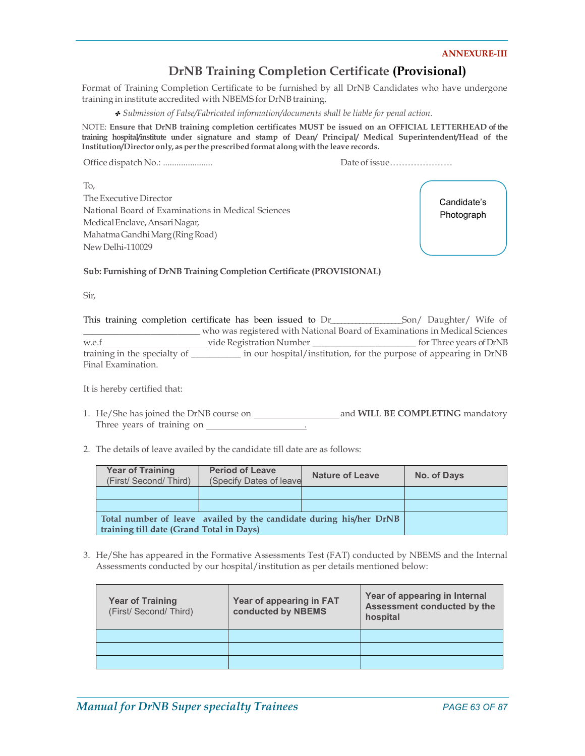#### ANNEXURE-III

## DrNB Training Completion Certificate (Provisional)

Format of Training Completion Certificate to be furnished by all DrNB Candidates who have undergone training in institute accredited with NBEMS for DrNB training.

✤ Submission of False/Fabricated information/documents shall be liable for penal action.

NOTE: Ensure that DrNB training completion certificates MUST be issued on an OFFICIAL LETTERHEAD of the training hospital/institute under signature and stamp of Dean/ Principal/ Medical Superintendent/Head of the Institution/Director only, as per the prescribed format along with the leave records.

Office dispatch No.: ...................... Date of issue…………………

To, The Executive Director National Board of Examinations in Medical Sciences Medical Enclave, Ansari Nagar, Mahatma Gandhi Marg (Ring Road) New Delhi-110029

Candidate's Photograph

Sub: Furnishing of DrNB Training Completion Certificate (PROVISIONAL)

Sir,

This training completion certificate has been issued to Dr\_\_\_\_\_\_\_\_\_\_\_\_\_\_\_\_\_\_\_\_Son/ Daughter/ Wife of \_\_\_\_\_\_\_\_\_\_\_\_\_\_\_\_\_\_\_\_\_\_\_\_\_\_ who was registered with National Board of Examinations in Medical Sciences w.e.f vide Registration Number \_\_\_\_\_\_\_\_\_\_\_\_\_\_\_\_\_\_\_\_\_\_\_ for Three years of DrNB training in the specialty of \_\_\_\_\_\_\_\_\_\_\_ in our hospital/institution, for the purpose of appearing in DrNB Final Examination.

It is hereby certified that:

1. He/She has joined the DrNB course on and WILL BE COMPLETING mandatory Three years of training on .

2. The details of leave availed by the candidate till date are as follows:

| <b>Year of Training</b><br>(First/Second/Third)                    | <b>Period of Leave</b><br>(Specify Dates of leave | <b>Nature of Leave</b> | No. of Days |
|--------------------------------------------------------------------|---------------------------------------------------|------------------------|-------------|
|                                                                    |                                                   |                        |             |
|                                                                    |                                                   |                        |             |
| Total number of leave availed by the candidate during his/her DrNB |                                                   |                        |             |
| training till date (Grand Total in Days)                           |                                                   |                        |             |

3. He/She has appeared in the Formative Assessments Test (FAT) conducted by NBEMS and the Internal Assessments conducted by our hospital/institution as per details mentioned below:

| <b>Year of Training</b><br>(First/ Second/ Third) | Year of appearing in FAT<br>conducted by NBEMS | Year of appearing in Internal<br>Assessment conducted by the<br>hospital |
|---------------------------------------------------|------------------------------------------------|--------------------------------------------------------------------------|
|                                                   |                                                |                                                                          |
|                                                   |                                                |                                                                          |
|                                                   |                                                |                                                                          |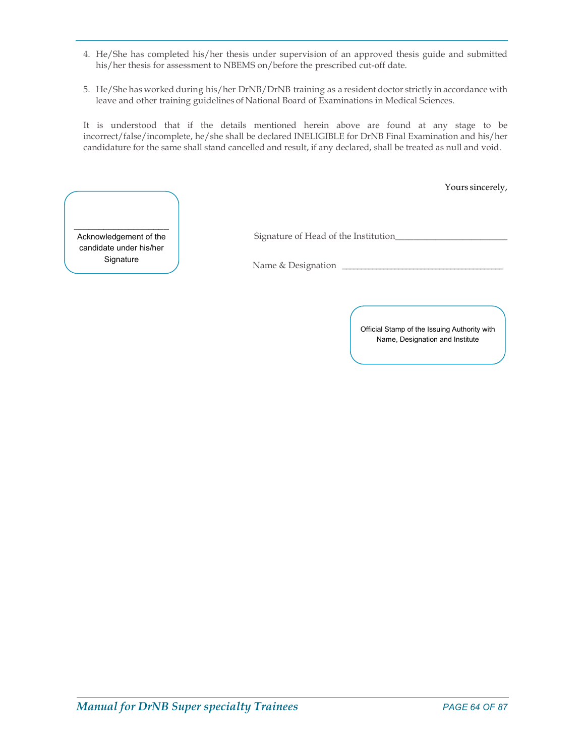- 4. He/She has completed his/her thesis under supervision of an approved thesis guide and submitted his/her thesis for assessment to NBEMS on/before the prescribed cut-off date.
- 5. He/She has worked during his/her DrNB/DrNB training as a resident doctor strictly in accordance with leave and other training guidelines of National Board of Examinations in Medical Sciences.

It is understood that if the details mentioned herein above are found at any stage to be incorrect/false/incomplete, he/she shall be declared INELIGIBLE for DrNB Final Examination and his/her candidature for the same shall stand cancelled and result, if any declared, shall be treated as null and void.

Yours sincerely,

 Name & Designation \_\_\_\_\_\_\_\_\_\_\_\_\_\_\_\_\_\_\_\_\_\_\_\_\_\_\_\_\_\_\_\_\_\_\_\_\_\_\_\_\_\_\_ \_\_\_\_\_\_\_\_\_\_\_\_\_\_\_\_\_\_\_ Acknowledgement of the candidate under his/her

Signature of Head of the Institution\_\_\_\_\_\_\_\_\_\_\_\_\_\_\_\_\_\_\_\_\_\_\_\_\_

Signature  $\bigcup$  Name & Designation

Official Stamp of the Issuing Authority with Name, Designation and Institute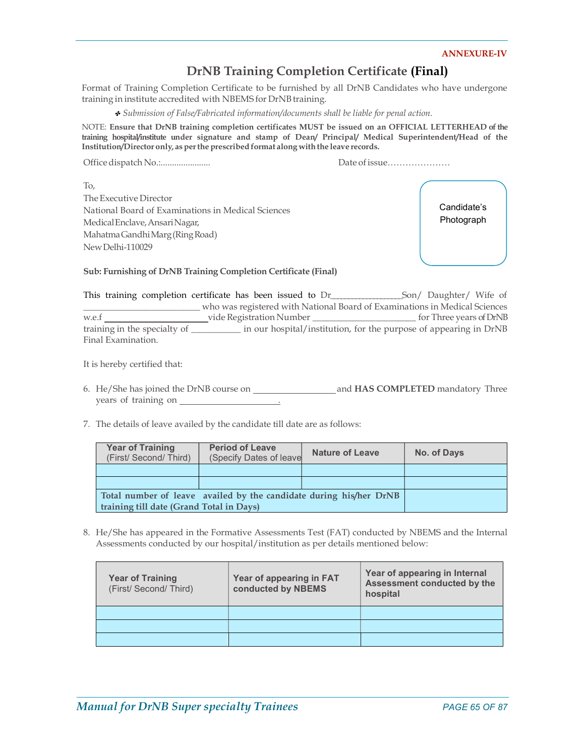#### ANNEXURE-IV

# DrNB Training Completion Certificate (Final)

Format of Training Completion Certificate to be furnished by all DrNB Candidates who have undergone training in institute accredited with NBEMS for DrNB training.

✤ Submission of False/Fabricated information/documents shall be liable for penal action.

NOTE: Ensure that DrNB training completion certificates MUST be issued on an OFFICIAL LETTERHEAD of the training hospital/institute under signature and stamp of Dean/ Principal/ Medical Superintendent/Head of the Institution/Director only, as per the prescribed format along with the leave records.

Office dispatch No.:...................... Date of issue…………………

To, The Executive Director National Board of Examinations in Medical Sciences Medical Enclave, Ansari Nagar, Mahatma Gandhi Marg (Ring Road) New Delhi-110029

Candidate's Photograph

Sub: Furnishing of DrNB Training Completion Certificate (Final)

This training completion certificate has been issued to Dr\_\_\_\_\_\_\_\_\_\_\_\_\_\_\_\_\_\_\_\_Son/ Daughter/ Wife of \_\_\_\_\_\_\_\_\_\_\_\_\_\_\_\_\_\_\_\_\_\_\_\_\_\_ who was registered with National Board of Examinations in Medical Sciences w.e.f vide Registration Number \_\_\_\_\_\_\_\_\_\_\_\_\_\_\_\_\_\_\_\_\_\_\_ for Three years of DrNB training in the specialty of \_\_\_\_\_\_\_\_\_\_\_ in our hospital/institution, for the purpose of appearing in DrNB Final Examination.

It is hereby certified that:

- 6. He/She has joined the DrNB course on and HAS COMPLETED mandatory Three years of training on .
- 7. The details of leave availed by the candidate till date are as follows:

| <b>Year of Training</b><br>(First/Second/Third)                    | <b>Period of Leave</b><br>(Specify Dates of leave | <b>Nature of Leave</b> | No. of Days |
|--------------------------------------------------------------------|---------------------------------------------------|------------------------|-------------|
|                                                                    |                                                   |                        |             |
|                                                                    |                                                   |                        |             |
| Total number of leave availed by the candidate during his/her DrNB |                                                   |                        |             |
| training till date (Grand Total in Days)                           |                                                   |                        |             |

8. He/She has appeared in the Formative Assessments Test (FAT) conducted by NBEMS and the Internal Assessments conducted by our hospital/institution as per details mentioned below:

| <b>Year of Training</b><br>(First/ Second/ Third) | Year of appearing in FAT<br>conducted by NBEMS | Year of appearing in Internal<br>Assessment conducted by the<br>hospital |
|---------------------------------------------------|------------------------------------------------|--------------------------------------------------------------------------|
|                                                   |                                                |                                                                          |
|                                                   |                                                |                                                                          |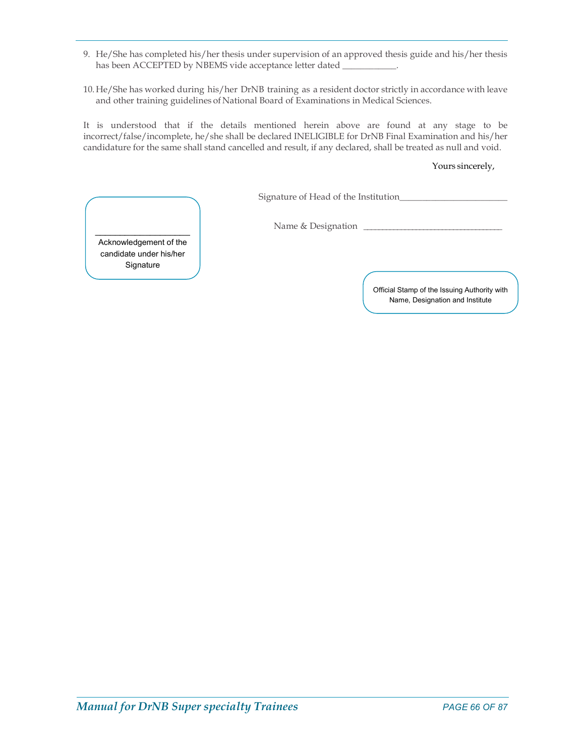- 9. He/She has completed his/her thesis under supervision of an approved thesis guide and his/her thesis has been ACCEPTED by NBEMS vide acceptance letter dated \_\_\_\_\_\_\_\_\_\_\_\_\_\_\_\_\_\_\_\_\_\_\_\_\_
- 10. He/She has worked during his/her DrNB training as a resident doctor strictly in accordance with leave and other training guidelines of National Board of Examinations in Medical Sciences.

It is understood that if the details mentioned herein above are found at any stage to be incorrect/false/incomplete, he/she shall be declared INELIGIBLE for DrNB Final Examination and his/her candidature for the same shall stand cancelled and result, if any declared, shall be treated as null and void.

#### Yours sincerely,

Signature of Head of the Institution\_\_\_\_\_\_\_\_\_\_\_\_\_\_\_\_\_\_\_\_\_\_\_\_

Name & Designation \_\_\_\_\_\_\_\_\_\_\_\_\_\_\_\_\_\_\_\_\_\_\_\_\_\_\_\_\_\_\_\_\_\_\_\_\_ \_\_\_\_\_\_\_\_\_\_\_\_\_\_\_\_\_\_\_ Acknowledgement of the

candidate under his/her **Signature** 

> Official Stamp of the Issuing Authority with Name, Designation and Institute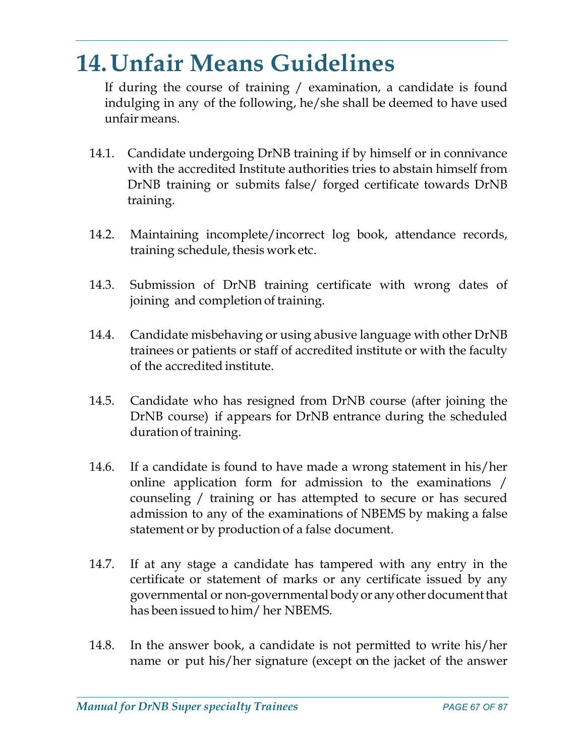# 14.Unfair Means Guidelines

If during the course of training / examination, a candidate is found indulging in any of the following, he/she shall be deemed to have used unfair means.

- 14.1. Candidate undergoing DrNB training if by himself or in connivance with the accredited Institute authorities tries to abstain himself from DrNB training or submits false/ forged certificate towards DrNB training.
- 14.2. Maintaining incomplete/incorrect log book, attendance records, training schedule, thesis work etc.
- 14.3. Submission of DrNB training certificate with wrong dates of joining and completion of training.
- 14.4. Candidate misbehaving or using abusive language with other DrNB trainees or patients or staff of accredited institute or with the faculty of the accredited institute.
- 14.5. Candidate who has resigned from DrNB course (after joining the DrNB course) if appears for DrNB entrance during the scheduled duration of training.
- 14.6. If a candidate is found to have made a wrong statement in his/her online application form for admission to the examinations / counseling / training or has attempted to secure or has secured admission to any of the examinations of NBEMS by making a false statement or by production of a false document.
- 14.7. If at any stage a candidate has tampered with any entry in the certificate or statement of marks or any certificate issued by any governmental or non-governmental body or any other document that has been issued to him/ her NBEMS.
- 14.8. In the answer book, a candidate is not permitted to write his/her name or put his/her signature (except on the jacket of the answer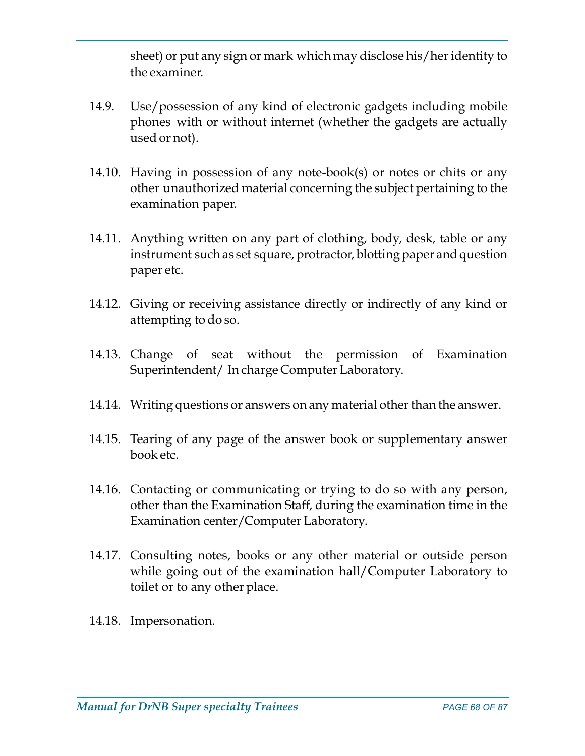sheet) or put any sign or mark which may disclose his/her identity to the examiner.

- 14.9. Use/possession of any kind of electronic gadgets including mobile phones with or without internet (whether the gadgets are actually used or not).
- 14.10. Having in possession of any note-book(s) or notes or chits or any other unauthorized material concerning the subject pertaining to the examination paper.
- 14.11. Anything written on any part of clothing, body, desk, table or any instrument such as set square, protractor, blotting paper and question paper etc.
- 14.12. Giving or receiving assistance directly or indirectly of any kind or attempting to do so.
- 14.13. Change of seat without the permission of Examination Superintendent/ In charge Computer Laboratory.
- 14.14. Writing questions or answers on any material other than the answer.
- 14.15. Tearing of any page of the answer book or supplementary answer book etc.
- 14.16. Contacting or communicating or trying to do so with any person, other than the Examination Staff, during the examination time in the Examination center/Computer Laboratory.
- 14.17. Consulting notes, books or any other material or outside person while going out of the examination hall/Computer Laboratory to toilet or to any other place.
- 14.18. Impersonation.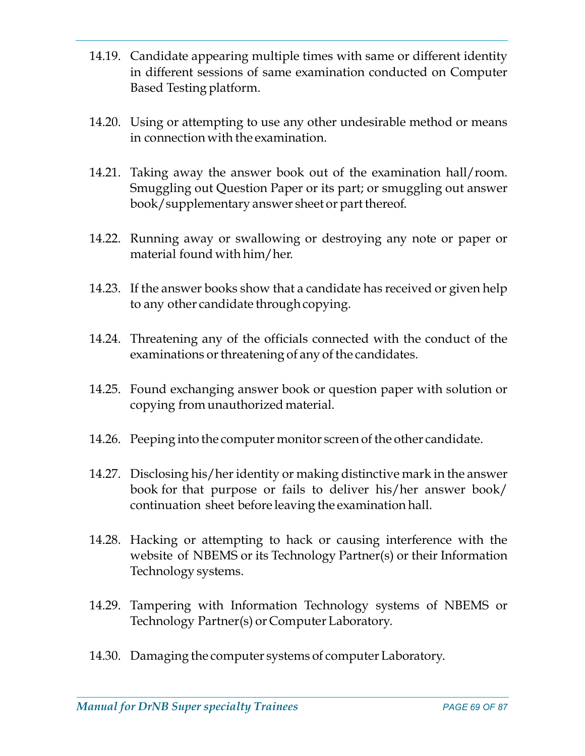- 14.19. Candidate appearing multiple times with same or different identity in different sessions of same examination conducted on Computer Based Testing platform.
- 14.20. Using or attempting to use any other undesirable method or means in connection with the examination.
- 14.21. Taking away the answer book out of the examination hall/room. Smuggling out Question Paper or its part; or smuggling out answer book/supplementary answer sheet or part thereof.
- 14.22. Running away or swallowing or destroying any note or paper or material found with him/her.
- 14.23. If the answer books show that a candidate has received or given help to any other candidate through copying.
- 14.24. Threatening any of the officials connected with the conduct of the examinations or threatening of any of the candidates.
- 14.25. Found exchanging answer book or question paper with solution or copying from unauthorized material.
- 14.26. Peeping into the computer monitor screen of the other candidate.
- 14.27. Disclosing his/her identity or making distinctive mark in the answer book for that purpose or fails to deliver his/her answer book/ continuation sheet before leaving the examination hall.
- 14.28. Hacking or attempting to hack or causing interference with the website of NBEMS or its Technology Partner(s) or their Information Technology systems.
- 14.29. Tampering with Information Technology systems of NBEMS or Technology Partner(s) or Computer Laboratory.
- 14.30. Damaging the computer systems of computer Laboratory.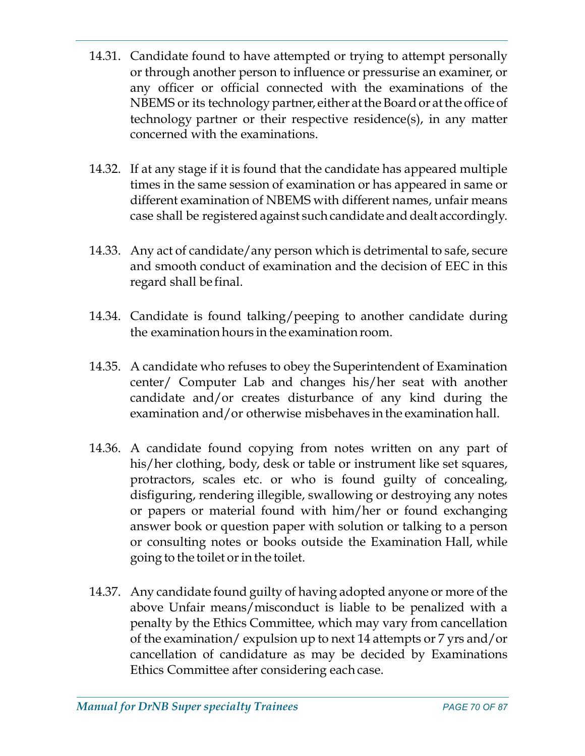- 14.31. Candidate found to have attempted or trying to attempt personally or through another person to influence or pressurise an examiner, or any officer or official connected with the examinations of the NBEMS or its technology partner, either at the Board or at the office of technology partner or their respective residence(s), in any matter concerned with the examinations.
- 14.32. If at any stage if it is found that the candidate has appeared multiple times in the same session of examination or has appeared in same or different examination of NBEMS with different names, unfair means case shall be registered against such candidate and dealt accordingly.
- 14.33. Any act of candidate/any person which is detrimental to safe, secure and smooth conduct of examination and the decision of EEC in this regard shall be final.
- 14.34. Candidate is found talking/peeping to another candidate during the examination hours in the examination room.
- 14.35. A candidate who refuses to obey the Superintendent of Examination center/ Computer Lab and changes his/her seat with another candidate and/or creates disturbance of any kind during the examination and/or otherwise misbehaves in the examination hall.
- 14.36. A candidate found copying from notes written on any part of his/her clothing, body, desk or table or instrument like set squares, protractors, scales etc. or who is found guilty of concealing, disfiguring, rendering illegible, swallowing or destroying any notes or papers or material found with him/her or found exchanging answer book or question paper with solution or talking to a person or consulting notes or books outside the Examination Hall, while going to the toilet or in the toilet.
- 14.37. Any candidate found guilty of having adopted anyone or more of the above Unfair means/misconduct is liable to be penalized with a penalty by the Ethics Committee, which may vary from cancellation of the examination/ expulsion up to next 14 attempts or 7 yrs and/or cancellation of candidature as may be decided by Examinations Ethics Committee after considering each case.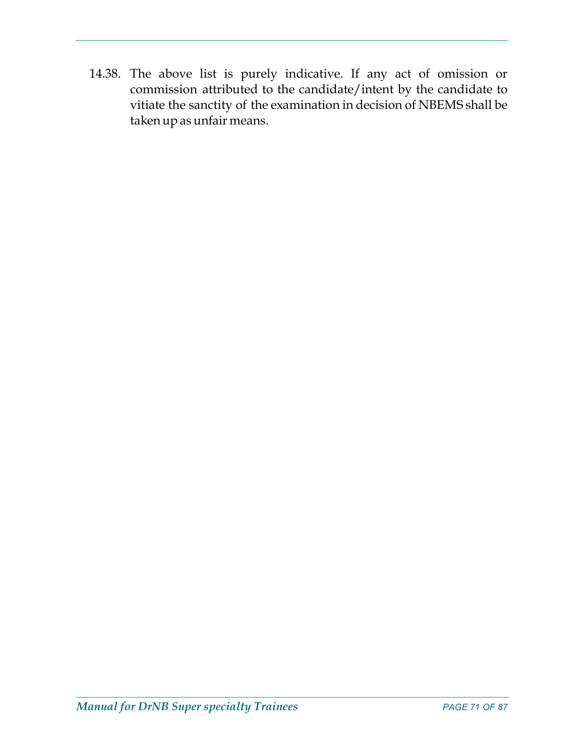14.38. The above list is purely indicative. If any act of omission or commission attributed to the candidate/intent by the candidate to vitiate the sanctity of the examination in decision of NBEMS shall be taken up as unfair means.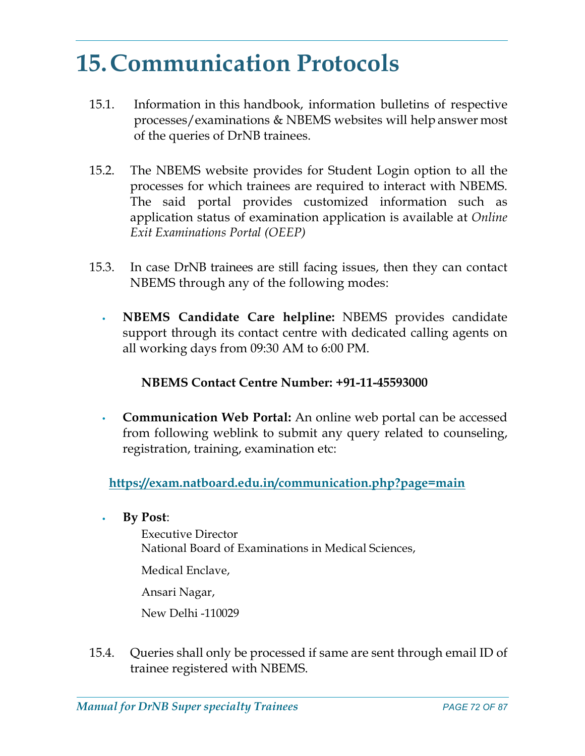# 15.Communication Protocols

- 15.1. Information in this handbook, information bulletins of respective processes/examinations & NBEMS websites will help answer most of the queries of DrNB trainees.
- 15.2. The NBEMS website provides for Student Login option to all the processes for which trainees are required to interact with NBEMS. The said portal provides customized information such as application status of examination application is available at Online Exit Examinations Portal (OEEP)
- 15.3. In case DrNB trainees are still facing issues, then they can contact NBEMS through any of the following modes:
	- **NBEMS Candidate Care helpline:** NBEMS provides candidate support through its contact centre with dedicated calling agents on all working days from 09:30 AM to 6:00 PM.

## NBEMS Contact Centre Number: +91-11-45593000

• Communication Web Portal: An online web portal can be accessed from following weblink to submit any query related to counseling, registration, training, examination etc:

https://exam.natboard.edu.in/communication.php?page=main

By Post:

 Executive Director National Board of Examinations in Medical Sciences,

Medical Enclave,

Ansari Nagar,

New Delhi -110029

15.4. Queries shall only be processed if same are sent through email ID of trainee registered with NBEMS.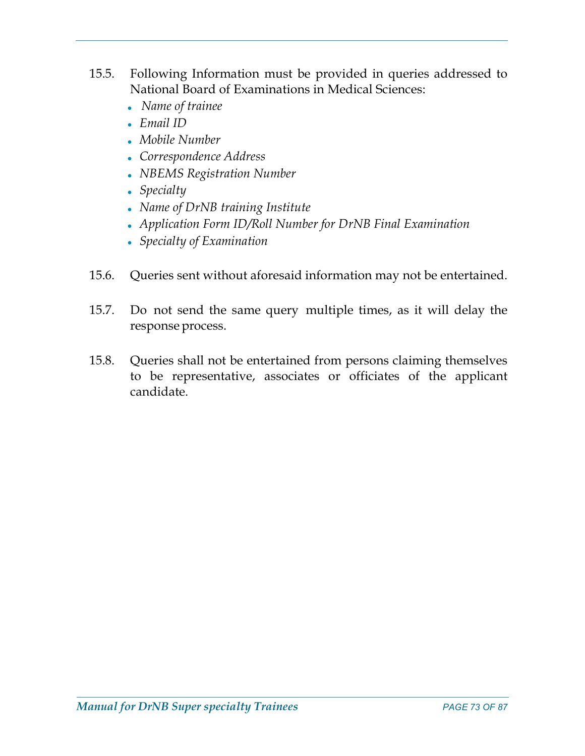- 15.5. Following Information must be provided in queries addressed to National Board of Examinations in Medical Sciences:
	- Name of trainee
	- Email ID
	- Mobile Number
	- Correspondence Address
	- NBEMS Registration Number
	- Specialty
	- Name of DrNB training Institute
	- Application Form ID/Roll Number for DrNB Final Examination
	- Specialty of Examination
- 15.6. Queries sent without aforesaid information may not be entertained.
- 15.7. Do not send the same query multiple times, as it will delay the response process.
- 15.8. Queries shall not be entertained from persons claiming themselves to be representative, associates or officiates of the applicant candidate.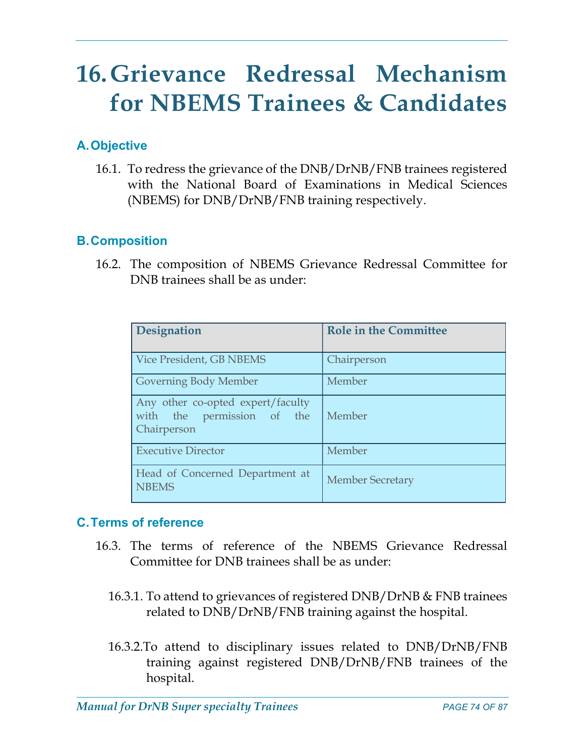# 16.Grievance Redressal Mechanism for NBEMS Trainees & Candidates

## A.Objective

16.1. To redress the grievance of the DNB/DrNB/FNB trainees registered with the National Board of Examinations in Medical Sciences (NBEMS) for DNB/DrNB/FNB training respectively.

## B.Composition

16.2. The composition of NBEMS Grievance Redressal Committee for DNB trainees shall be as under:

| Designation                                                                    | <b>Role in the Committee</b> |
|--------------------------------------------------------------------------------|------------------------------|
| Vice President, GB NBEMS                                                       | Chairperson                  |
| Governing Body Member                                                          | Member                       |
| Any other co-opted expert/faculty<br>with the permission of the<br>Chairperson | Member                       |
| <b>Executive Director</b>                                                      | Member                       |
| Head of Concerned Department at<br><b>NBEMS</b>                                | <b>Member Secretary</b>      |

### C.Terms of reference

- 16.3. The terms of reference of the NBEMS Grievance Redressal Committee for DNB trainees shall be as under:
	- 16.3.1. To attend to grievances of registered DNB/DrNB & FNB trainees related to DNB/DrNB/FNB training against the hospital.
	- 16.3.2.To attend to disciplinary issues related to DNB/DrNB/FNB training against registered DNB/DrNB/FNB trainees of the hospital.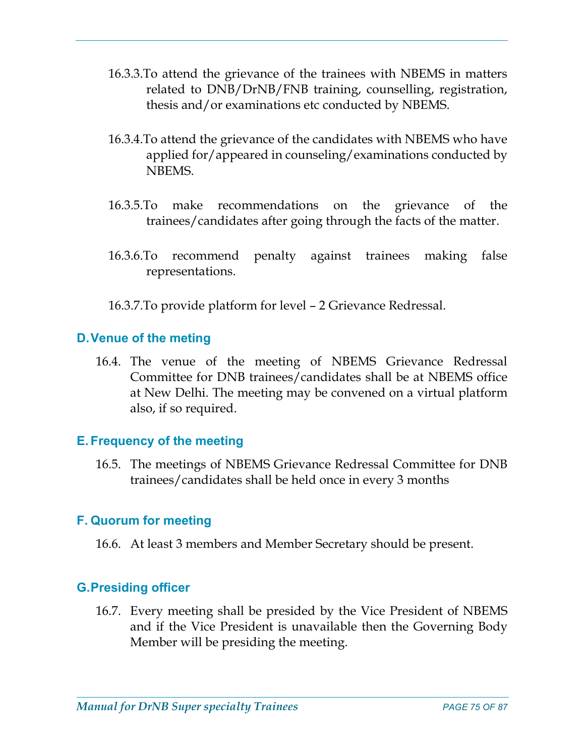- 16.3.3.To attend the grievance of the trainees with NBEMS in matters related to DNB/DrNB/FNB training, counselling, registration, thesis and/or examinations etc conducted by NBEMS.
- 16.3.4.To attend the grievance of the candidates with NBEMS who have applied for/appeared in counseling/examinations conducted by NBEMS.
- 16.3.5.To make recommendations on the grievance of the trainees/candidates after going through the facts of the matter.
- 16.3.6.To recommend penalty against trainees making false representations.
- 16.3.7.To provide platform for level 2 Grievance Redressal.

### D.Venue of the meting

16.4. The venue of the meeting of NBEMS Grievance Redressal Committee for DNB trainees/candidates shall be at NBEMS office at New Delhi. The meeting may be convened on a virtual platform also, if so required.

### E. Frequency of the meeting

16.5. The meetings of NBEMS Grievance Redressal Committee for DNB trainees/candidates shall be held once in every 3 months

### F. Quorum for meeting

16.6. At least 3 members and Member Secretary should be present.

### G.Presiding officer

16.7. Every meeting shall be presided by the Vice President of NBEMS and if the Vice President is unavailable then the Governing Body Member will be presiding the meeting.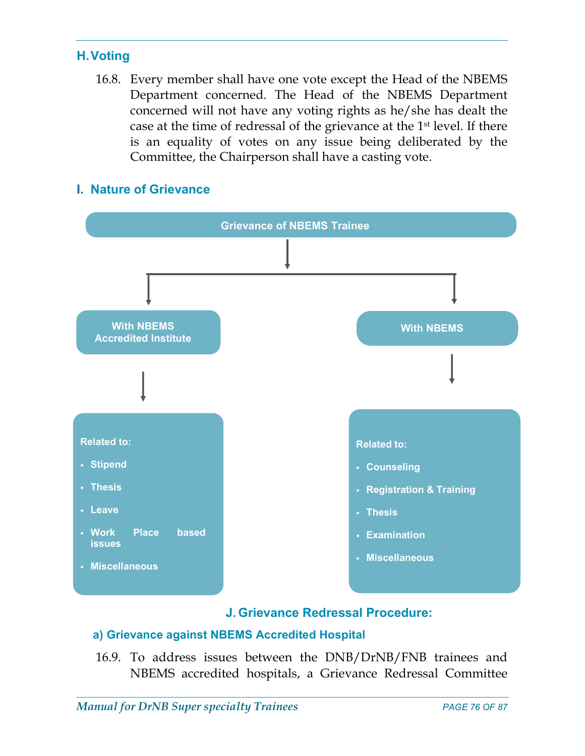### H.Voting

16.8. Every member shall have one vote except the Head of the NBEMS Department concerned. The Head of the NBEMS Department concerned will not have any voting rights as he/she has dealt the case at the time of redressal of the grievance at the 1st level. If there is an equality of votes on any issue being deliberated by the Committee, the Chairperson shall have a casting vote.

### I. Nature of Grievance



### J. Grievance Redressal Procedure:

### a) Grievance against NBEMS Accredited Hospital

16.9. To address issues between the DNB/DrNB/FNB trainees and NBEMS accredited hospitals, a Grievance Redressal Committee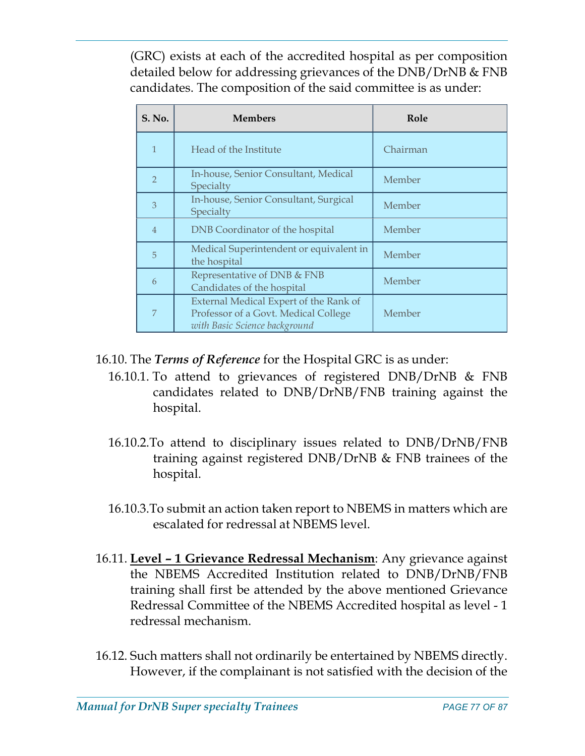(GRC) exists at each of the accredited hospital as per composition detailed below for addressing grievances of the DNB/DrNB & FNB candidates. The composition of the said committee is as under:

| S. No.         | <b>Members</b>                                                                                                  | Role     |
|----------------|-----------------------------------------------------------------------------------------------------------------|----------|
| $\mathbf{1}$   | Head of the Institute                                                                                           | Chairman |
| $\overline{2}$ | In-house, Senior Consultant, Medical<br>Specialty                                                               | Member   |
| 3              | In-house, Senior Consultant, Surgical<br>Specialty                                                              | Member   |
| $\overline{4}$ | DNB Coordinator of the hospital                                                                                 | Member   |
| 5              | Medical Superintendent or equivalent in<br>the hospital                                                         | Member   |
| 6              | Representative of DNB & FNB<br>Candidates of the hospital                                                       | Member   |
|                | External Medical Expert of the Rank of<br>Professor of a Govt. Medical College<br>with Basic Science background | Member   |

- 16.10. The Terms of Reference for the Hospital GRC is as under:
	- 16.10.1. To attend to grievances of registered DNB/DrNB & FNB candidates related to DNB/DrNB/FNB training against the hospital.
	- 16.10.2.To attend to disciplinary issues related to DNB/DrNB/FNB training against registered DNB/DrNB & FNB trainees of the hospital.
	- 16.10.3.To submit an action taken report to NBEMS in matters which are escalated for redressal at NBEMS level.
- 16.11. Level 1 Grievance Redressal Mechanism: Any grievance against the NBEMS Accredited Institution related to DNB/DrNB/FNB training shall first be attended by the above mentioned Grievance Redressal Committee of the NBEMS Accredited hospital as level - 1 redressal mechanism.
- 16.12. Such matters shall not ordinarily be entertained by NBEMS directly. However, if the complainant is not satisfied with the decision of the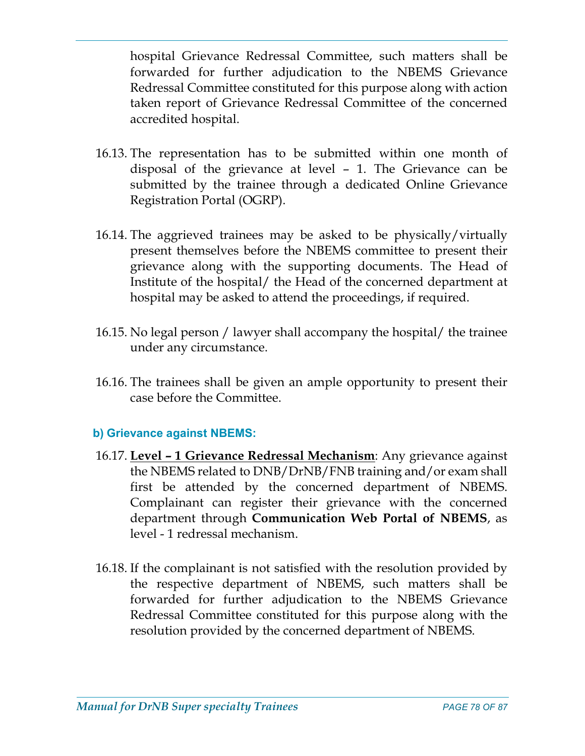hospital Grievance Redressal Committee, such matters shall be forwarded for further adjudication to the NBEMS Grievance Redressal Committee constituted for this purpose along with action taken report of Grievance Redressal Committee of the concerned accredited hospital.

- 16.13. The representation has to be submitted within one month of disposal of the grievance at level – 1. The Grievance can be submitted by the trainee through a dedicated Online Grievance Registration Portal (OGRP).
- 16.14. The aggrieved trainees may be asked to be physically/virtually present themselves before the NBEMS committee to present their grievance along with the supporting documents. The Head of Institute of the hospital/ the Head of the concerned department at hospital may be asked to attend the proceedings, if required.
- 16.15. No legal person / lawyer shall accompany the hospital/ the trainee under any circumstance.
- 16.16. The trainees shall be given an ample opportunity to present their case before the Committee.

### b) Grievance against NBEMS:

- 16.17. Level 1 Grievance Redressal Mechanism: Any grievance against the NBEMS related to DNB/DrNB/FNB training and/or exam shall first be attended by the concerned department of NBEMS. Complainant can register their grievance with the concerned department through Communication Web Portal of NBEMS, as level - 1 redressal mechanism.
- 16.18. If the complainant is not satisfied with the resolution provided by the respective department of NBEMS, such matters shall be forwarded for further adjudication to the NBEMS Grievance Redressal Committee constituted for this purpose along with the resolution provided by the concerned department of NBEMS.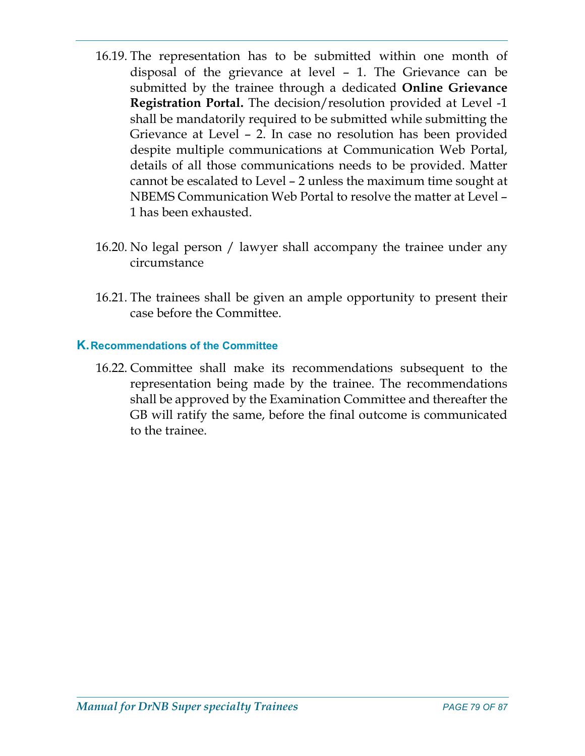- 16.19. The representation has to be submitted within one month of disposal of the grievance at level – 1. The Grievance can be submitted by the trainee through a dedicated Online Grievance Registration Portal. The decision/resolution provided at Level -1 shall be mandatorily required to be submitted while submitting the Grievance at Level – 2. In case no resolution has been provided despite multiple communications at Communication Web Portal, details of all those communications needs to be provided. Matter cannot be escalated to Level – 2 unless the maximum time sought at NBEMS Communication Web Portal to resolve the matter at Level – 1 has been exhausted.
- 16.20. No legal person / lawyer shall accompany the trainee under any circumstance
- 16.21. The trainees shall be given an ample opportunity to present their case before the Committee.

### K.Recommendations of the Committee

16.22. Committee shall make its recommendations subsequent to the representation being made by the trainee. The recommendations shall be approved by the Examination Committee and thereafter the GB will ratify the same, before the final outcome is communicated to the trainee.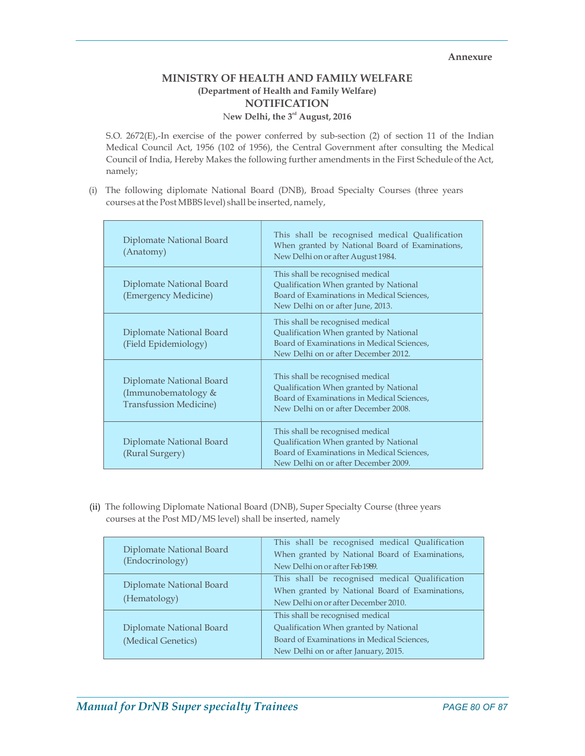#### Annexure

### MINISTRY OF HEALTH AND FAMILY WELFARE (Department of Health and Family Welfare) NOTIFICATION New Delhi, the 3<sup>rd</sup> August, 2016

S.O. 2672(E),-In exercise of the power conferred by sub-section (2) of section 11 of the Indian Medical Council Act, 1956 (102 of 1956), the Central Government after consulting the Medical Council of India, Hereby Makes the following further amendments in the First Schedule of the Act, namely;

 (i) The following diplomate National Board (DNB), Broad Specialty Courses (three years courses at the Post MBBS level) shall be inserted, namely,

| Diplomate National Board<br>(Anatomy)                                            | This shall be recognised medical Qualification<br>When granted by National Board of Examinations,<br>New Delhi on or after August 1984.                          |
|----------------------------------------------------------------------------------|------------------------------------------------------------------------------------------------------------------------------------------------------------------|
| Diplomate National Board<br>(Emergency Medicine)                                 | This shall be recognised medical<br>Qualification When granted by National<br>Board of Examinations in Medical Sciences,<br>New Delhi on or after June, 2013.    |
| Diplomate National Board<br>(Field Epidemiology)                                 | This shall be recognised medical<br>Qualification When granted by National<br>Board of Examinations in Medical Sciences,<br>New Delhi on or after December 2012. |
| Diplomate National Board<br>(Immunobematology &<br><b>Transfussion Medicine)</b> | This shall be recognised medical<br>Qualification When granted by National<br>Board of Examinations in Medical Sciences,<br>New Delhi on or after December 2008. |
| Diplomate National Board<br>(Rural Surgery)                                      | This shall be recognised medical<br>Qualification When granted by National<br>Board of Examinations in Medical Sciences,<br>New Delhi on or after December 2009. |

(ii) The following Diplomate National Board (DNB), Super Specialty Course (three years courses at the Post MD/MS level) shall be inserted, namely

| Diplomate National Board<br>(Endocrinology) | This shall be recognised medical Qualification  |
|---------------------------------------------|-------------------------------------------------|
|                                             | When granted by National Board of Examinations, |
|                                             | New Delhi on or after Feb 1989.                 |
| Diplomate National Board<br>(Hematology)    | This shall be recognised medical Qualification  |
|                                             | When granted by National Board of Examinations, |
|                                             | New Delhi on or after December 2010.            |
|                                             | This shall be recognised medical                |
| Diplomate National Board                    | Qualification When granted by National          |
| (Medical Genetics)                          | Board of Examinations in Medical Sciences,      |
|                                             | New Delhi on or after January, 2015.            |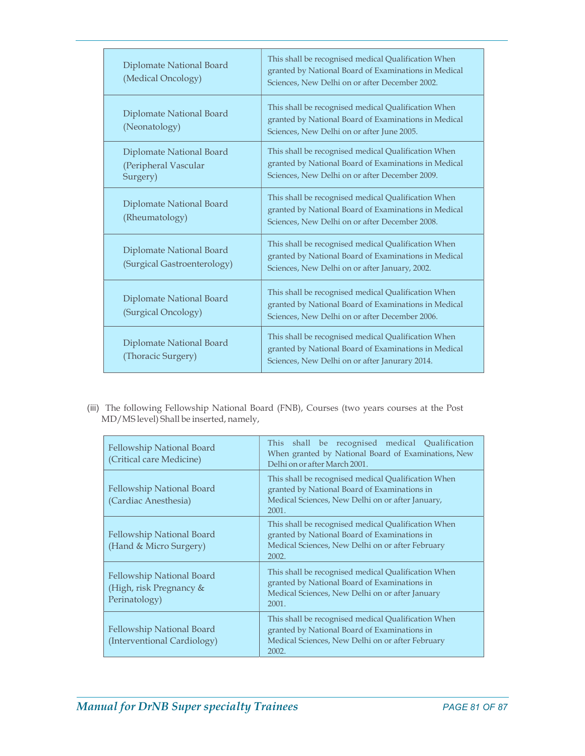| Diplomate National Board<br>(Medical Oncology)               | This shall be recognised medical Qualification When<br>granted by National Board of Examinations in Medical<br>Sciences. New Delhi on or after December 2002. |
|--------------------------------------------------------------|---------------------------------------------------------------------------------------------------------------------------------------------------------------|
| Diplomate National Board<br>(Neonatology)                    | This shall be recognised medical Qualification When<br>granted by National Board of Examinations in Medical<br>Sciences, New Delhi on or after June 2005.     |
| Diplomate National Board<br>(Peripheral Vascular<br>Surgery) | This shall be recognised medical Qualification When<br>granted by National Board of Examinations in Medical<br>Sciences, New Delhi on or after December 2009. |
| Diplomate National Board<br>(Rheumatology)                   | This shall be recognised medical Qualification When<br>granted by National Board of Examinations in Medical<br>Sciences, New Delhi on or after December 2008. |
| Diplomate National Board<br>(Surgical Gastroenterology)      | This shall be recognised medical Qualification When<br>granted by National Board of Examinations in Medical<br>Sciences, New Delhi on or after January, 2002. |
| Diplomate National Board<br>(Surgical Oncology)              | This shall be recognised medical Qualification When<br>granted by National Board of Examinations in Medical<br>Sciences, New Delhi on or after December 2006. |
| Diplomate National Board<br>(Thoracic Surgery)               | This shall be recognised medical Qualification When<br>granted by National Board of Examinations in Medical<br>Sciences, New Delhi on or after Janurary 2014. |

 (iii) The following Fellowship National Board (FNB), Courses (two years courses at the Post MD/MS level) Shall be inserted, namely,

| Fellowship National Board<br>(Critical care Medicine)                 | This shall be recognised medical Qualification<br>When granted by National Board of Examinations, New<br>Delhi on or after March 2001.                           |  |
|-----------------------------------------------------------------------|------------------------------------------------------------------------------------------------------------------------------------------------------------------|--|
| Fellowship National Board<br>(Cardiac Anesthesia)                     | This shall be recognised medical Qualification When<br>granted by National Board of Examinations in<br>Medical Sciences, New Delhi on or after January,<br>2001. |  |
| Fellowship National Board<br>(Hand & Micro Surgery)                   | This shall be recognised medical Qualification When<br>granted by National Board of Examinations in<br>Medical Sciences, New Delhi on or after February<br>2002. |  |
| Fellowship National Board<br>(High, risk Pregnancy &<br>Perinatology) | This shall be recognised medical Qualification When<br>granted by National Board of Examinations in<br>Medical Sciences, New Delhi on or after January<br>2001.  |  |
| Fellowship National Board<br>(Interventional Cardiology)              | This shall be recognised medical Qualification When<br>granted by National Board of Examinations in<br>Medical Sciences, New Delhi on or after February<br>2002. |  |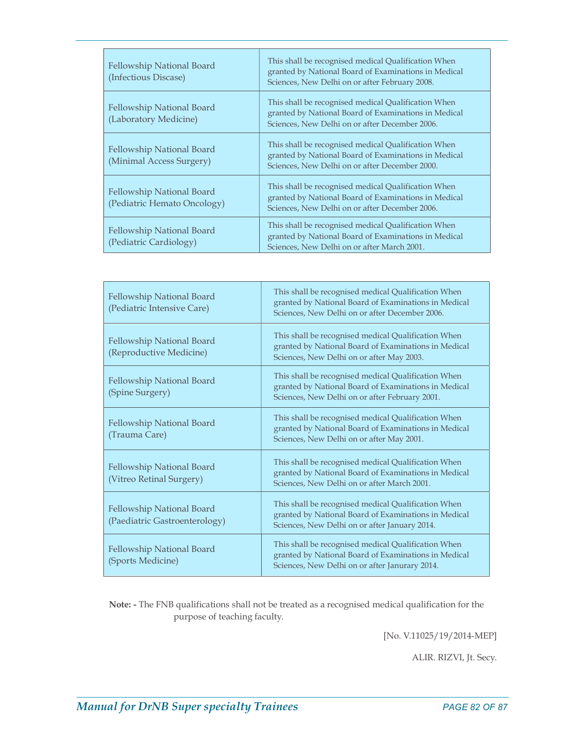| Fellowship National Board<br>(Infectious Discase)        | This shall be recognised medical Qualification When<br>granted by National Board of Examinations in Medical<br>Sciences, New Delhi on or after February 2008. |
|----------------------------------------------------------|---------------------------------------------------------------------------------------------------------------------------------------------------------------|
| Fellowship National Board<br>(Laboratory Medicine)       | This shall be recognised medical Qualification When<br>granted by National Board of Examinations in Medical<br>Sciences, New Delhi on or after December 2006. |
| Fellowship National Board<br>(Minimal Access Surgery)    | This shall be recognised medical Qualification When<br>granted by National Board of Examinations in Medical<br>Sciences, New Delhi on or after December 2000. |
| Fellowship National Board<br>(Pediatric Hemato Oncology) | This shall be recognised medical Qualification When<br>granted by National Board of Examinations in Medical<br>Sciences, New Delhi on or after December 2006. |
| Fellowship National Board<br>(Pediatric Cardiology)      | This shall be recognised medical Qualification When<br>granted by National Board of Examinations in Medical<br>Sciences, New Delhi on or after March 2001.    |

| Fellowship National Board<br>(Pediatric Intensive Care)    | This shall be recognised medical Qualification When<br>granted by National Board of Examinations in Medical<br>Sciences, New Delhi on or after December 2006. |  |
|------------------------------------------------------------|---------------------------------------------------------------------------------------------------------------------------------------------------------------|--|
| Fellowship National Board<br>(Reproductive Medicine)       | This shall be recognised medical Qualification When<br>granted by National Board of Examinations in Medical<br>Sciences, New Delhi on or after May 2003.      |  |
| Fellowship National Board<br>(Spine Surgery)               | This shall be recognised medical Qualification When<br>granted by National Board of Examinations in Medical<br>Sciences, New Delhi on or after February 2001. |  |
| Fellowship National Board<br>(Trauma Care)                 | This shall be recognised medical Qualification When<br>granted by National Board of Examinations in Medical<br>Sciences, New Delhi on or after May 2001.      |  |
| Fellowship National Board<br>(Vitreo Retinal Surgery)      | This shall be recognised medical Qualification When<br>granted by National Board of Examinations in Medical<br>Sciences, New Delhi on or after March 2001.    |  |
| Fellowship National Board<br>(Paediatric Gastroenterology) | This shall be recognised medical Qualification When<br>granted by National Board of Examinations in Medical<br>Sciences, New Delhi on or after January 2014.  |  |
| Fellowship National Board<br>(Sports Medicine)             | This shall be recognised medical Qualification When<br>granted by National Board of Examinations in Medical<br>Sciences, New Delhi on or after Janurary 2014. |  |

Note: - The FNB qualifications shall not be treated as a recognised medical qualification for the purpose of teaching faculty.

[No. V.11025/19/2014-MEP]

ALIR. RIZVI, Jt. Secy.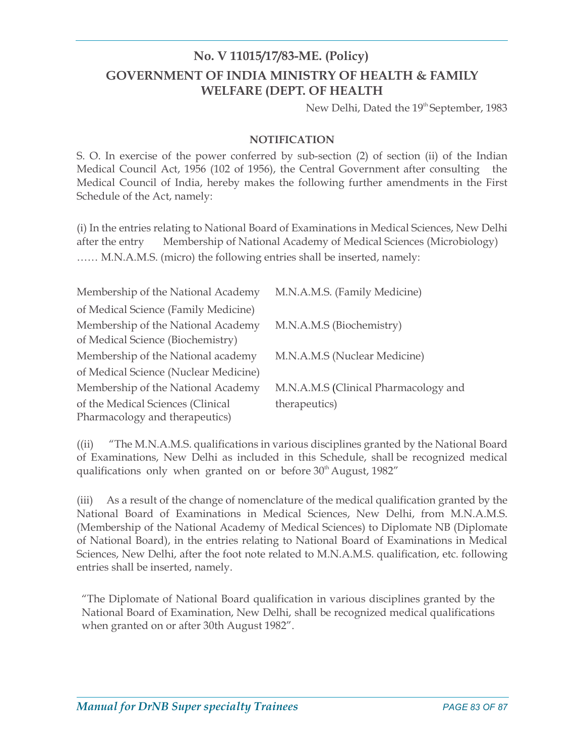# No. V 11015/17/83-ME. (Policy) GOVERNMENT OF INDIA MINISTRY OF HEALTH & FAMILY WELFARE (DEPT. OF HEALTH

New Delhi, Dated the 19<sup>th</sup> September, 1983

### NOTIFICATION

S. O. In exercise of the power conferred by sub-section (2) of section (ii) of the Indian Medical Council Act, 1956 (102 of 1956), the Central Government after consulting the Medical Council of India, hereby makes the following further amendments in the First Schedule of the Act, namely:

(i) In the entries relating to National Board of Examinations in Medical Sciences, New Delhi after the entry Membership of National Academy of Medical Sciences (Microbiology) …… M.N.A.M.S. (micro) the following entries shall be inserted, namely:

| Membership of the National Academy    | M.N.A.M.S. (Family Medicine)         |
|---------------------------------------|--------------------------------------|
| of Medical Science (Family Medicine)  |                                      |
| Membership of the National Academy    | M.N.A.M.S (Biochemistry)             |
| of Medical Science (Biochemistry)     |                                      |
| Membership of the National academy    | M.N.A.M.S (Nuclear Medicine)         |
| of Medical Science (Nuclear Medicine) |                                      |
| Membership of the National Academy    | M.N.A.M.S (Clinical Pharmacology and |
| of the Medical Sciences (Clinical     | therapeutics)                        |
| Pharmacology and therapeutics)        |                                      |

((ii) "The M.N.A.M.S. qualifications in various disciplines granted by the National Board of Examinations, New Delhi as included in this Schedule, shall be recognized medical qualifications only when granted on or before  $30<sup>th</sup>$  August, 1982"

(iii) As a result of the change of nomenclature of the medical qualification granted by the National Board of Examinations in Medical Sciences, New Delhi, from M.N.A.M.S. (Membership of the National Academy of Medical Sciences) to Diplomate NB (Diplomate of National Board), in the entries relating to National Board of Examinations in Medical Sciences, New Delhi, after the foot note related to M.N.A.M.S. qualification, etc. following entries shall be inserted, namely.

"The Diplomate of National Board qualification in various disciplines granted by the National Board of Examination, New Delhi, shall be recognized medical qualifications when granted on or after 30th August 1982".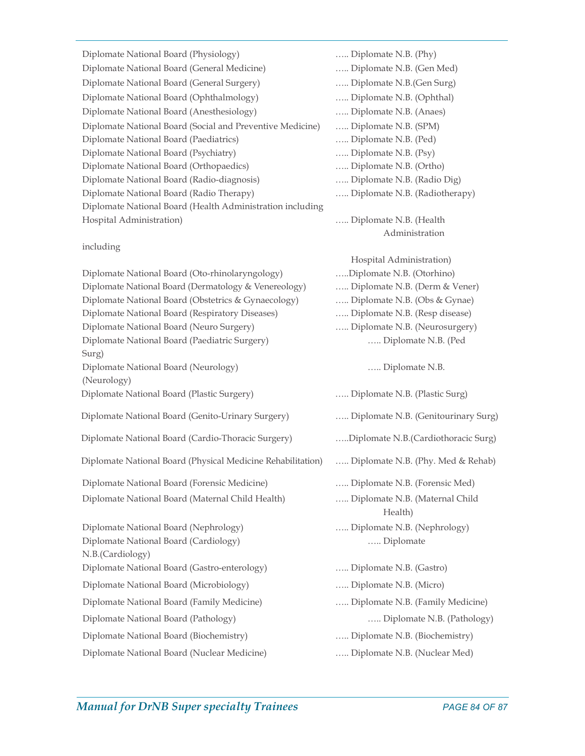Diplomate National Board (Physiology) ….. Diplomate N.B. (Phy) Diplomate National Board (General Medicine) ….. Diplomate N.B. (Gen Med) Diplomate National Board (General Surgery) ….. Diplomate N.B.(Gen Surg) Diplomate National Board (Ophthalmology) ….. Diplomate N.B. (Ophthal) Diplomate National Board (Anesthesiology) ….. Diplomate N.B. (Anaes) Diplomate National Board (Social and Preventive Medicine) ….. Diplomate N.B. (SPM) Diplomate National Board (Paediatrics) ….. Diplomate N.B. (Ped) Diplomate National Board (Psychiatry) ….. Diplomate N.B. (Psy) Diplomate National Board (Orthopaedics) ….. Diplomate N.B. (Ortho) Diplomate National Board (Radio-diagnosis) ….. Diplomate N.B. (Radio Dig) Diplomate National Board (Radio Therapy) ….. Diplomate N.B. (Radiotherapy) Diplomate National Board (Health Administration including Hospital Administration) ….. Diplomate N.B. (Health

#### including

Diplomate National Board (Oto-rhinolaryngology) …..Diplomate N.B. (Otorhino) Diplomate National Board (Dermatology & Venereology) ….. Diplomate N.B. (Derm & Vener) Diplomate National Board (Obstetrics & Gynaecology) ….. Diplomate N.B. (Obs & Gynae) Diplomate National Board (Respiratory Diseases) ….. Diplomate N.B. (Resp disease) Diplomate National Board (Neuro Surgery) ….. Diplomate N.B. (Neurosurgery) Diplomate National Board (Paediatric Surgery) ….. Diplomate N.B. (Ped Surg) Diplomate National Board (Neurology) ….. Diplomate N.B. (Neurology) Diplomate National Board (Plastic Surgery) ….. Diplomate N.B. (Plastic Surg) Diplomate National Board (Genito-Urinary Surgery) ….. Diplomate N.B. (Genitourinary Surg) Diplomate National Board (Cardio-Thoracic Surgery) …..Diplomate N.B.(Cardiothoracic Surg) Diplomate National Board (Physical Medicine Rehabilitation) ….. Diplomate N.B. (Phy. Med & Rehab) Diplomate National Board (Forensic Medicine) ….. Diplomate N.B. (Forensic Med) Diplomate National Board (Maternal Child Health) ….. Diplomate N.B. (Maternal Child Health) and the Health studies of the Health studies of the Health studies of the Health studies of the Health studies of the Health studies of the Health studies of the Health studies of the Health studies of the Health s Diplomate National Board (Nephrology) ….. Diplomate N.B. (Nephrology) Diplomate National Board (Cardiology) ….. Diplomate N.B.(Cardiology) Diplomate National Board (Gastro-enterology) ….. Diplomate N.B. (Gastro) Diplomate National Board (Microbiology) ….. Diplomate N.B. (Micro) Diplomate National Board (Family Medicine) ….. Diplomate N.B. (Family Medicine) Diplomate National Board (Pathology) ….. Diplomate N.B. (Pathology) Diplomate National Board (Biochemistry) ….. Diplomate N.B. (Biochemistry) Diplomate National Board (Nuclear Medicine) ….. Diplomate N.B. (Nuclear Med)

 Administration Hospital Administration)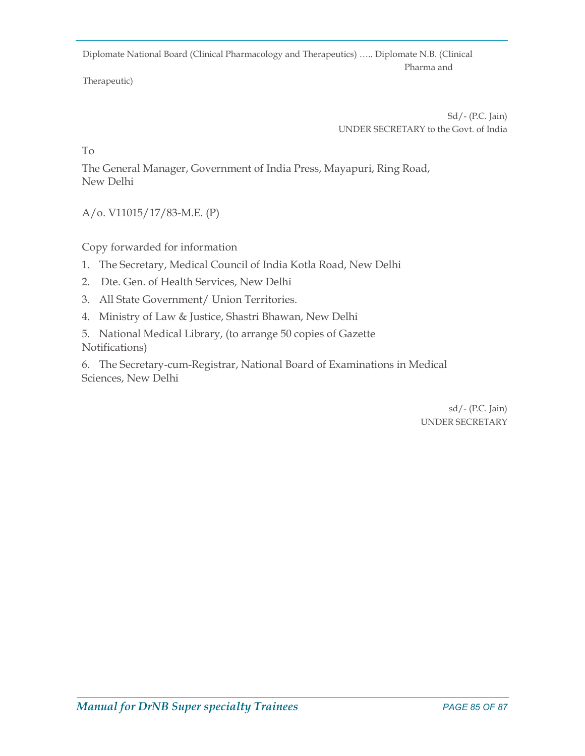Diplomate National Board (Clinical Pharmacology and Therapeutics) ….. Diplomate N.B. (Clinical **Pharma and Pharma and** 

Therapeutic)

 Sd/- (P.C. Jain) UNDER SECRETARY to the Govt. of India

To

The General Manager, Government of India Press, Mayapuri, Ring Road, New Delhi

A/o. V11015/17/83-M.E. (P)

Copy forwarded for information

- 1. The Secretary, Medical Council of India Kotla Road, New Delhi
- 2. Dte. Gen. of Health Services, New Delhi
- 3. All State Government/ Union Territories.
- 4. Ministry of Law & Justice, Shastri Bhawan, New Delhi
- 5. National Medical Library, (to arrange 50 copies of Gazette Notifications)

6. The Secretary-cum-Registrar, National Board of Examinations in Medical Sciences, New Delhi

> sd/- (P.C. Jain) UNDER SECRETARY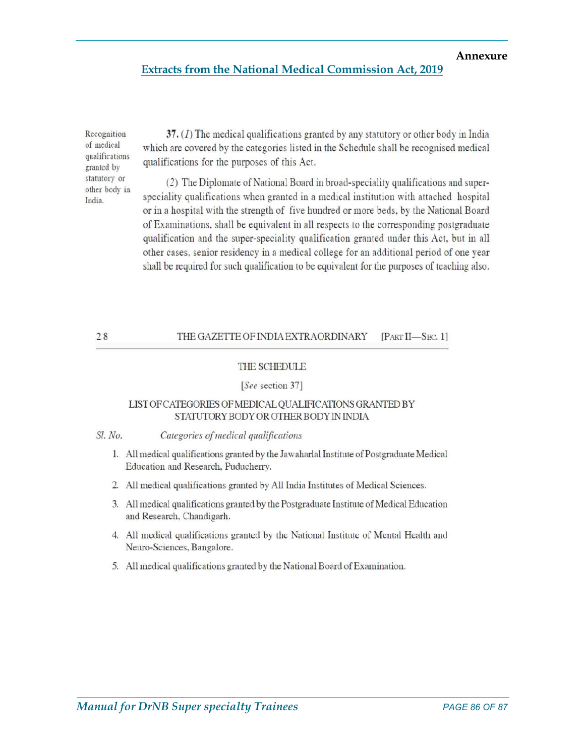#### Annexure

#### Extracts from the National Medical Commission Act, 2019

Recognition of medical qualifications granted by statutory or other body in India.

37.  $(I)$  The medical qualifications granted by any statutory or other body in India which are covered by the categories listed in the Schedule shall be recognised medical qualifications for the purposes of this Act.

(2) The Diplomate of National Board in broad-speciality qualifications and superspeciality qualifications when granted in a medical institution with attached hospital or in a hospital with the strength of five hundred or more beds, by the National Board of Examinations, shall be equivalent in all respects to the corresponding postgraduate qualification and the super-speciality qualification granted under this Act, but in all other cases, senior residency in a medical college for an additional period of one year shall be required for such qualification to be equivalent for the purposes of teaching also.

#### $28$ THE GAZETTE OF INDIA EXTRAORDINARY  $[PART II - Sec. 1]$

#### THE SCHEDULE

#### [See section 37]

#### LIST OF CATEGORIES OF MEDICAL QUALIFICATIONS GRANTED BY STATUTORY BODY OR OTHER BODY IN INDIA

#### Sl. No. Categories of medical qualifications

- 1. All medical qualifications granted by the Jawaharlal Institute of Postgraduate Medical Education and Research, Puducherry.
- 2. All medical qualifications granted by All India Institutes of Medical Sciences.
- 3. All medical qualifications granted by the Postgraduate Institute of Medical Education and Research, Chandigarh.
- 4. All medical qualifications granted by the National Institute of Mental Health and Neuro-Sciences, Bangalore.
- 5. All medical qualifications granted by the National Board of Examination.